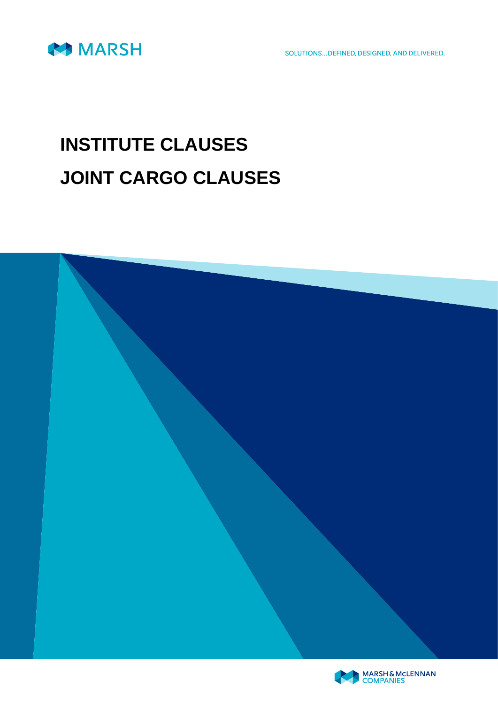

SOLUTIONS...DEFINED, DESIGNED, AND DELIVERED.

# **INSTITUTE CLAUSES JOINT CARGO CLAUSES**



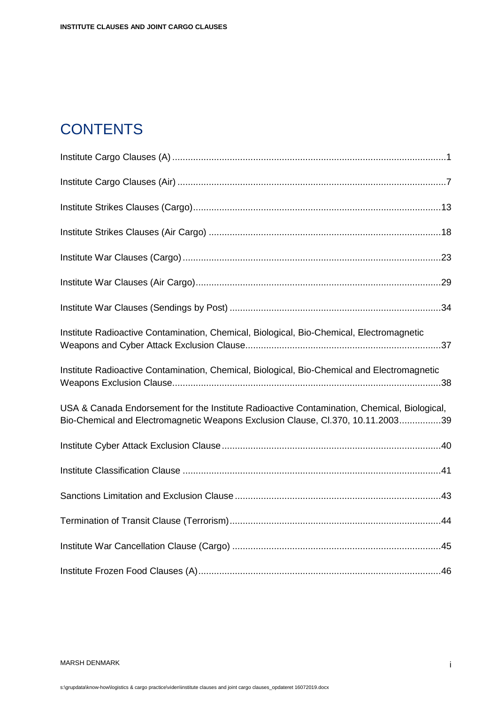# **CONTENTS**

| Institute Radioactive Contamination, Chemical, Biological, Bio-Chemical, Electromagnetic                                                                                       |
|--------------------------------------------------------------------------------------------------------------------------------------------------------------------------------|
| Institute Radioactive Contamination, Chemical, Biological, Bio-Chemical and Electromagnetic                                                                                    |
| USA & Canada Endorsement for the Institute Radioactive Contamination, Chemical, Biological,<br>Bio-Chemical and Electromagnetic Weapons Exclusion Clause, Cl.370, 10.11.200339 |
|                                                                                                                                                                                |
|                                                                                                                                                                                |
|                                                                                                                                                                                |
|                                                                                                                                                                                |
|                                                                                                                                                                                |
|                                                                                                                                                                                |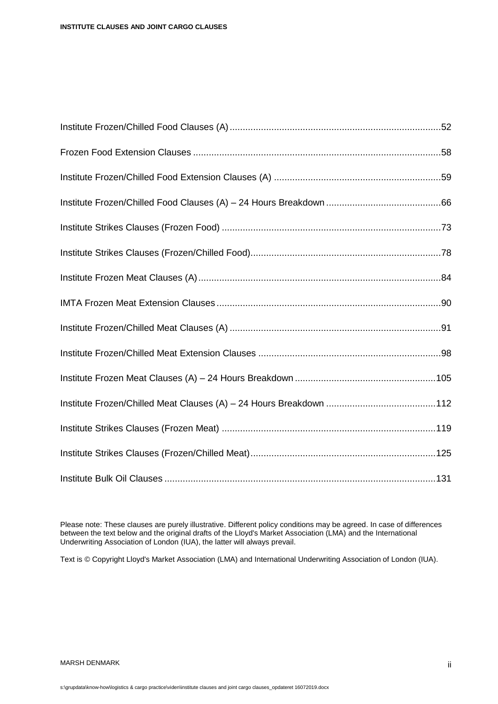Please note: These clauses are purely illustrative. Different policy conditions may be agreed. In case of differences between the text below and the original drafts of the Lloyd's Market Association (LMA) and the International Underwriting Association of London (IUA), the latter will always prevail.

Text is © Copyright Lloyd's Market Association (LMA) and International Underwriting Association of London (IUA).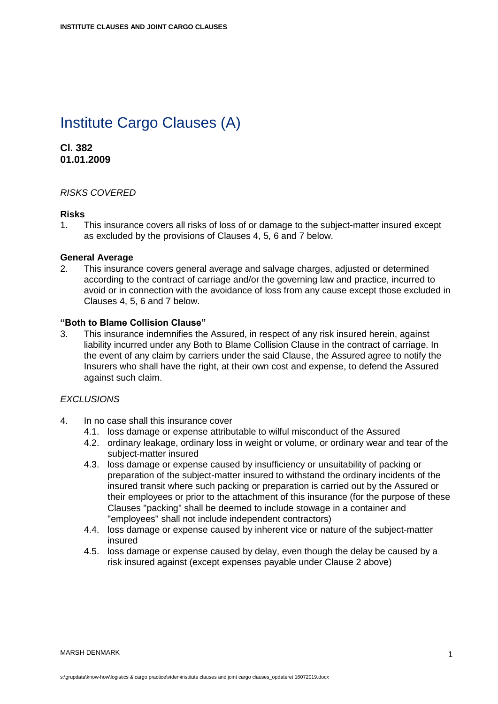# Institute Cargo Clauses (A)

**Cl. 382 01.01.2009**

### *RISKS COVERED*

### **Risks**

1. This insurance covers all risks of loss of or damage to the subject-matter insured except as excluded by the provisions of Clauses 4, 5, 6 and 7 below.

#### **General Average**

2. This insurance covers general average and salvage charges, adjusted or determined according to the contract of carriage and/or the governing law and practice, incurred to avoid or in connection with the avoidance of loss from any cause except those excluded in Clauses 4, 5, 6 and 7 below.

### **"Both to Blame Collision Clause"**

3. This insurance indemnifies the Assured, in respect of any risk insured herein, against liability incurred under any Both to Blame Collision Clause in the contract of carriage. In the event of any claim by carriers under the said Clause, the Assured agree to notify the Insurers who shall have the right, at their own cost and expense, to defend the Assured against such claim.

### *EXCLUSIONS*

- 4. In no case shall this insurance cover
	- 4.1. loss damage or expense attributable to wilful misconduct of the Assured
	- 4.2. ordinary leakage, ordinary loss in weight or volume, or ordinary wear and tear of the subject-matter insured
	- 4.3. loss damage or expense caused by insufficiency or unsuitability of packing or preparation of the subject-matter insured to withstand the ordinary incidents of the insured transit where such packing or preparation is carried out by the Assured or their employees or prior to the attachment of this insurance (for the purpose of these Clauses "packing" shall be deemed to include stowage in a container and "employees" shall not include independent contractors)
	- 4.4. loss damage or expense caused by inherent vice or nature of the subject-matter insured
	- 4.5. loss damage or expense caused by delay, even though the delay be caused by a risk insured against (except expenses payable under Clause 2 above)

1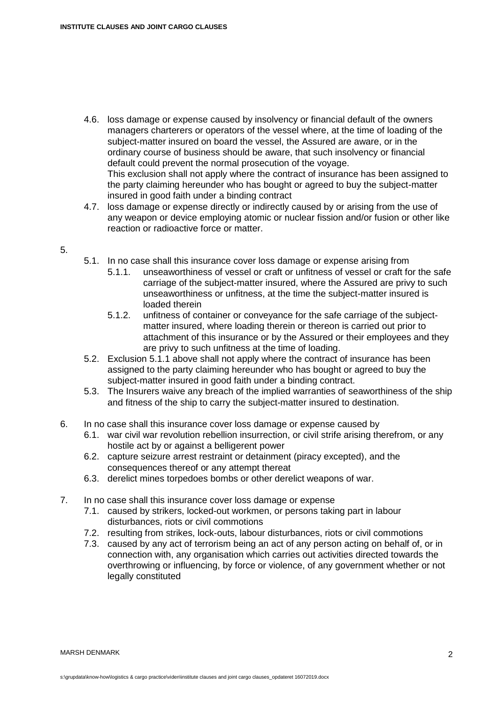- 4.6. loss damage or expense caused by insolvency or financial default of the owners managers charterers or operators of the vessel where, at the time of loading of the subject-matter insured on board the vessel, the Assured are aware, or in the ordinary course of business should be aware, that such insolvency or financial default could prevent the normal prosecution of the voyage. This exclusion shall not apply where the contract of insurance has been assigned to the party claiming hereunder who has bought or agreed to buy the subject-matter insured in good faith under a binding contract
- 4.7. loss damage or expense directly or indirectly caused by or arising from the use of any weapon or device employing atomic or nuclear fission and/or fusion or other like reaction or radioactive force or matter.

# 5.

- 5.1. In no case shall this insurance cover loss damage or expense arising from
	- 5.1.1. unseaworthiness of vessel or craft or unfitness of vessel or craft for the safe carriage of the subject-matter insured, where the Assured are privy to such unseaworthiness or unfitness, at the time the subject-matter insured is loaded therein
	- 5.1.2. unfitness of container or conveyance for the safe carriage of the subjectmatter insured, where loading therein or thereon is carried out prior to attachment of this insurance or by the Assured or their employees and they are privy to such unfitness at the time of loading.
- 5.2. Exclusion 5.1.1 above shall not apply where the contract of insurance has been assigned to the party claiming hereunder who has bought or agreed to buy the subject-matter insured in good faith under a binding contract.
- 5.3. The Insurers waive any breach of the implied warranties of seaworthiness of the ship and fitness of the ship to carry the subject-matter insured to destination.
- 6. In no case shall this insurance cover loss damage or expense caused by
	- 6.1. war civil war revolution rebellion insurrection, or civil strife arising therefrom, or any hostile act by or against a belligerent power
	- 6.2. capture seizure arrest restraint or detainment (piracy excepted), and the consequences thereof or any attempt thereat
	- 6.3. derelict mines torpedoes bombs or other derelict weapons of war.
- 7. In no case shall this insurance cover loss damage or expense
	- 7.1. caused by strikers, locked-out workmen, or persons taking part in labour disturbances, riots or civil commotions
	- 7.2. resulting from strikes, lock-outs, labour disturbances, riots or civil commotions
	- 7.3. caused by any act of terrorism being an act of any person acting on behalf of, or in connection with, any organisation which carries out activities directed towards the overthrowing or influencing, by force or violence, of any government whether or not legally constituted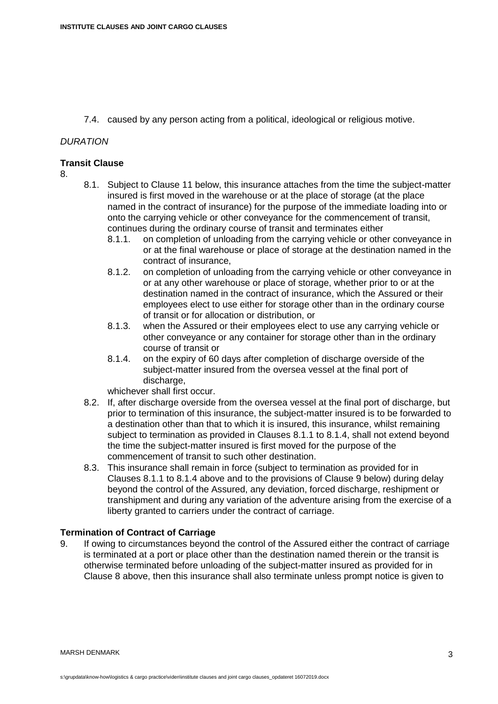7.4. caused by any person acting from a political, ideological or religious motive.

# *DURATION*

# **Transit Clause**

# 8.

- 8.1. Subject to Clause 11 below, this insurance attaches from the time the subject-matter insured is first moved in the warehouse or at the place of storage (at the place named in the contract of insurance) for the purpose of the immediate loading into or onto the carrying vehicle or other conveyance for the commencement of transit, continues during the ordinary course of transit and terminates either
	- 8.1.1. on completion of unloading from the carrying vehicle or other conveyance in or at the final warehouse or place of storage at the destination named in the contract of insurance,
	- 8.1.2. on completion of unloading from the carrying vehicle or other conveyance in or at any other warehouse or place of storage, whether prior to or at the destination named in the contract of insurance, which the Assured or their employees elect to use either for storage other than in the ordinary course of transit or for allocation or distribution, or
	- 8.1.3. when the Assured or their employees elect to use any carrying vehicle or other conveyance or any container for storage other than in the ordinary course of transit or
	- 8.1.4. on the expiry of 60 days after completion of discharge overside of the subject-matter insured from the oversea vessel at the final port of discharge.

whichever shall first occur.

- 8.2. If, after discharge overside from the oversea vessel at the final port of discharge, but prior to termination of this insurance, the subject-matter insured is to be forwarded to a destination other than that to which it is insured, this insurance, whilst remaining subject to termination as provided in Clauses 8.1.1 to 8.1.4, shall not extend beyond the time the subject-matter insured is first moved for the purpose of the commencement of transit to such other destination.
- 8.3. This insurance shall remain in force (subject to termination as provided for in Clauses 8.1.1 to 8.1.4 above and to the provisions of Clause 9 below) during delay beyond the control of the Assured, any deviation, forced discharge, reshipment or transhipment and during any variation of the adventure arising from the exercise of a liberty granted to carriers under the contract of carriage.

# **Termination of Contract of Carriage**

9. If owing to circumstances beyond the control of the Assured either the contract of carriage is terminated at a port or place other than the destination named therein or the transit is otherwise terminated before unloading of the subject-matter insured as provided for in Clause 8 above, then this insurance shall also terminate unless prompt notice is given to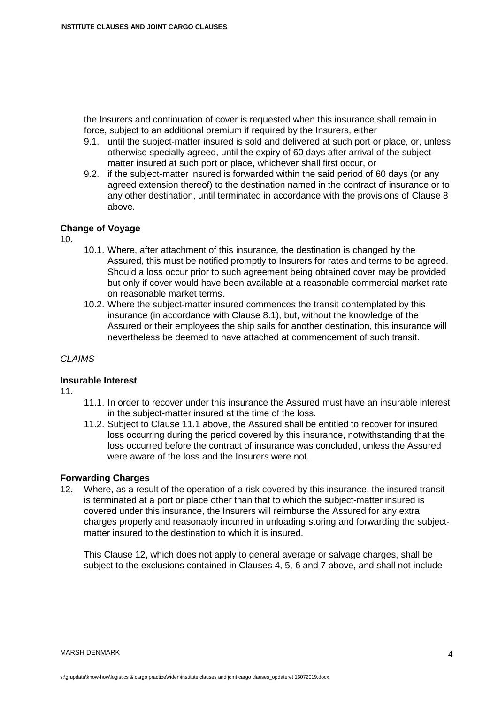the Insurers and continuation of cover is requested when this insurance shall remain in force, subject to an additional premium if required by the Insurers, either

- 9.1. until the subject-matter insured is sold and delivered at such port or place, or, unless otherwise specially agreed, until the expiry of 60 days after arrival of the subjectmatter insured at such port or place, whichever shall first occur, or
- 9.2. if the subject-matter insured is forwarded within the said period of 60 days (or any agreed extension thereof) to the destination named in the contract of insurance or to any other destination, until terminated in accordance with the provisions of Clause 8 above.

# **Change of Voyage**

10.

- 10.1. Where, after attachment of this insurance, the destination is changed by the Assured, this must be notified promptly to Insurers for rates and terms to be agreed. Should a loss occur prior to such agreement being obtained cover may be provided but only if cover would have been available at a reasonable commercial market rate on reasonable market terms.
- 10.2. Where the subject-matter insured commences the transit contemplated by this insurance (in accordance with Clause 8.1), but, without the knowledge of the Assured or their employees the ship sails for another destination, this insurance will nevertheless be deemed to have attached at commencement of such transit.

### *CLAIMS*

### **Insurable Interest**

11.

- 11.1. In order to recover under this insurance the Assured must have an insurable interest in the subject-matter insured at the time of the loss.
- 11.2. Subject to Clause 11.1 above, the Assured shall be entitled to recover for insured loss occurring during the period covered by this insurance, notwithstanding that the loss occurred before the contract of insurance was concluded, unless the Assured were aware of the loss and the Insurers were not.

### **Forwarding Charges**

12. Where, as a result of the operation of a risk covered by this insurance, the insured transit is terminated at a port or place other than that to which the subject-matter insured is covered under this insurance, the Insurers will reimburse the Assured for any extra charges properly and reasonably incurred in unloading storing and forwarding the subjectmatter insured to the destination to which it is insured.

This Clause 12, which does not apply to general average or salvage charges, shall be subject to the exclusions contained in Clauses 4, 5, 6 and 7 above, and shall not include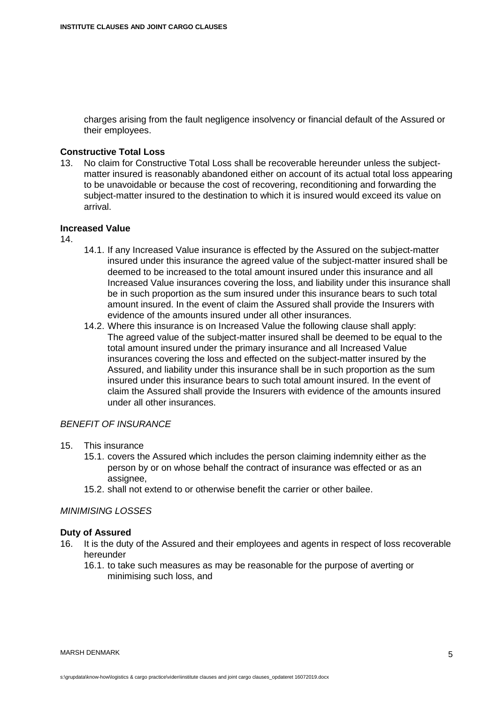charges arising from the fault negligence insolvency or financial default of the Assured or their employees.

### **Constructive Total Loss**

13. No claim for Constructive Total Loss shall be recoverable hereunder unless the subjectmatter insured is reasonably abandoned either on account of its actual total loss appearing to be unavoidable or because the cost of recovering, reconditioning and forwarding the subject-matter insured to the destination to which it is insured would exceed its value on arrival.

### **Increased Value**

- 14.
- 14.1. If any Increased Value insurance is effected by the Assured on the subject-matter insured under this insurance the agreed value of the subject-matter insured shall be deemed to be increased to the total amount insured under this insurance and all Increased Value insurances covering the loss, and liability under this insurance shall be in such proportion as the sum insured under this insurance bears to such total amount insured. In the event of claim the Assured shall provide the Insurers with evidence of the amounts insured under all other insurances.
- 14.2. Where this insurance is on Increased Value the following clause shall apply: The agreed value of the subject-matter insured shall be deemed to be equal to the total amount insured under the primary insurance and all Increased Value insurances covering the loss and effected on the subject-matter insured by the Assured, and liability under this insurance shall be in such proportion as the sum insured under this insurance bears to such total amount insured. In the event of claim the Assured shall provide the Insurers with evidence of the amounts insured under all other insurances.

# *BENEFIT OF INSURANCE*

- 15. This insurance
	- 15.1. covers the Assured which includes the person claiming indemnity either as the person by or on whose behalf the contract of insurance was effected or as an assignee,
	- 15.2. shall not extend to or otherwise benefit the carrier or other bailee.

# *MINIMISING LOSSES*

#### **Duty of Assured**

- 16. It is the duty of the Assured and their employees and agents in respect of loss recoverable hereunder
	- 16.1. to take such measures as may be reasonable for the purpose of averting or minimising such loss, and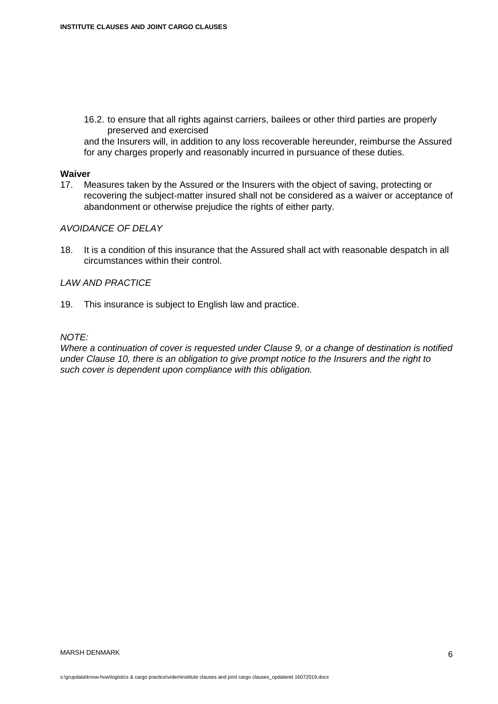16.2. to ensure that all rights against carriers, bailees or other third parties are properly preserved and exercised

and the Insurers will, in addition to any loss recoverable hereunder, reimburse the Assured for any charges properly and reasonably incurred in pursuance of these duties.

#### **Waiver**

17. Measures taken by the Assured or the Insurers with the object of saving, protecting or recovering the subject-matter insured shall not be considered as a waiver or acceptance of abandonment or otherwise prejudice the rights of either party.

### *AVOIDANCE OF DELAY*

18. It is a condition of this insurance that the Assured shall act with reasonable despatch in all circumstances within their control.

### *LAW AND PRACTICE*

19. This insurance is subject to English law and practice.

# *NOTE:*

*Where a continuation of cover is requested under Clause 9, or a change of destination is notified under Clause 10, there is an obligation to give prompt notice to the Insurers and the right to such cover is dependent upon compliance with this obligation.*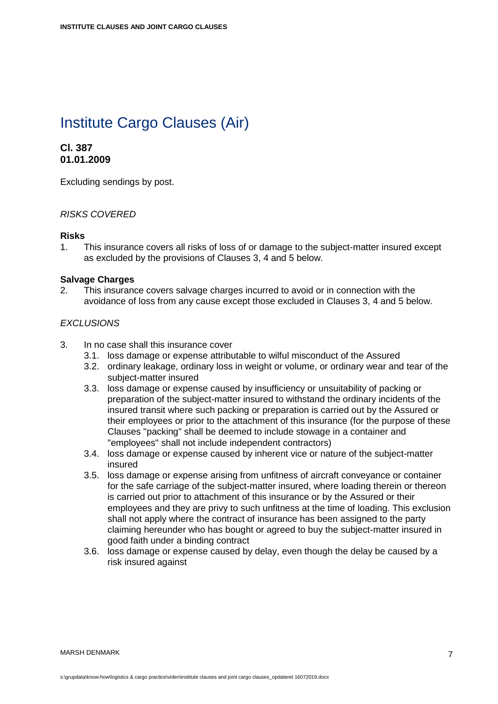# Institute Cargo Clauses (Air)

**Cl. 387 01.01.2009**

Excluding sendings by post.

### *RISKS COVERED*

# **Risks**

1. This insurance covers all risks of loss of or damage to the subject-matter insured except as excluded by the provisions of Clauses 3, 4 and 5 below.

### **Salvage Charges**

2. This insurance covers salvage charges incurred to avoid or in connection with the avoidance of loss from any cause except those excluded in Clauses 3, 4 and 5 below.

### *EXCLUSIONS*

- 3. In no case shall this insurance cover
	- 3.1. loss damage or expense attributable to wilful misconduct of the Assured
	- 3.2. ordinary leakage, ordinary loss in weight or volume, or ordinary wear and tear of the subject-matter insured
	- 3.3. loss damage or expense caused by insufficiency or unsuitability of packing or preparation of the subject-matter insured to withstand the ordinary incidents of the insured transit where such packing or preparation is carried out by the Assured or their employees or prior to the attachment of this insurance (for the purpose of these Clauses "packing" shall be deemed to include stowage in a container and "employees" shall not include independent contractors)
	- 3.4. loss damage or expense caused by inherent vice or nature of the subject-matter insured
	- 3.5. loss damage or expense arising from unfitness of aircraft conveyance or container for the safe carriage of the subject-matter insured, where loading therein or thereon is carried out prior to attachment of this insurance or by the Assured or their employees and they are privy to such unfitness at the time of loading. This exclusion shall not apply where the contract of insurance has been assigned to the party claiming hereunder who has bought or agreed to buy the subject-matter insured in good faith under a binding contract
	- 3.6. loss damage or expense caused by delay, even though the delay be caused by a risk insured against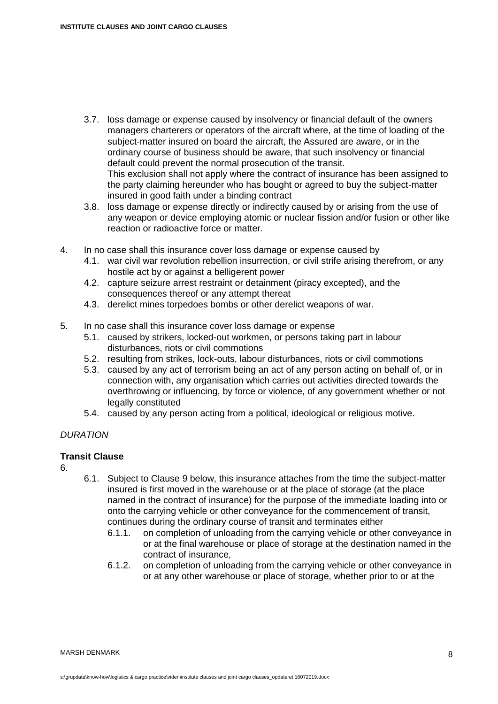- 3.7. loss damage or expense caused by insolvency or financial default of the owners managers charterers or operators of the aircraft where, at the time of loading of the subject-matter insured on board the aircraft, the Assured are aware, or in the ordinary course of business should be aware, that such insolvency or financial default could prevent the normal prosecution of the transit. This exclusion shall not apply where the contract of insurance has been assigned to the party claiming hereunder who has bought or agreed to buy the subject-matter insured in good faith under a binding contract
- 3.8. loss damage or expense directly or indirectly caused by or arising from the use of any weapon or device employing atomic or nuclear fission and/or fusion or other like reaction or radioactive force or matter.
- 4. In no case shall this insurance cover loss damage or expense caused by
	- 4.1. war civil war revolution rebellion insurrection, or civil strife arising therefrom, or any hostile act by or against a belligerent power
	- 4.2. capture seizure arrest restraint or detainment (piracy excepted), and the consequences thereof or any attempt thereat
	- 4.3. derelict mines torpedoes bombs or other derelict weapons of war.
- 5. In no case shall this insurance cover loss damage or expense
	- 5.1. caused by strikers, locked-out workmen, or persons taking part in labour disturbances, riots or civil commotions
	- 5.2. resulting from strikes, lock-outs, labour disturbances, riots or civil commotions
	- 5.3. caused by any act of terrorism being an act of any person acting on behalf of, or in connection with, any organisation which carries out activities directed towards the overthrowing or influencing, by force or violence, of any government whether or not legally constituted
	- 5.4. caused by any person acting from a political, ideological or religious motive.

# *DURATION*

# **Transit Clause**

- 6.
- 6.1. Subject to Clause 9 below, this insurance attaches from the time the subject-matter insured is first moved in the warehouse or at the place of storage (at the place named in the contract of insurance) for the purpose of the immediate loading into or onto the carrying vehicle or other conveyance for the commencement of transit, continues during the ordinary course of transit and terminates either
	- 6.1.1. on completion of unloading from the carrying vehicle or other conveyance in or at the final warehouse or place of storage at the destination named in the contract of insurance,
	- 6.1.2. on completion of unloading from the carrying vehicle or other conveyance in or at any other warehouse or place of storage, whether prior to or at the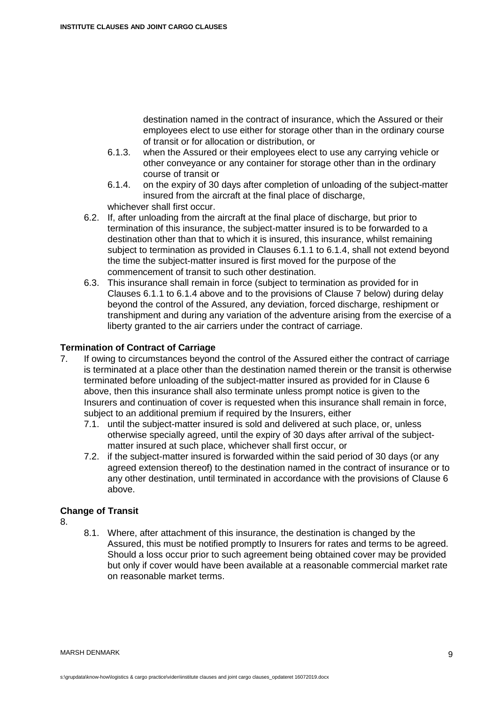destination named in the contract of insurance, which the Assured or their employees elect to use either for storage other than in the ordinary course of transit or for allocation or distribution, or

- 6.1.3. when the Assured or their employees elect to use any carrying vehicle or other conveyance or any container for storage other than in the ordinary course of transit or
- 6.1.4. on the expiry of 30 days after completion of unloading of the subject-matter insured from the aircraft at the final place of discharge,
- whichever shall first occur.
- 6.2. If, after unloading from the aircraft at the final place of discharge, but prior to termination of this insurance, the subject-matter insured is to be forwarded to a destination other than that to which it is insured, this insurance, whilst remaining subject to termination as provided in Clauses 6.1.1 to 6.1.4, shall not extend beyond the time the subject-matter insured is first moved for the purpose of the commencement of transit to such other destination.
- 6.3. This insurance shall remain in force (subject to termination as provided for in Clauses 6.1.1 to 6.1.4 above and to the provisions of Clause 7 below) during delay beyond the control of the Assured, any deviation, forced discharge, reshipment or transhipment and during any variation of the adventure arising from the exercise of a liberty granted to the air carriers under the contract of carriage.

# **Termination of Contract of Carriage**

- 7. If owing to circumstances beyond the control of the Assured either the contract of carriage is terminated at a place other than the destination named therein or the transit is otherwise terminated before unloading of the subject-matter insured as provided for in Clause 6 above, then this insurance shall also terminate unless prompt notice is given to the Insurers and continuation of cover is requested when this insurance shall remain in force, subject to an additional premium if required by the Insurers, either
	- 7.1. until the subject-matter insured is sold and delivered at such place, or, unless otherwise specially agreed, until the expiry of 30 days after arrival of the subjectmatter insured at such place, whichever shall first occur, or
	- 7.2. if the subject-matter insured is forwarded within the said period of 30 days (or any agreed extension thereof) to the destination named in the contract of insurance or to any other destination, until terminated in accordance with the provisions of Clause 6 above.

# **Change of Transit**

- 8.
- 8.1. Where, after attachment of this insurance, the destination is changed by the Assured, this must be notified promptly to Insurers for rates and terms to be agreed. Should a loss occur prior to such agreement being obtained cover may be provided but only if cover would have been available at a reasonable commercial market rate on reasonable market terms.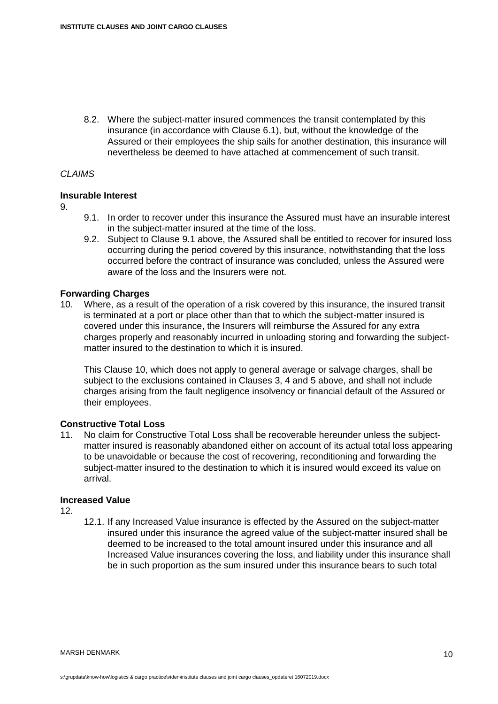8.2. Where the subject-matter insured commences the transit contemplated by this insurance (in accordance with Clause 6.1), but, without the knowledge of the Assured or their employees the ship sails for another destination, this insurance will nevertheless be deemed to have attached at commencement of such transit.

### *CLAIMS*

### **Insurable Interest**

9.

- 9.1. In order to recover under this insurance the Assured must have an insurable interest in the subject-matter insured at the time of the loss.
- 9.2. Subject to Clause 9.1 above, the Assured shall be entitled to recover for insured loss occurring during the period covered by this insurance, notwithstanding that the loss occurred before the contract of insurance was concluded, unless the Assured were aware of the loss and the Insurers were not.

### **Forwarding Charges**

10. Where, as a result of the operation of a risk covered by this insurance, the insured transit is terminated at a port or place other than that to which the subject-matter insured is covered under this insurance, the Insurers will reimburse the Assured for any extra charges properly and reasonably incurred in unloading storing and forwarding the subjectmatter insured to the destination to which it is insured.

This Clause 10, which does not apply to general average or salvage charges, shall be subject to the exclusions contained in Clauses 3, 4 and 5 above, and shall not include charges arising from the fault negligence insolvency or financial default of the Assured or their employees.

### **Constructive Total Loss**

11. No claim for Constructive Total Loss shall be recoverable hereunder unless the subjectmatter insured is reasonably abandoned either on account of its actual total loss appearing to be unavoidable or because the cost of recovering, reconditioning and forwarding the subject-matter insured to the destination to which it is insured would exceed its value on arrival.

### **Increased Value**

12.

12.1. If any Increased Value insurance is effected by the Assured on the subject-matter insured under this insurance the agreed value of the subject-matter insured shall be deemed to be increased to the total amount insured under this insurance and all Increased Value insurances covering the loss, and liability under this insurance shall be in such proportion as the sum insured under this insurance bears to such total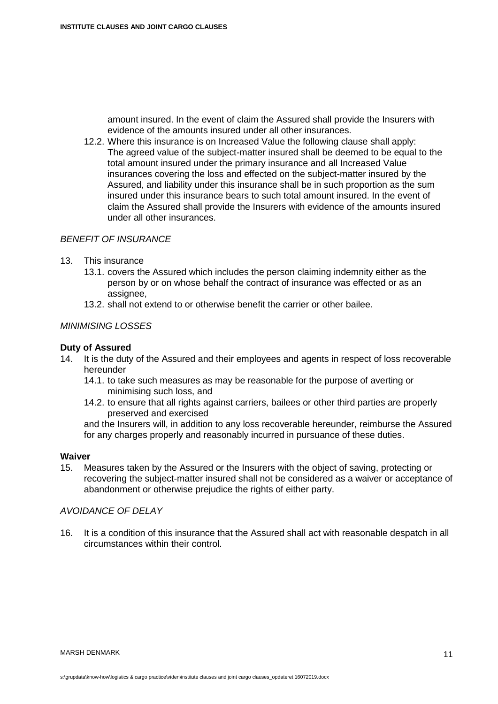amount insured. In the event of claim the Assured shall provide the Insurers with evidence of the amounts insured under all other insurances.

12.2. Where this insurance is on Increased Value the following clause shall apply: The agreed value of the subject-matter insured shall be deemed to be equal to the total amount insured under the primary insurance and all Increased Value insurances covering the loss and effected on the subject-matter insured by the Assured, and liability under this insurance shall be in such proportion as the sum insured under this insurance bears to such total amount insured. In the event of claim the Assured shall provide the Insurers with evidence of the amounts insured under all other insurances.

# *BENEFIT OF INSURANCE*

- 13. This insurance
	- 13.1. covers the Assured which includes the person claiming indemnity either as the person by or on whose behalf the contract of insurance was effected or as an assignee,
	- 13.2. shall not extend to or otherwise benefit the carrier or other bailee.

### *MINIMISING LOSSES*

### **Duty of Assured**

- 14. It is the duty of the Assured and their employees and agents in respect of loss recoverable hereunder
	- 14.1. to take such measures as may be reasonable for the purpose of averting or minimising such loss, and
	- 14.2. to ensure that all rights against carriers, bailees or other third parties are properly preserved and exercised

and the Insurers will, in addition to any loss recoverable hereunder, reimburse the Assured for any charges properly and reasonably incurred in pursuance of these duties.

# **Waiver**

15. Measures taken by the Assured or the Insurers with the object of saving, protecting or recovering the subject-matter insured shall not be considered as a waiver or acceptance of abandonment or otherwise prejudice the rights of either party.

# *AVOIDANCE OF DELAY*

16. It is a condition of this insurance that the Assured shall act with reasonable despatch in all circumstances within their control.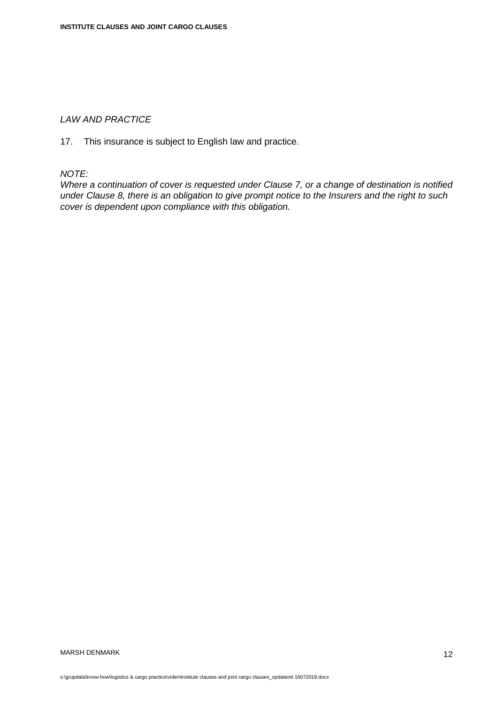# *LAW AND PRACTICE*

17. This insurance is subject to English law and practice.

*NOTE:*

*Where a continuation of cover is requested under Clause 7, or a change of destination is notified under Clause 8, there is an obligation to give prompt notice to the Insurers and the right to such cover is dependent upon compliance with this obligation.*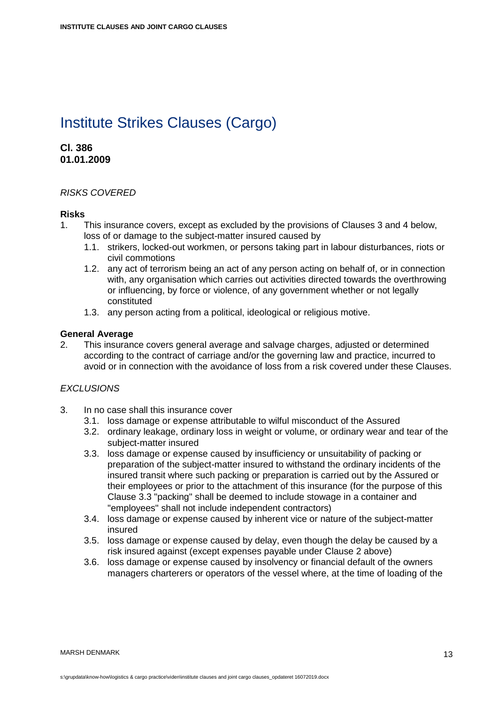# Institute Strikes Clauses (Cargo)

**Cl. 386 01.01.2009**

### *RISKS COVERED*

### **Risks**

- 1. This insurance covers, except as excluded by the provisions of Clauses 3 and 4 below, loss of or damage to the subject-matter insured caused by
	- 1.1. strikers, locked-out workmen, or persons taking part in labour disturbances, riots or civil commotions
	- 1.2. any act of terrorism being an act of any person acting on behalf of, or in connection with, any organisation which carries out activities directed towards the overthrowing or influencing, by force or violence, of any government whether or not legally constituted
	- 1.3. any person acting from a political, ideological or religious motive.

### **General Average**

2. This insurance covers general average and salvage charges, adjusted or determined according to the contract of carriage and/or the governing law and practice, incurred to avoid or in connection with the avoidance of loss from a risk covered under these Clauses.

### *EXCLUSIONS*

- 3. In no case shall this insurance cover
	- 3.1. loss damage or expense attributable to wilful misconduct of the Assured
	- 3.2. ordinary leakage, ordinary loss in weight or volume, or ordinary wear and tear of the subject-matter insured
	- 3.3. loss damage or expense caused by insufficiency or unsuitability of packing or preparation of the subject-matter insured to withstand the ordinary incidents of the insured transit where such packing or preparation is carried out by the Assured or their employees or prior to the attachment of this insurance (for the purpose of this Clause 3.3 "packing" shall be deemed to include stowage in a container and "employees" shall not include independent contractors)
	- 3.4. loss damage or expense caused by inherent vice or nature of the subject-matter insured
	- 3.5. loss damage or expense caused by delay, even though the delay be caused by a risk insured against (except expenses payable under Clause 2 above)
	- 3.6. loss damage or expense caused by insolvency or financial default of the owners managers charterers or operators of the vessel where, at the time of loading of the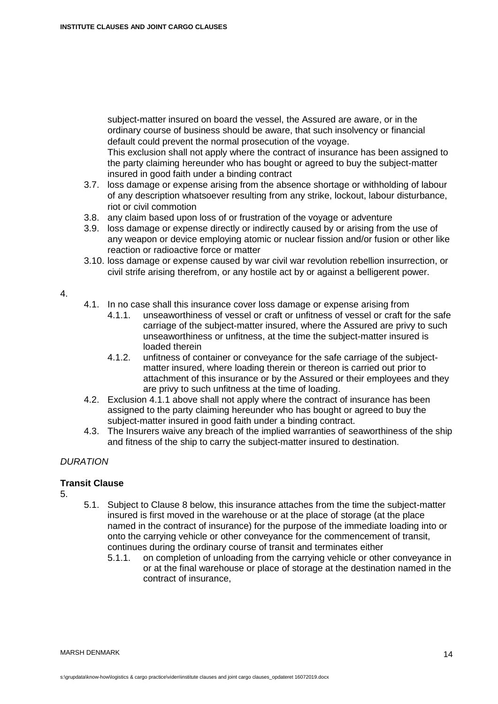subject-matter insured on board the vessel, the Assured are aware, or in the ordinary course of business should be aware, that such insolvency or financial default could prevent the normal prosecution of the voyage.

This exclusion shall not apply where the contract of insurance has been assigned to the party claiming hereunder who has bought or agreed to buy the subject-matter insured in good faith under a binding contract

- 3.7. loss damage or expense arising from the absence shortage or withholding of labour of any description whatsoever resulting from any strike, lockout, labour disturbance, riot or civil commotion
- 3.8. any claim based upon loss of or frustration of the voyage or adventure
- 3.9. loss damage or expense directly or indirectly caused by or arising from the use of any weapon or device employing atomic or nuclear fission and/or fusion or other like reaction or radioactive force or matter
- 3.10. loss damage or expense caused by war civil war revolution rebellion insurrection, or civil strife arising therefrom, or any hostile act by or against a belligerent power.

### 4.

- 4.1. In no case shall this insurance cover loss damage or expense arising from
	- 4.1.1. unseaworthiness of vessel or craft or unfitness of vessel or craft for the safe carriage of the subject-matter insured, where the Assured are privy to such unseaworthiness or unfitness, at the time the subject-matter insured is loaded therein
	- 4.1.2. unfitness of container or conveyance for the safe carriage of the subjectmatter insured, where loading therein or thereon is carried out prior to attachment of this insurance or by the Assured or their employees and they are privy to such unfitness at the time of loading.
- 4.2. Exclusion 4.1.1 above shall not apply where the contract of insurance has been assigned to the party claiming hereunder who has bought or agreed to buy the subject-matter insured in good faith under a binding contract.
- 4.3. The Insurers waive any breach of the implied warranties of seaworthiness of the ship and fitness of the ship to carry the subject-matter insured to destination.

# *DURATION*

# **Transit Clause**

5.

- 5.1. Subject to Clause 8 below, this insurance attaches from the time the subject-matter insured is first moved in the warehouse or at the place of storage (at the place named in the contract of insurance) for the purpose of the immediate loading into or onto the carrying vehicle or other conveyance for the commencement of transit, continues during the ordinary course of transit and terminates either
	- 5.1.1. on completion of unloading from the carrying vehicle or other conveyance in or at the final warehouse or place of storage at the destination named in the contract of insurance,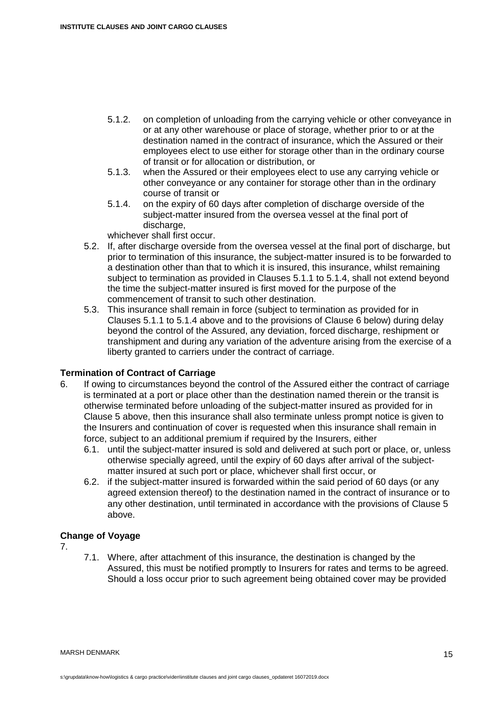- 5.1.2. on completion of unloading from the carrying vehicle or other conveyance in or at any other warehouse or place of storage, whether prior to or at the destination named in the contract of insurance, which the Assured or their employees elect to use either for storage other than in the ordinary course of transit or for allocation or distribution, or
- 5.1.3. when the Assured or their employees elect to use any carrying vehicle or other conveyance or any container for storage other than in the ordinary course of transit or
- 5.1.4. on the expiry of 60 days after completion of discharge overside of the subject-matter insured from the oversea vessel at the final port of discharge.

whichever shall first occur.

- 5.2. If, after discharge overside from the oversea vessel at the final port of discharge, but prior to termination of this insurance, the subject-matter insured is to be forwarded to a destination other than that to which it is insured, this insurance, whilst remaining subject to termination as provided in Clauses 5.1.1 to 5.1.4, shall not extend beyond the time the subject-matter insured is first moved for the purpose of the commencement of transit to such other destination.
- 5.3. This insurance shall remain in force (subject to termination as provided for in Clauses 5.1.1 to 5.1.4 above and to the provisions of Clause 6 below) during delay beyond the control of the Assured, any deviation, forced discharge, reshipment or transhipment and during any variation of the adventure arising from the exercise of a liberty granted to carriers under the contract of carriage.

### **Termination of Contract of Carriage**

- 6. If owing to circumstances beyond the control of the Assured either the contract of carriage is terminated at a port or place other than the destination named therein or the transit is otherwise terminated before unloading of the subject-matter insured as provided for in Clause 5 above, then this insurance shall also terminate unless prompt notice is given to the Insurers and continuation of cover is requested when this insurance shall remain in force, subject to an additional premium if required by the Insurers, either
	- 6.1. until the subject-matter insured is sold and delivered at such port or place, or, unless otherwise specially agreed, until the expiry of 60 days after arrival of the subjectmatter insured at such port or place, whichever shall first occur, or
	- 6.2. if the subject-matter insured is forwarded within the said period of 60 days (or any agreed extension thereof) to the destination named in the contract of insurance or to any other destination, until terminated in accordance with the provisions of Clause 5 above.

### **Change of Voyage**

7.

7.1. Where, after attachment of this insurance, the destination is changed by the Assured, this must be notified promptly to Insurers for rates and terms to be agreed. Should a loss occur prior to such agreement being obtained cover may be provided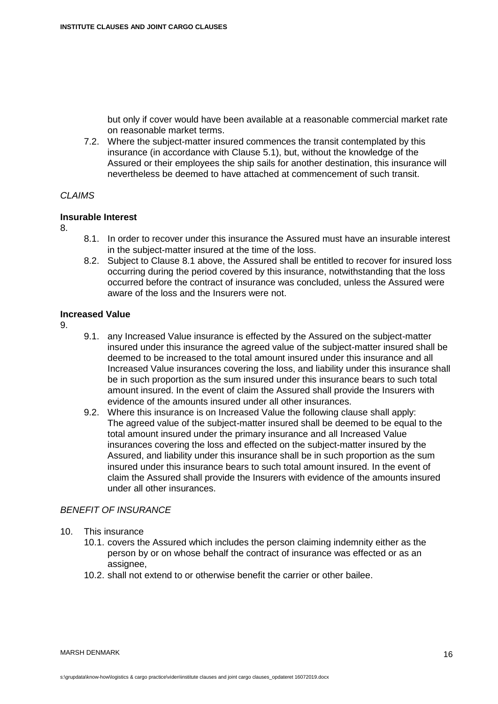but only if cover would have been available at a reasonable commercial market rate on reasonable market terms.

7.2. Where the subject-matter insured commences the transit contemplated by this insurance (in accordance with Clause 5.1), but, without the knowledge of the Assured or their employees the ship sails for another destination, this insurance will nevertheless be deemed to have attached at commencement of such transit.

# *CLAIMS*

# **Insurable Interest**

- 8.
- 8.1. In order to recover under this insurance the Assured must have an insurable interest in the subject-matter insured at the time of the loss.
- 8.2. Subject to Clause 8.1 above, the Assured shall be entitled to recover for insured loss occurring during the period covered by this insurance, notwithstanding that the loss occurred before the contract of insurance was concluded, unless the Assured were aware of the loss and the Insurers were not.

### **Increased Value**

- 9.
- 9.1. any Increased Value insurance is effected by the Assured on the subject-matter insured under this insurance the agreed value of the subject-matter insured shall be deemed to be increased to the total amount insured under this insurance and all Increased Value insurances covering the loss, and liability under this insurance shall be in such proportion as the sum insured under this insurance bears to such total amount insured. In the event of claim the Assured shall provide the Insurers with evidence of the amounts insured under all other insurances.
- 9.2. Where this insurance is on Increased Value the following clause shall apply: The agreed value of the subject-matter insured shall be deemed to be equal to the total amount insured under the primary insurance and all Increased Value insurances covering the loss and effected on the subject-matter insured by the Assured, and liability under this insurance shall be in such proportion as the sum insured under this insurance bears to such total amount insured. In the event of claim the Assured shall provide the Insurers with evidence of the amounts insured under all other insurances.

# *BENEFIT OF INSURANCE*

- 10. This insurance
	- 10.1. covers the Assured which includes the person claiming indemnity either as the person by or on whose behalf the contract of insurance was effected or as an assignee,
	- 10.2. shall not extend to or otherwise benefit the carrier or other bailee.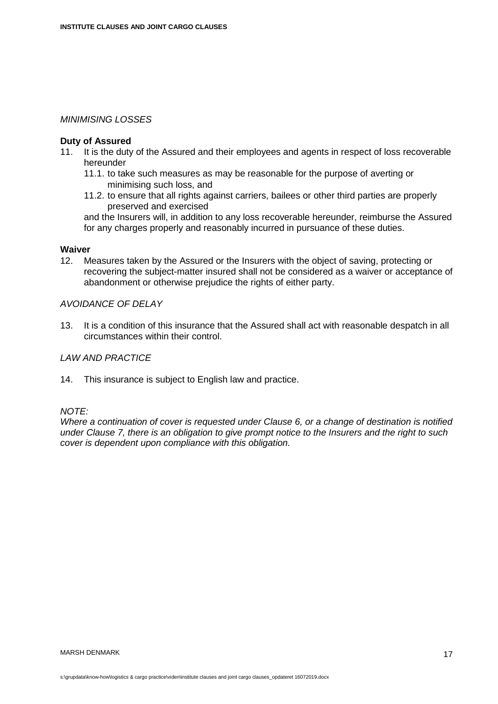# *MINIMISING LOSSES*

# **Duty of Assured**

- 11. It is the duty of the Assured and their employees and agents in respect of loss recoverable hereunder
	- 11.1. to take such measures as may be reasonable for the purpose of averting or minimising such loss, and
	- 11.2. to ensure that all rights against carriers, bailees or other third parties are properly preserved and exercised

and the Insurers will, in addition to any loss recoverable hereunder, reimburse the Assured for any charges properly and reasonably incurred in pursuance of these duties.

### **Waiver**

12. Measures taken by the Assured or the Insurers with the object of saving, protecting or recovering the subject-matter insured shall not be considered as a waiver or acceptance of abandonment or otherwise prejudice the rights of either party.

# *AVOIDANCE OF DELAY*

13. It is a condition of this insurance that the Assured shall act with reasonable despatch in all circumstances within their control.

# *LAW AND PRACTICE*

14. This insurance is subject to English law and practice.

### *NOTE:*

*Where a continuation of cover is requested under Clause 6, or a change of destination is notified under Clause 7, there is an obligation to give prompt notice to the Insurers and the right to such cover is dependent upon compliance with this obligation.*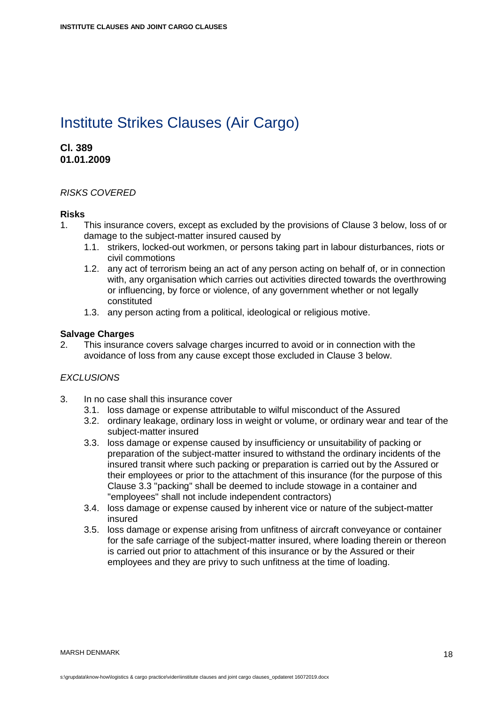# Institute Strikes Clauses (Air Cargo)

**Cl. 389 01.01.2009**

### *RISKS COVERED*

### **Risks**

- 1. This insurance covers, except as excluded by the provisions of Clause 3 below, loss of or damage to the subject-matter insured caused by
	- 1.1. strikers, locked-out workmen, or persons taking part in labour disturbances, riots or civil commotions
	- 1.2. any act of terrorism being an act of any person acting on behalf of, or in connection with, any organisation which carries out activities directed towards the overthrowing or influencing, by force or violence, of any government whether or not legally constituted
	- 1.3. any person acting from a political, ideological or religious motive.

### **Salvage Charges**

2. This insurance covers salvage charges incurred to avoid or in connection with the avoidance of loss from any cause except those excluded in Clause 3 below.

### *EXCLUSIONS*

- 3. In no case shall this insurance cover
	- 3.1. loss damage or expense attributable to wilful misconduct of the Assured
	- 3.2. ordinary leakage, ordinary loss in weight or volume, or ordinary wear and tear of the subject-matter insured
	- 3.3. loss damage or expense caused by insufficiency or unsuitability of packing or preparation of the subject-matter insured to withstand the ordinary incidents of the insured transit where such packing or preparation is carried out by the Assured or their employees or prior to the attachment of this insurance (for the purpose of this Clause 3.3 "packing" shall be deemed to include stowage in a container and "employees" shall not include independent contractors)
	- 3.4. loss damage or expense caused by inherent vice or nature of the subject-matter insured

s:\grupdata\know-how\logistics & cargo practice\viden\institute clauses and joint cargo clauses\_opdateret 16072019.docx

3.5. loss damage or expense arising from unfitness of aircraft conveyance or container for the safe carriage of the subject-matter insured, where loading therein or thereon is carried out prior to attachment of this insurance or by the Assured or their employees and they are privy to such unfitness at the time of loading.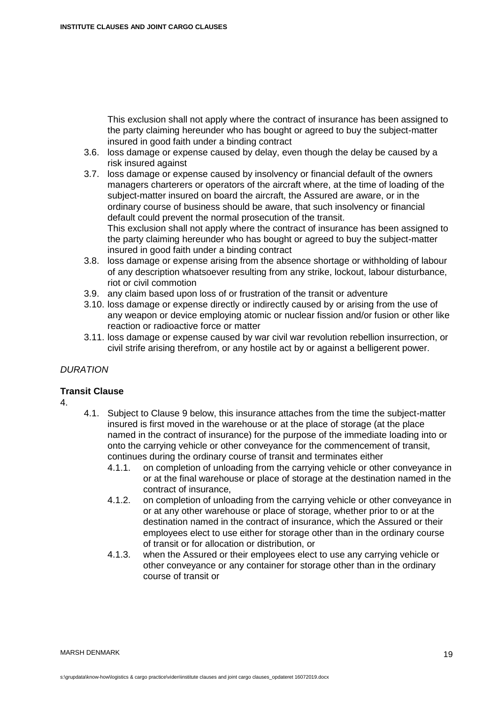This exclusion shall not apply where the contract of insurance has been assigned to the party claiming hereunder who has bought or agreed to buy the subject-matter insured in good faith under a binding contract

- 3.6. loss damage or expense caused by delay, even though the delay be caused by a risk insured against
- 3.7. loss damage or expense caused by insolvency or financial default of the owners managers charterers or operators of the aircraft where, at the time of loading of the subject-matter insured on board the aircraft, the Assured are aware, or in the ordinary course of business should be aware, that such insolvency or financial default could prevent the normal prosecution of the transit. This exclusion shall not apply where the contract of insurance has been assigned to the party claiming hereunder who has bought or agreed to buy the subject-matter insured in good faith under a binding contract
- 3.8. loss damage or expense arising from the absence shortage or withholding of labour of any description whatsoever resulting from any strike, lockout, labour disturbance, riot or civil commotion
- 3.9. any claim based upon loss of or frustration of the transit or adventure
- 3.10. loss damage or expense directly or indirectly caused by or arising from the use of any weapon or device employing atomic or nuclear fission and/or fusion or other like reaction or radioactive force or matter
- 3.11. loss damage or expense caused by war civil war revolution rebellion insurrection, or civil strife arising therefrom, or any hostile act by or against a belligerent power.

### *DURATION*

# **Transit Clause**

4.

- 4.1. Subject to Clause 9 below, this insurance attaches from the time the subject-matter insured is first moved in the warehouse or at the place of storage (at the place named in the contract of insurance) for the purpose of the immediate loading into or onto the carrying vehicle or other conveyance for the commencement of transit, continues during the ordinary course of transit and terminates either
	- 4.1.1. on completion of unloading from the carrying vehicle or other conveyance in or at the final warehouse or place of storage at the destination named in the contract of insurance,
	- 4.1.2. on completion of unloading from the carrying vehicle or other conveyance in or at any other warehouse or place of storage, whether prior to or at the destination named in the contract of insurance, which the Assured or their employees elect to use either for storage other than in the ordinary course of transit or for allocation or distribution, or
	- 4.1.3. when the Assured or their employees elect to use any carrying vehicle or other conveyance or any container for storage other than in the ordinary course of transit or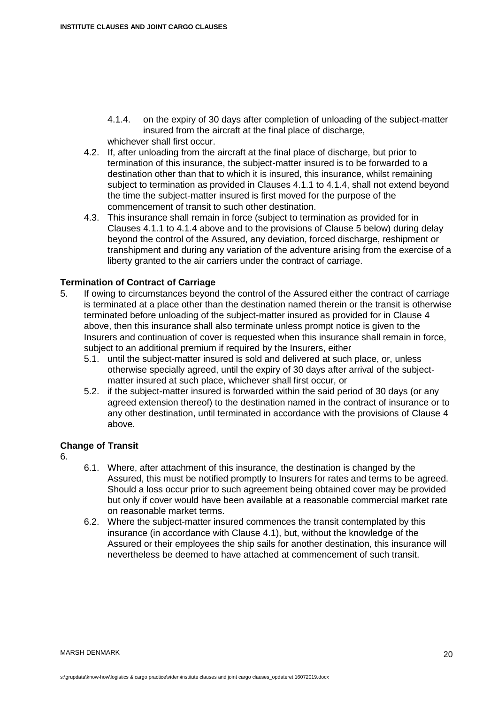- 4.1.4. on the expiry of 30 days after completion of unloading of the subject-matter insured from the aircraft at the final place of discharge, whichever shall first occur.
- 4.2. If, after unloading from the aircraft at the final place of discharge, but prior to termination of this insurance, the subject-matter insured is to be forwarded to a destination other than that to which it is insured, this insurance, whilst remaining subject to termination as provided in Clauses 4.1.1 to 4.1.4, shall not extend beyond the time the subject-matter insured is first moved for the purpose of the commencement of transit to such other destination.
	- 4.3. This insurance shall remain in force (subject to termination as provided for in Clauses 4.1.1 to 4.1.4 above and to the provisions of Clause 5 below) during delay beyond the control of the Assured, any deviation, forced discharge, reshipment or transhipment and during any variation of the adventure arising from the exercise of a liberty granted to the air carriers under the contract of carriage.

# **Termination of Contract of Carriage**

- 5. If owing to circumstances beyond the control of the Assured either the contract of carriage is terminated at a place other than the destination named therein or the transit is otherwise terminated before unloading of the subject-matter insured as provided for in Clause 4 above, then this insurance shall also terminate unless prompt notice is given to the Insurers and continuation of cover is requested when this insurance shall remain in force, subject to an additional premium if required by the Insurers, either
	- 5.1. until the subject-matter insured is sold and delivered at such place, or, unless otherwise specially agreed, until the expiry of 30 days after arrival of the subjectmatter insured at such place, whichever shall first occur, or
	- 5.2. if the subject-matter insured is forwarded within the said period of 30 days (or any agreed extension thereof) to the destination named in the contract of insurance or to any other destination, until terminated in accordance with the provisions of Clause 4 above.

### **Change of Transit**

6.

- 6.1. Where, after attachment of this insurance, the destination is changed by the Assured, this must be notified promptly to Insurers for rates and terms to be agreed. Should a loss occur prior to such agreement being obtained cover may be provided but only if cover would have been available at a reasonable commercial market rate on reasonable market terms.
- 6.2. Where the subject-matter insured commences the transit contemplated by this insurance (in accordance with Clause 4.1), but, without the knowledge of the Assured or their employees the ship sails for another destination, this insurance will nevertheless be deemed to have attached at commencement of such transit.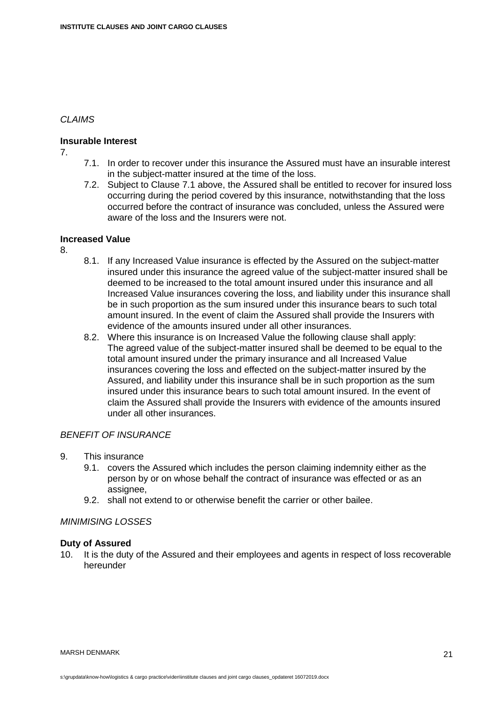# *CLAIMS*

# **Insurable Interest**

7.

- 7.1. In order to recover under this insurance the Assured must have an insurable interest in the subject-matter insured at the time of the loss.
- 7.2. Subject to Clause 7.1 above, the Assured shall be entitled to recover for insured loss occurring during the period covered by this insurance, notwithstanding that the loss occurred before the contract of insurance was concluded, unless the Assured were aware of the loss and the Insurers were not.

# **Increased Value**

- 8.
- 8.1. If any Increased Value insurance is effected by the Assured on the subject-matter insured under this insurance the agreed value of the subject-matter insured shall be deemed to be increased to the total amount insured under this insurance and all Increased Value insurances covering the loss, and liability under this insurance shall be in such proportion as the sum insured under this insurance bears to such total amount insured. In the event of claim the Assured shall provide the Insurers with evidence of the amounts insured under all other insurances.
- 8.2. Where this insurance is on Increased Value the following clause shall apply: The agreed value of the subject-matter insured shall be deemed to be equal to the total amount insured under the primary insurance and all Increased Value insurances covering the loss and effected on the subject-matter insured by the Assured, and liability under this insurance shall be in such proportion as the sum insured under this insurance bears to such total amount insured. In the event of claim the Assured shall provide the Insurers with evidence of the amounts insured under all other insurances.

# *BENEFIT OF INSURANCE*

- 9. This insurance
	- 9.1. covers the Assured which includes the person claiming indemnity either as the person by or on whose behalf the contract of insurance was effected or as an assignee,
	- 9.2. shall not extend to or otherwise benefit the carrier or other bailee.

### *MINIMISING LOSSES*

### **Duty of Assured**

10. It is the duty of the Assured and their employees and agents in respect of loss recoverable hereunder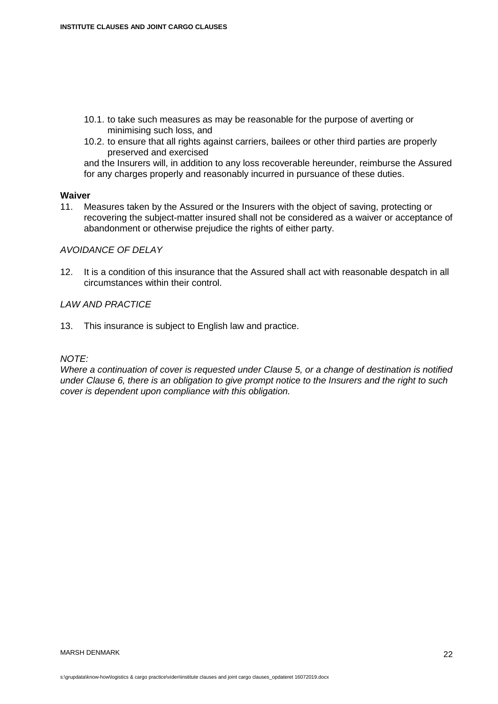- 10.1. to take such measures as may be reasonable for the purpose of averting or minimising such loss, and
- 10.2. to ensure that all rights against carriers, bailees or other third parties are properly preserved and exercised

and the Insurers will, in addition to any loss recoverable hereunder, reimburse the Assured for any charges properly and reasonably incurred in pursuance of these duties.

#### **Waiver**

11. Measures taken by the Assured or the Insurers with the object of saving, protecting or recovering the subject-matter insured shall not be considered as a waiver or acceptance of abandonment or otherwise prejudice the rights of either party.

# *AVOIDANCE OF DELAY*

12. It is a condition of this insurance that the Assured shall act with reasonable despatch in all circumstances within their control.

### *LAW AND PRACTICE*

13. This insurance is subject to English law and practice.

### *NOTE:*

*Where a continuation of cover is requested under Clause 5, or a change of destination is notified under Clause 6, there is an obligation to give prompt notice to the Insurers and the right to such cover is dependent upon compliance with this obligation.*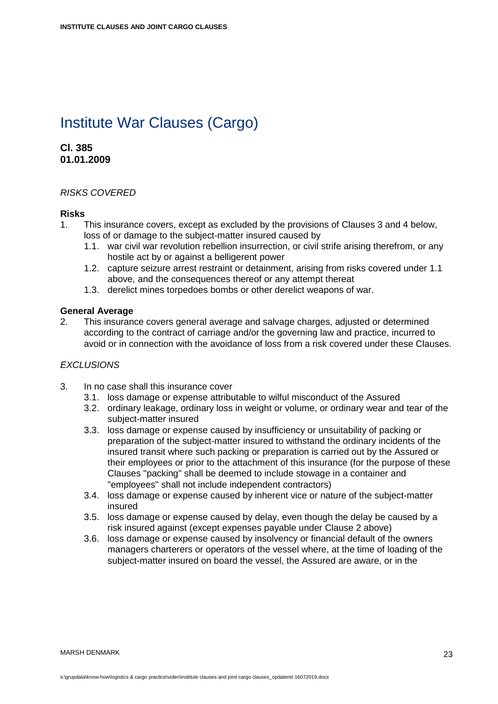# Institute War Clauses (Cargo)

**Cl. 385 01.01.2009**

### *RISKS COVERED*

### **Risks**

- 1. This insurance covers, except as excluded by the provisions of Clauses 3 and 4 below, loss of or damage to the subject-matter insured caused by
	- 1.1. war civil war revolution rebellion insurrection, or civil strife arising therefrom, or any hostile act by or against a belligerent power
	- 1.2. capture seizure arrest restraint or detainment, arising from risks covered under 1.1 above, and the consequences thereof or any attempt thereat
	- 1.3. derelict mines torpedoes bombs or other derelict weapons of war.

### **General Average**

2. This insurance covers general average and salvage charges, adjusted or determined according to the contract of carriage and/or the governing law and practice, incurred to avoid or in connection with the avoidance of loss from a risk covered under these Clauses.

# *EXCLUSIONS*

- 3. In no case shall this insurance cover
	- 3.1. loss damage or expense attributable to wilful misconduct of the Assured
	- 3.2. ordinary leakage, ordinary loss in weight or volume, or ordinary wear and tear of the subject-matter insured
	- 3.3. loss damage or expense caused by insufficiency or unsuitability of packing or preparation of the subject-matter insured to withstand the ordinary incidents of the insured transit where such packing or preparation is carried out by the Assured or their employees or prior to the attachment of this insurance (for the purpose of these Clauses "packing" shall be deemed to include stowage in a container and "employees" shall not include independent contractors)
	- 3.4. loss damage or expense caused by inherent vice or nature of the subject-matter insured
	- 3.5. loss damage or expense caused by delay, even though the delay be caused by a risk insured against (except expenses payable under Clause 2 above)
	- 3.6. loss damage or expense caused by insolvency or financial default of the owners managers charterers or operators of the vessel where, at the time of loading of the subject-matter insured on board the vessel, the Assured are aware, or in the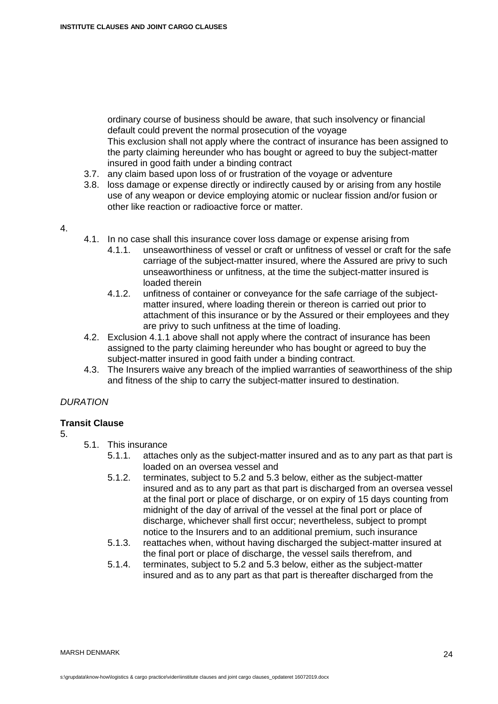ordinary course of business should be aware, that such insolvency or financial default could prevent the normal prosecution of the voyage

This exclusion shall not apply where the contract of insurance has been assigned to the party claiming hereunder who has bought or agreed to buy the subject-matter insured in good faith under a binding contract

- 3.7. any claim based upon loss of or frustration of the voyage or adventure
- 3.8. loss damage or expense directly or indirectly caused by or arising from any hostile use of any weapon or device employing atomic or nuclear fission and/or fusion or other like reaction or radioactive force or matter.
- 4.
- 4.1. In no case shall this insurance cover loss damage or expense arising from
	- 4.1.1. unseaworthiness of vessel or craft or unfitness of vessel or craft for the safe carriage of the subject-matter insured, where the Assured are privy to such unseaworthiness or unfitness, at the time the subject-matter insured is loaded therein
	- 4.1.2. unfitness of container or conveyance for the safe carriage of the subjectmatter insured, where loading therein or thereon is carried out prior to attachment of this insurance or by the Assured or their employees and they are privy to such unfitness at the time of loading.
- 4.2. Exclusion 4.1.1 above shall not apply where the contract of insurance has been assigned to the party claiming hereunder who has bought or agreed to buy the subject-matter insured in good faith under a binding contract.
- 4.3. The Insurers waive any breach of the implied warranties of seaworthiness of the ship and fitness of the ship to carry the subject-matter insured to destination.

# *DURATION*

### **Transit Clause**

- 5.
- 5.1. This insurance
	- 5.1.1. attaches only as the subject-matter insured and as to any part as that part is loaded on an oversea vessel and
	- 5.1.2. terminates, subject to 5.2 and 5.3 below, either as the subject-matter insured and as to any part as that part is discharged from an oversea vessel at the final port or place of discharge, or on expiry of 15 days counting from midnight of the day of arrival of the vessel at the final port or place of discharge, whichever shall first occur; nevertheless, subject to prompt notice to the Insurers and to an additional premium, such insurance
	- 5.1.3. reattaches when, without having discharged the subject-matter insured at the final port or place of discharge, the vessel sails therefrom, and
	- 5.1.4. terminates, subject to 5.2 and 5.3 below, either as the subject-matter insured and as to any part as that part is thereafter discharged from the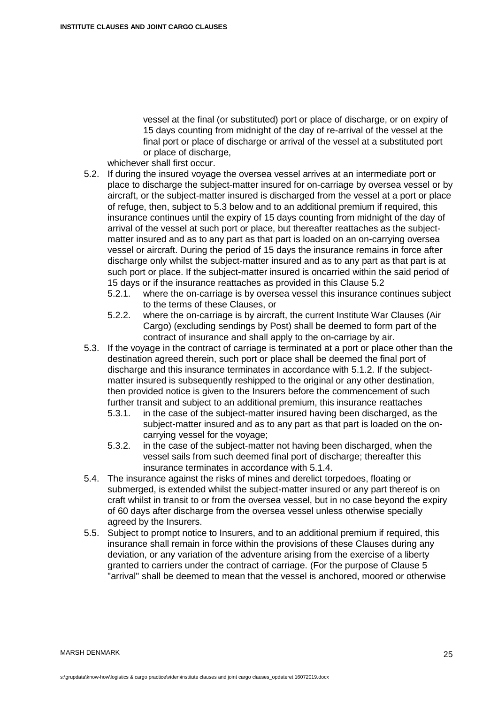vessel at the final (or substituted) port or place of discharge, or on expiry of 15 days counting from midnight of the day of re-arrival of the vessel at the final port or place of discharge or arrival of the vessel at a substituted port or place of discharge,

whichever shall first occur.

- 5.2. If during the insured voyage the oversea vessel arrives at an intermediate port or place to discharge the subject-matter insured for on-carriage by oversea vessel or by aircraft, or the subject-matter insured is discharged from the vessel at a port or place of refuge, then, subject to 5.3 below and to an additional premium if required, this insurance continues until the expiry of 15 days counting from midnight of the day of arrival of the vessel at such port or place, but thereafter reattaches as the subjectmatter insured and as to any part as that part is loaded on an on-carrying oversea vessel or aircraft. During the period of 15 days the insurance remains in force after discharge only whilst the subject-matter insured and as to any part as that part is at such port or place. If the subject-matter insured is oncarried within the said period of 15 days or if the insurance reattaches as provided in this Clause 5.2
	- 5.2.1. where the on-carriage is by oversea vessel this insurance continues subject to the terms of these Clauses, or
	- 5.2.2. where the on-carriage is by aircraft, the current Institute War Clauses (Air Cargo) (excluding sendings by Post) shall be deemed to form part of the contract of insurance and shall apply to the on-carriage by air.
- 5.3. If the voyage in the contract of carriage is terminated at a port or place other than the destination agreed therein, such port or place shall be deemed the final port of discharge and this insurance terminates in accordance with 5.1.2. If the subjectmatter insured is subsequently reshipped to the original or any other destination, then provided notice is given to the Insurers before the commencement of such further transit and subject to an additional premium, this insurance reattaches
	- 5.3.1. in the case of the subject-matter insured having been discharged, as the subject-matter insured and as to any part as that part is loaded on the oncarrying vessel for the voyage;
	- 5.3.2. in the case of the subject-matter not having been discharged, when the vessel sails from such deemed final port of discharge; thereafter this insurance terminates in accordance with 5.1.4.
- 5.4. The insurance against the risks of mines and derelict torpedoes, floating or submerged, is extended whilst the subject-matter insured or any part thereof is on craft whilst in transit to or from the oversea vessel, but in no case beyond the expiry of 60 days after discharge from the oversea vessel unless otherwise specially agreed by the Insurers.
- 5.5. Subject to prompt notice to Insurers, and to an additional premium if required, this insurance shall remain in force within the provisions of these Clauses during any deviation, or any variation of the adventure arising from the exercise of a liberty granted to carriers under the contract of carriage. (For the purpose of Clause 5 "arrival" shall be deemed to mean that the vessel is anchored, moored or otherwise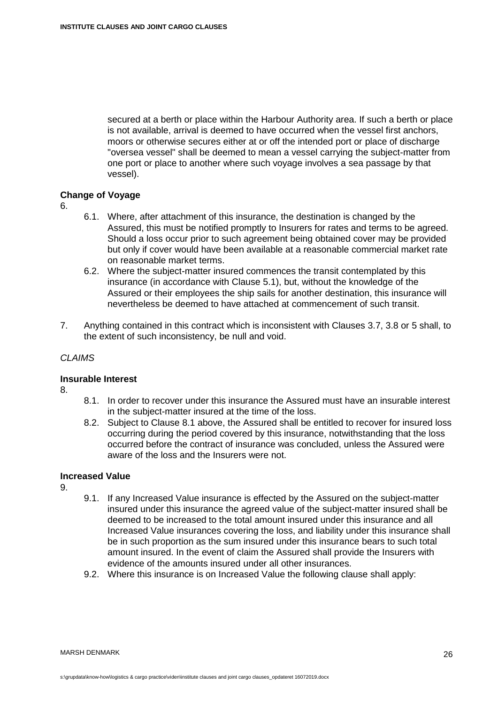secured at a berth or place within the Harbour Authority area. If such a berth or place is not available, arrival is deemed to have occurred when the vessel first anchors, moors or otherwise secures either at or off the intended port or place of discharge "oversea vessel" shall be deemed to mean a vessel carrying the subject-matter from one port or place to another where such voyage involves a sea passage by that vessel).

### **Change of Voyage**

6.

- 6.1. Where, after attachment of this insurance, the destination is changed by the Assured, this must be notified promptly to Insurers for rates and terms to be agreed. Should a loss occur prior to such agreement being obtained cover may be provided but only if cover would have been available at a reasonable commercial market rate on reasonable market terms.
- 6.2. Where the subject-matter insured commences the transit contemplated by this insurance (in accordance with Clause 5.1), but, without the knowledge of the Assured or their employees the ship sails for another destination, this insurance will nevertheless be deemed to have attached at commencement of such transit.
- 7. Anything contained in this contract which is inconsistent with Clauses 3.7, 3.8 or 5 shall, to the extent of such inconsistency, be null and void.

### *CLAIMS*

# **Insurable Interest**

8.

- 8.1. In order to recover under this insurance the Assured must have an insurable interest in the subject-matter insured at the time of the loss.
- 8.2. Subject to Clause 8.1 above, the Assured shall be entitled to recover for insured loss occurring during the period covered by this insurance, notwithstanding that the loss occurred before the contract of insurance was concluded, unless the Assured were aware of the loss and the Insurers were not.

# **Increased Value**

9.

- 9.1. If any Increased Value insurance is effected by the Assured on the subject-matter insured under this insurance the agreed value of the subject-matter insured shall be deemed to be increased to the total amount insured under this insurance and all Increased Value insurances covering the loss, and liability under this insurance shall be in such proportion as the sum insured under this insurance bears to such total amount insured. In the event of claim the Assured shall provide the Insurers with evidence of the amounts insured under all other insurances.
- 9.2. Where this insurance is on Increased Value the following clause shall apply: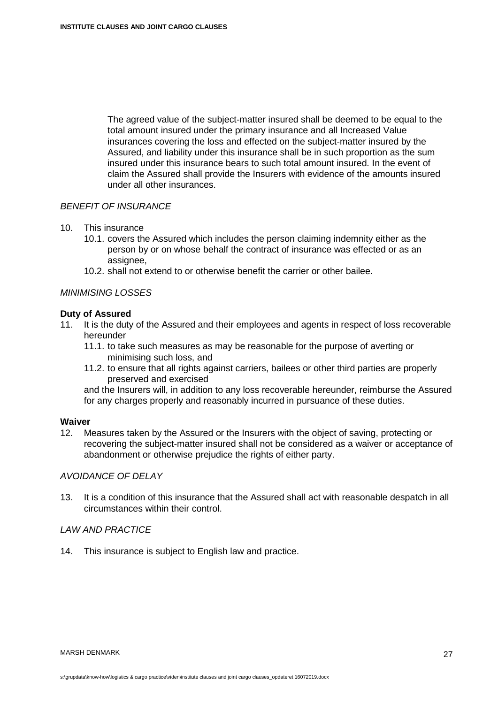The agreed value of the subject-matter insured shall be deemed to be equal to the total amount insured under the primary insurance and all Increased Value insurances covering the loss and effected on the subject-matter insured by the Assured, and liability under this insurance shall be in such proportion as the sum insured under this insurance bears to such total amount insured. In the event of claim the Assured shall provide the Insurers with evidence of the amounts insured under all other insurances.

# *BENEFIT OF INSURANCE*

- 10. This insurance
	- 10.1. covers the Assured which includes the person claiming indemnity either as the person by or on whose behalf the contract of insurance was effected or as an assignee,
	- 10.2. shall not extend to or otherwise benefit the carrier or other bailee.

# *MINIMISING LOSSES*

### **Duty of Assured**

- 11. It is the duty of the Assured and their employees and agents in respect of loss recoverable hereunder
	- 11.1. to take such measures as may be reasonable for the purpose of averting or minimising such loss, and
	- 11.2. to ensure that all rights against carriers, bailees or other third parties are properly preserved and exercised

and the Insurers will, in addition to any loss recoverable hereunder, reimburse the Assured for any charges properly and reasonably incurred in pursuance of these duties.

### **Waiver**

12. Measures taken by the Assured or the Insurers with the object of saving, protecting or recovering the subject-matter insured shall not be considered as a waiver or acceptance of abandonment or otherwise prejudice the rights of either party.

### *AVOIDANCE OF DELAY*

13. It is a condition of this insurance that the Assured shall act with reasonable despatch in all circumstances within their control.

### *LAW AND PRACTICE*

14. This insurance is subject to English law and practice.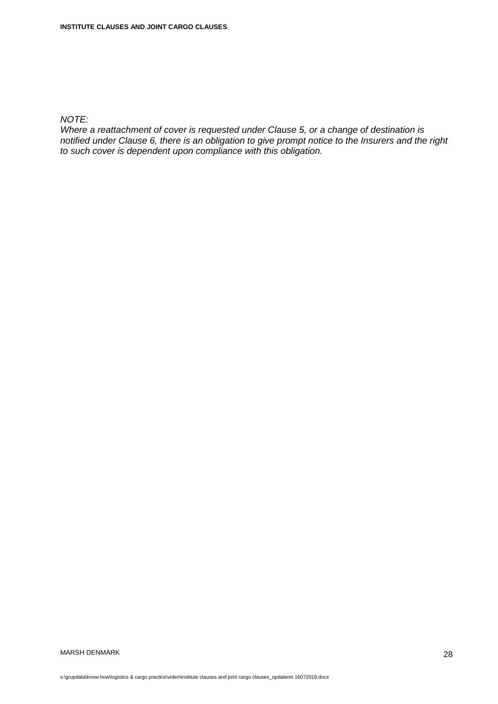# *NOTE:*

*Where a reattachment of cover is requested under Clause 5, or a change of destination is notified under Clause 6, there is an obligation to give prompt notice to the Insurers and the right to such cover is dependent upon compliance with this obligation.*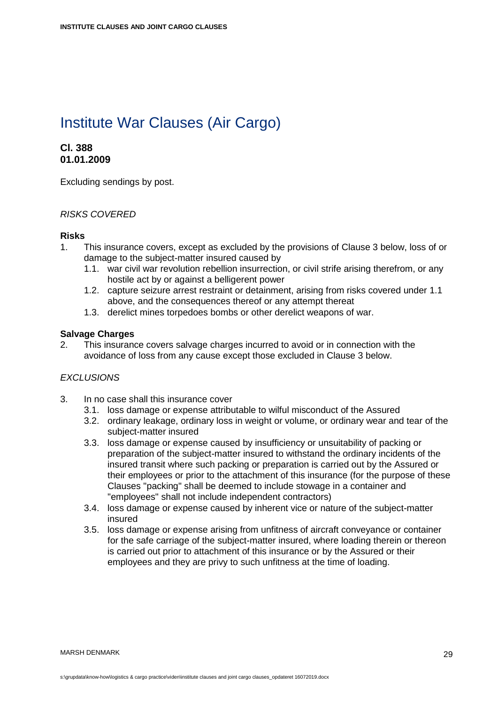# Institute War Clauses (Air Cargo)

**Cl. 388 01.01.2009**

Excluding sendings by post.

### *RISKS COVERED*

# **Risks**

- 1. This insurance covers, except as excluded by the provisions of Clause 3 below, loss of or damage to the subject-matter insured caused by
	- 1.1. war civil war revolution rebellion insurrection, or civil strife arising therefrom, or any hostile act by or against a belligerent power
	- 1.2. capture seizure arrest restraint or detainment, arising from risks covered under 1.1 above, and the consequences thereof or any attempt thereat
	- 1.3. derelict mines torpedoes bombs or other derelict weapons of war.

### **Salvage Charges**

2. This insurance covers salvage charges incurred to avoid or in connection with the avoidance of loss from any cause except those excluded in Clause 3 below.

### *EXCLUSIONS*

- 3. In no case shall this insurance cover
	- 3.1. loss damage or expense attributable to wilful misconduct of the Assured
	- 3.2. ordinary leakage, ordinary loss in weight or volume, or ordinary wear and tear of the subject-matter insured
	- 3.3. loss damage or expense caused by insufficiency or unsuitability of packing or preparation of the subject-matter insured to withstand the ordinary incidents of the insured transit where such packing or preparation is carried out by the Assured or their employees or prior to the attachment of this insurance (for the purpose of these Clauses "packing" shall be deemed to include stowage in a container and "employees" shall not include independent contractors)
	- 3.4. loss damage or expense caused by inherent vice or nature of the subject-matter insured
	- 3.5. loss damage or expense arising from unfitness of aircraft conveyance or container for the safe carriage of the subject-matter insured, where loading therein or thereon is carried out prior to attachment of this insurance or by the Assured or their employees and they are privy to such unfitness at the time of loading.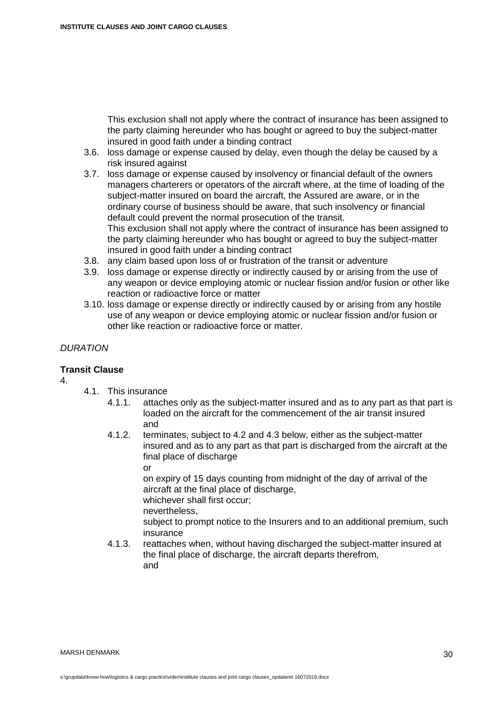This exclusion shall not apply where the contract of insurance has been assigned to the party claiming hereunder who has bought or agreed to buy the subject-matter insured in good faith under a binding contract

- 3.6. loss damage or expense caused by delay, even though the delay be caused by a risk insured against
- 3.7. loss damage or expense caused by insolvency or financial default of the owners managers charterers or operators of the aircraft where, at the time of loading of the subject-matter insured on board the aircraft, the Assured are aware, or in the ordinary course of business should be aware, that such insolvency or financial default could prevent the normal prosecution of the transit. This exclusion shall not apply where the contract of insurance has been assigned to the party claiming hereunder who has bought or agreed to buy the subject-matter insured in good faith under a binding contract
- 3.8. any claim based upon loss of or frustration of the transit or adventure
- 3.9. loss damage or expense directly or indirectly caused by or arising from the use of any weapon or device employing atomic or nuclear fission and/or fusion or other like reaction or radioactive force or matter
- 3.10. loss damage or expense directly or indirectly caused by or arising from any hostile use of any weapon or device employing atomic or nuclear fission and/or fusion or other like reaction or radioactive force or matter.

### *DURATION*

### **Transit Clause**

4.

- 4.1. This insurance
	- 4.1.1. attaches only as the subject-matter insured and as to any part as that part is loaded on the aircraft for the commencement of the air transit insured and
	- 4.1.2. terminates, subject to 4.2 and 4.3 below, either as the subject-matter insured and as to any part as that part is discharged from the aircraft at the final place of discharge or

on expiry of 15 days counting from midnight of the day of arrival of the aircraft at the final place of discharge, whichever shall first occur:

nevertheless,

subject to prompt notice to the Insurers and to an additional premium, such insurance

4.1.3. reattaches when, without having discharged the subject-matter insured at the final place of discharge, the aircraft departs therefrom, and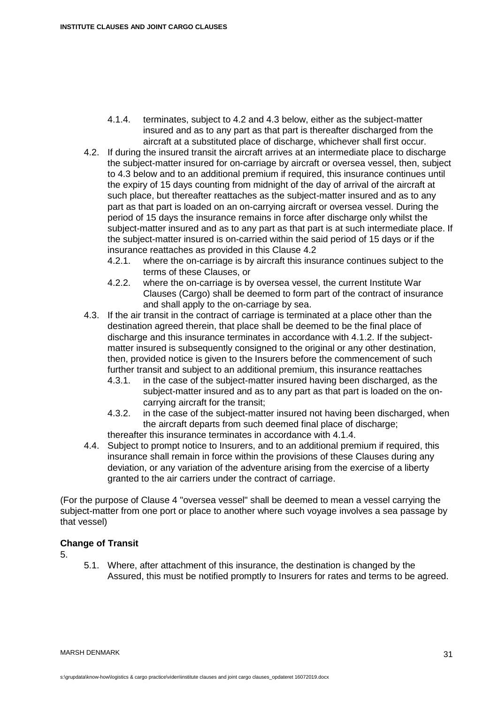- 4.1.4. terminates, subject to 4.2 and 4.3 below, either as the subject-matter insured and as to any part as that part is thereafter discharged from the aircraft at a substituted place of discharge, whichever shall first occur.
- 4.2. If during the insured transit the aircraft arrives at an intermediate place to discharge the subject-matter insured for on-carriage by aircraft or oversea vessel, then, subject to 4.3 below and to an additional premium if required, this insurance continues until the expiry of 15 days counting from midnight of the day of arrival of the aircraft at such place, but thereafter reattaches as the subject-matter insured and as to any part as that part is loaded on an on-carrying aircraft or oversea vessel. During the period of 15 days the insurance remains in force after discharge only whilst the subject-matter insured and as to any part as that part is at such intermediate place. If the subject-matter insured is on-carried within the said period of 15 days or if the insurance reattaches as provided in this Clause 4.2
	- 4.2.1. where the on-carriage is by aircraft this insurance continues subject to the terms of these Clauses, or
	- 4.2.2. where the on-carriage is by oversea vessel, the current Institute War Clauses (Cargo) shall be deemed to form part of the contract of insurance and shall apply to the on-carriage by sea.
- 4.3. If the air transit in the contract of carriage is terminated at a place other than the destination agreed therein, that place shall be deemed to be the final place of discharge and this insurance terminates in accordance with 4.1.2. If the subjectmatter insured is subsequently consigned to the original or any other destination, then, provided notice is given to the Insurers before the commencement of such further transit and subject to an additional premium, this insurance reattaches
	- 4.3.1. in the case of the subject-matter insured having been discharged, as the subject-matter insured and as to any part as that part is loaded on the oncarrying aircraft for the transit;
	- 4.3.2. in the case of the subject-matter insured not having been discharged, when the aircraft departs from such deemed final place of discharge; thereafter this insurance terminates in accordance with 4.1.4.
- 4.4. Subject to prompt notice to Insurers, and to an additional premium if required, this insurance shall remain in force within the provisions of these Clauses during any deviation, or any variation of the adventure arising from the exercise of a liberty granted to the air carriers under the contract of carriage.

(For the purpose of Clause 4 "oversea vessel" shall be deemed to mean a vessel carrying the subject-matter from one port or place to another where such voyage involves a sea passage by that vessel)

# **Change of Transit**

5.

5.1. Where, after attachment of this insurance, the destination is changed by the Assured, this must be notified promptly to Insurers for rates and terms to be agreed.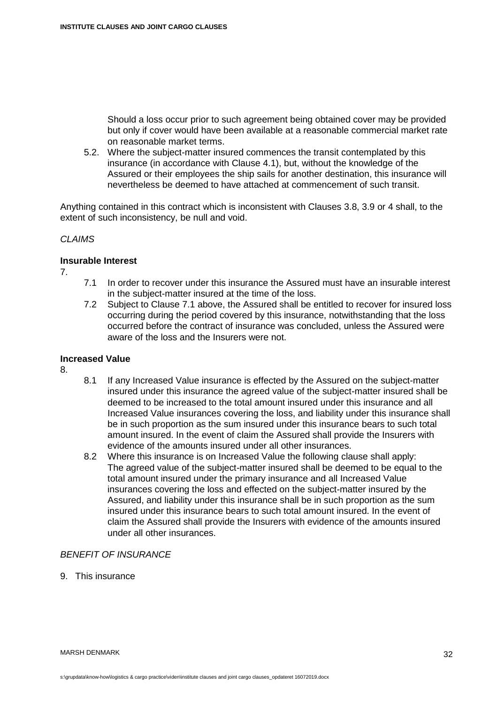Should a loss occur prior to such agreement being obtained cover may be provided but only if cover would have been available at a reasonable commercial market rate on reasonable market terms.

5.2. Where the subject-matter insured commences the transit contemplated by this insurance (in accordance with Clause 4.1), but, without the knowledge of the Assured or their employees the ship sails for another destination, this insurance will nevertheless be deemed to have attached at commencement of such transit.

Anything contained in this contract which is inconsistent with Clauses 3.8, 3.9 or 4 shall, to the extent of such inconsistency, be null and void.

### *CLAIMS*

### **Insurable Interest**

7.

- 7.1 In order to recover under this insurance the Assured must have an insurable interest in the subject-matter insured at the time of the loss.
- 7.2 Subject to Clause 7.1 above, the Assured shall be entitled to recover for insured loss occurring during the period covered by this insurance, notwithstanding that the loss occurred before the contract of insurance was concluded, unless the Assured were aware of the loss and the Insurers were not.

# **Increased Value**

8.

- 8.1 If any Increased Value insurance is effected by the Assured on the subject-matter insured under this insurance the agreed value of the subject-matter insured shall be deemed to be increased to the total amount insured under this insurance and all Increased Value insurances covering the loss, and liability under this insurance shall be in such proportion as the sum insured under this insurance bears to such total amount insured. In the event of claim the Assured shall provide the Insurers with evidence of the amounts insured under all other insurances.
- 8.2 Where this insurance is on Increased Value the following clause shall apply: The agreed value of the subject-matter insured shall be deemed to be equal to the total amount insured under the primary insurance and all Increased Value insurances covering the loss and effected on the subject-matter insured by the Assured, and liability under this insurance shall be in such proportion as the sum insured under this insurance bears to such total amount insured. In the event of claim the Assured shall provide the Insurers with evidence of the amounts insured under all other insurances.

# *BENEFIT OF INSURANCE*

9. This insurance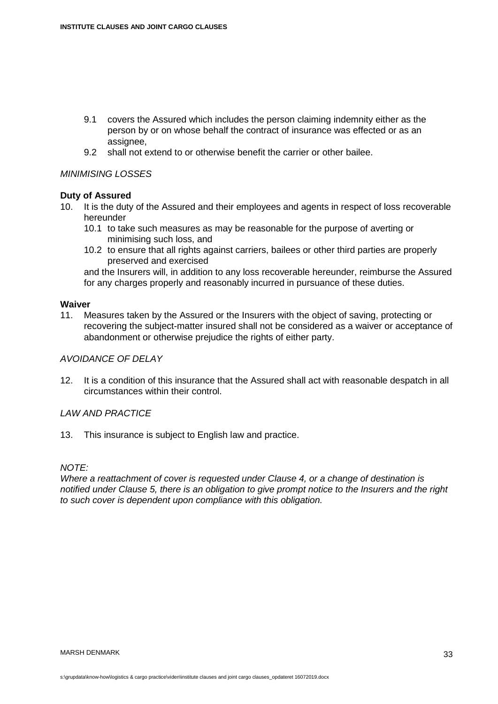- 9.1 covers the Assured which includes the person claiming indemnity either as the person by or on whose behalf the contract of insurance was effected or as an assignee,
- 9.2 shall not extend to or otherwise benefit the carrier or other bailee.

### *MINIMISING LOSSES*

### **Duty of Assured**

- 10. It is the duty of the Assured and their employees and agents in respect of loss recoverable hereunder
	- 10.1 to take such measures as may be reasonable for the purpose of averting or minimising such loss, and
	- 10.2 to ensure that all rights against carriers, bailees or other third parties are properly preserved and exercised

and the Insurers will, in addition to any loss recoverable hereunder, reimburse the Assured for any charges properly and reasonably incurred in pursuance of these duties.

#### **Waiver**

11. Measures taken by the Assured or the Insurers with the object of saving, protecting or recovering the subject-matter insured shall not be considered as a waiver or acceptance of abandonment or otherwise prejudice the rights of either party.

# *AVOIDANCE OF DELAY*

12. It is a condition of this insurance that the Assured shall act with reasonable despatch in all circumstances within their control.

# *LAW AND PRACTICE*

13. This insurance is subject to English law and practice.

#### *NOTE:*

*Where a reattachment of cover is requested under Clause 4, or a change of destination is notified under Clause 5, there is an obligation to give prompt notice to the Insurers and the right to such cover is dependent upon compliance with this obligation.*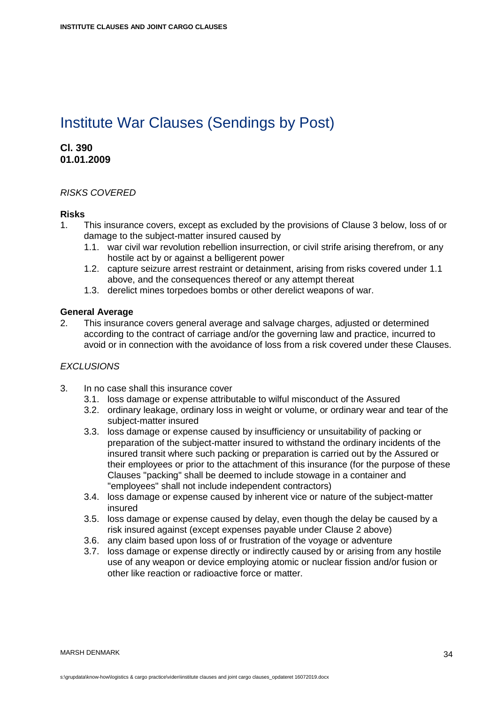# Institute War Clauses (Sendings by Post)

**Cl. 390 01.01.2009**

#### *RISKS COVERED*

#### **Risks**

- 1. This insurance covers, except as excluded by the provisions of Clause 3 below, loss of or damage to the subject-matter insured caused by
	- 1.1. war civil war revolution rebellion insurrection, or civil strife arising therefrom, or any hostile act by or against a belligerent power
	- 1.2. capture seizure arrest restraint or detainment, arising from risks covered under 1.1 above, and the consequences thereof or any attempt thereat
	- 1.3. derelict mines torpedoes bombs or other derelict weapons of war.

#### **General Average**

2. This insurance covers general average and salvage charges, adjusted or determined according to the contract of carriage and/or the governing law and practice, incurred to avoid or in connection with the avoidance of loss from a risk covered under these Clauses.

### *EXCLUSIONS*

- 3. In no case shall this insurance cover
	- 3.1. loss damage or expense attributable to wilful misconduct of the Assured
	- 3.2. ordinary leakage, ordinary loss in weight or volume, or ordinary wear and tear of the subject-matter insured
	- 3.3. loss damage or expense caused by insufficiency or unsuitability of packing or preparation of the subject-matter insured to withstand the ordinary incidents of the insured transit where such packing or preparation is carried out by the Assured or their employees or prior to the attachment of this insurance (for the purpose of these Clauses "packing" shall be deemed to include stowage in a container and "employees" shall not include independent contractors)
	- 3.4. loss damage or expense caused by inherent vice or nature of the subject-matter insured
	- 3.5. loss damage or expense caused by delay, even though the delay be caused by a risk insured against (except expenses payable under Clause 2 above)
	- 3.6. any claim based upon loss of or frustration of the voyage or adventure
	- 3.7. loss damage or expense directly or indirectly caused by or arising from any hostile use of any weapon or device employing atomic or nuclear fission and/or fusion or other like reaction or radioactive force or matter.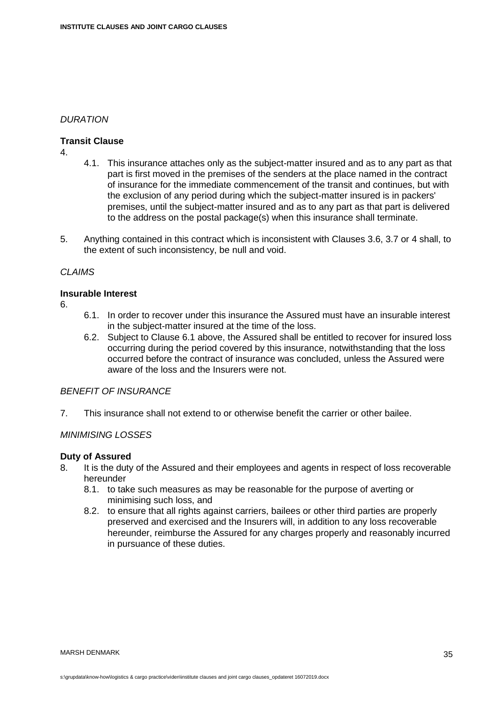#### *DURATION*

## **Transit Clause**

4.

- 4.1. This insurance attaches only as the subject-matter insured and as to any part as that part is first moved in the premises of the senders at the place named in the contract of insurance for the immediate commencement of the transit and continues, but with the exclusion of any period during which the subject-matter insured is in packers' premises, until the subject-matter insured and as to any part as that part is delivered to the address on the postal package(s) when this insurance shall terminate.
- 5. Anything contained in this contract which is inconsistent with Clauses 3.6, 3.7 or 4 shall, to the extent of such inconsistency, be null and void.

### *CLAIMS*

#### **Insurable Interest**

6.

- 6.1. In order to recover under this insurance the Assured must have an insurable interest in the subject-matter insured at the time of the loss.
- 6.2. Subject to Clause 6.1 above, the Assured shall be entitled to recover for insured loss occurring during the period covered by this insurance, notwithstanding that the loss occurred before the contract of insurance was concluded, unless the Assured were aware of the loss and the Insurers were not.

#### *BENEFIT OF INSURANCE*

7. This insurance shall not extend to or otherwise benefit the carrier or other bailee.

## *MINIMISING LOSSES*

#### **Duty of Assured**

- 8. It is the duty of the Assured and their employees and agents in respect of loss recoverable hereunder
	- 8.1. to take such measures as may be reasonable for the purpose of averting or minimising such loss, and
	- 8.2. to ensure that all rights against carriers, bailees or other third parties are properly preserved and exercised and the Insurers will, in addition to any loss recoverable hereunder, reimburse the Assured for any charges properly and reasonably incurred in pursuance of these duties.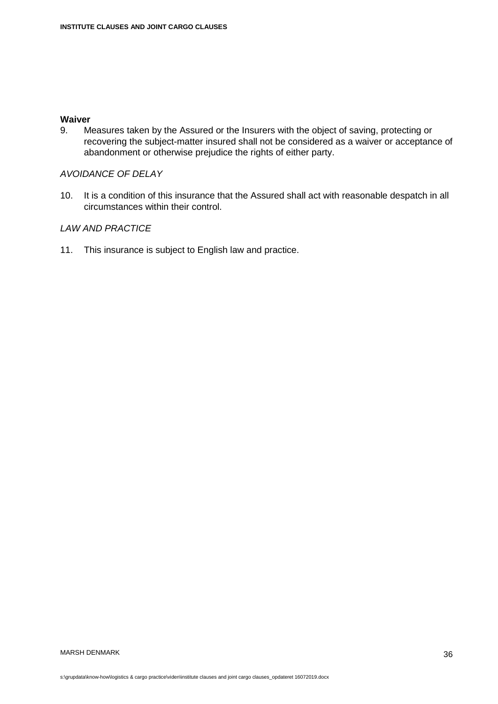#### **Waiver**

9. Measures taken by the Assured or the Insurers with the object of saving, protecting or recovering the subject-matter insured shall not be considered as a waiver or acceptance of abandonment or otherwise prejudice the rights of either party.

## *AVOIDANCE OF DELAY*

10. It is a condition of this insurance that the Assured shall act with reasonable despatch in all circumstances within their control.

## *LAW AND PRACTICE*

11. This insurance is subject to English law and practice.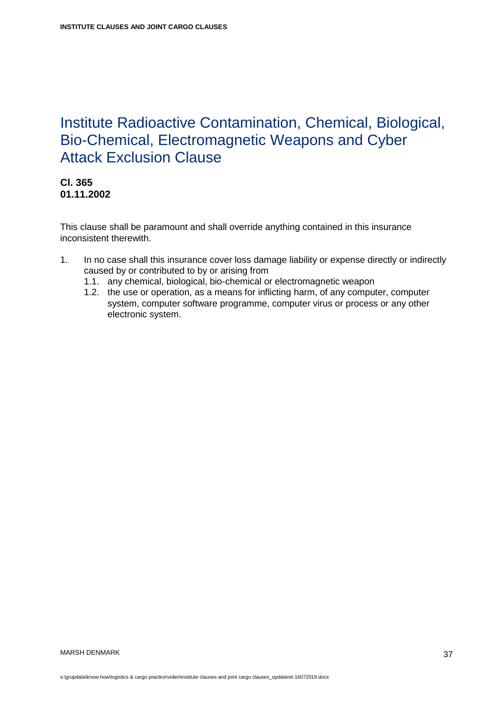# Institute Radioactive Contamination, Chemical, Biological, Bio-Chemical, Electromagnetic Weapons and Cyber Attack Exclusion Clause

**Cl. 365 01.11.2002**

This clause shall be paramount and shall override anything contained in this insurance inconsistent therewith.

- 1. In no case shall this insurance cover loss damage liability or expense directly or indirectly caused by or contributed to by or arising from
	- 1.1. any chemical, biological, bio-chemical or electromagnetic weapon
	- 1.2. the use or operation, as a means for inflicting harm, of any computer, computer system, computer software programme, computer virus or process or any other electronic system.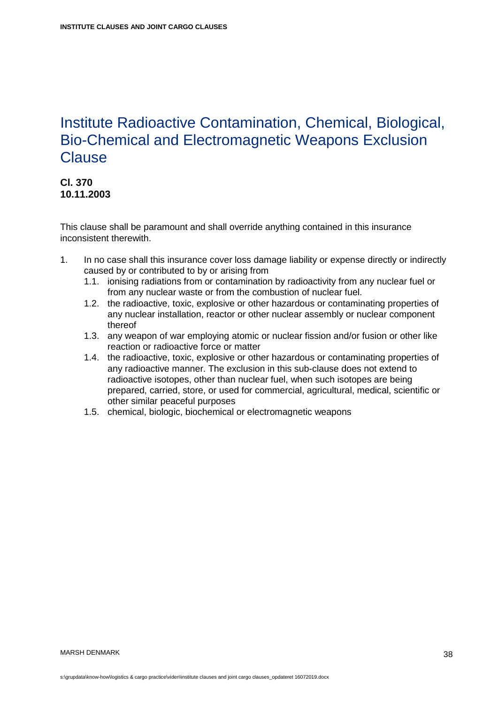# Institute Radioactive Contamination, Chemical, Biological, Bio-Chemical and Electromagnetic Weapons Exclusion Clause

## **Cl. 370 10.11.2003**

This clause shall be paramount and shall override anything contained in this insurance inconsistent therewith.

- 1. In no case shall this insurance cover loss damage liability or expense directly or indirectly caused by or contributed to by or arising from
	- 1.1. ionising radiations from or contamination by radioactivity from any nuclear fuel or from any nuclear waste or from the combustion of nuclear fuel.
	- 1.2. the radioactive, toxic, explosive or other hazardous or contaminating properties of any nuclear installation, reactor or other nuclear assembly or nuclear component thereof
	- 1.3. any weapon of war employing atomic or nuclear fission and/or fusion or other like reaction or radioactive force or matter
	- 1.4. the radioactive, toxic, explosive or other hazardous or contaminating properties of any radioactive manner. The exclusion in this sub-clause does not extend to radioactive isotopes, other than nuclear fuel, when such isotopes are being prepared, carried, store, or used for commercial, agricultural, medical, scientific or other similar peaceful purposes
	- 1.5. chemical, biologic, biochemical or electromagnetic weapons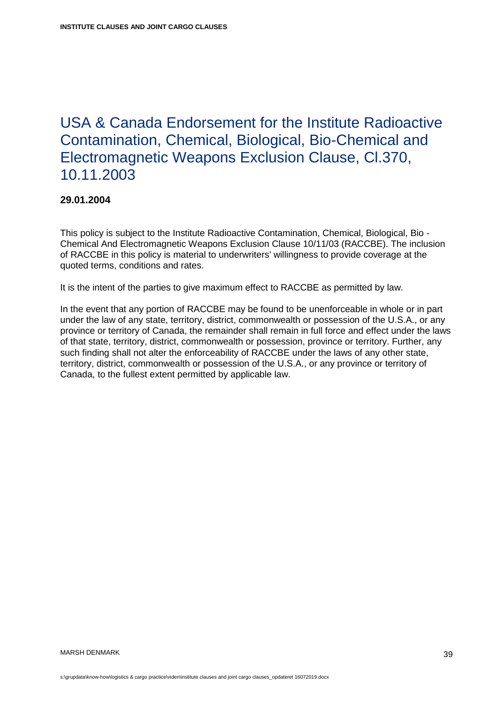# USA & Canada Endorsement for the Institute Radioactive Contamination, Chemical, Biological, Bio-Chemical and Electromagnetic Weapons Exclusion Clause, Cl.370, 10.11.2003

## **29.01.2004**

This policy is subject to the Institute Radioactive Contamination, Chemical, Biological, Bio - Chemical And Electromagnetic Weapons Exclusion Clause 10/11/03 (RACCBE). The inclusion of RACCBE in this policy is material to underwriters' willingness to provide coverage at the quoted terms, conditions and rates.

It is the intent of the parties to give maximum effect to RACCBE as permitted by law.

In the event that any portion of RACCBE may be found to be unenforceable in whole or in part under the law of any state, territory, district, commonwealth or possession of the U.S.A., or any province or territory of Canada, the remainder shall remain in full force and effect under the laws of that state, territory, district, commonwealth or possession, province or territory. Further, any such finding shall not alter the enforceability of RACCBE under the laws of any other state, territory, district, commonwealth or possession of the U.S.A., or any province or territory of Canada, to the fullest extent permitted by applicable law.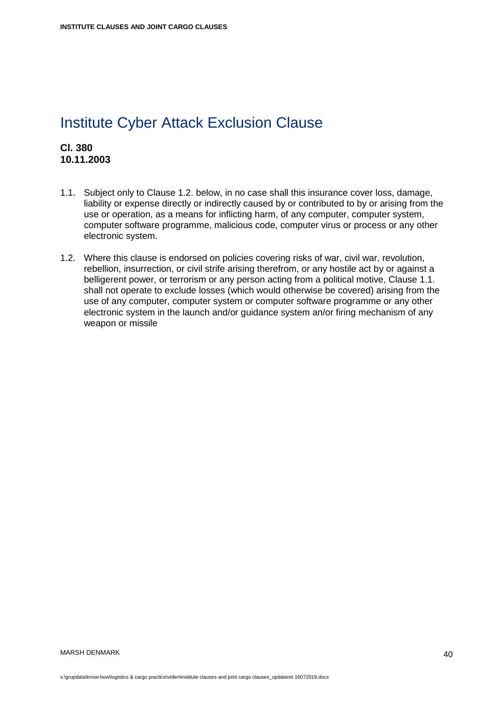# Institute Cyber Attack Exclusion Clause

## **Cl. 380 10.11.2003**

- 1.1. Subject only to Clause 1.2. below, in no case shall this insurance cover loss, damage, liability or expense directly or indirectly caused by or contributed to by or arising from the use or operation, as a means for inflicting harm, of any computer, computer system, computer software programme, malicious code, computer virus or process or any other electronic system.
- 1.2. Where this clause is endorsed on policies covering risks of war, civil war, revolution, rebellion, insurrection, or civil strife arising therefrom, or any hostile act by or against a belligerent power, or terrorism or any person acting from a political motive, Clause 1.1. shall not operate to exclude losses (which would otherwise be covered) arising from the use of any computer, computer system or computer software programme or any other electronic system in the launch and/or guidance system an/or firing mechanism of any weapon or missile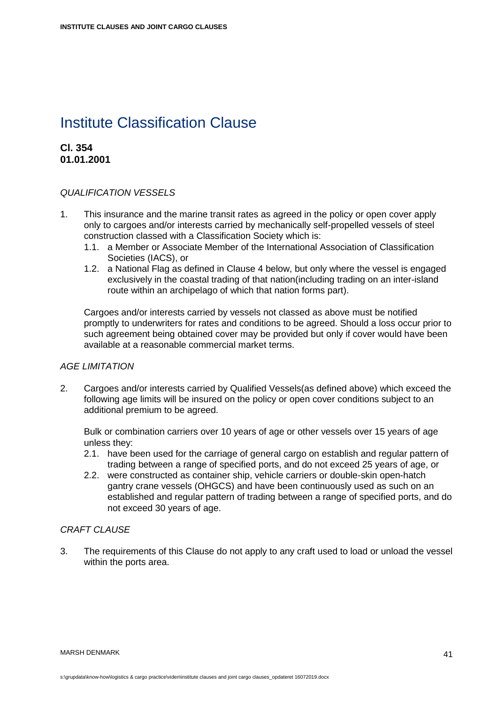## Institute Classification Clause

## **Cl. 354 01.01.2001**

#### *QUALIFICATION VESSELS*

- 1. This insurance and the marine transit rates as agreed in the policy or open cover apply only to cargoes and/or interests carried by mechanically self-propelled vessels of steel construction classed with a Classification Society which is:
	- 1.1. a Member or Associate Member of the International Association of Classification Societies (IACS), or
	- 1.2. a National Flag as defined in Clause 4 below, but only where the vessel is engaged exclusively in the coastal trading of that nation(including trading on an inter-island route within an archipelago of which that nation forms part).

Cargoes and/or interests carried by vessels not classed as above must be notified promptly to underwriters for rates and conditions to be agreed. Should a loss occur prior to such agreement being obtained cover may be provided but only if cover would have been available at a reasonable commercial market terms.

#### *AGE LIMITATION*

2. Cargoes and/or interests carried by Qualified Vessels(as defined above) which exceed the following age limits will be insured on the policy or open cover conditions subject to an additional premium to be agreed.

Bulk or combination carriers over 10 years of age or other vessels over 15 years of age unless they:

- 2.1. have been used for the carriage of general cargo on establish and regular pattern of trading between a range of specified ports, and do not exceed 25 years of age, or
- 2.2. were constructed as container ship, vehicle carriers or double-skin open-hatch gantry crane vessels (OHGCS) and have been continuously used as such on an established and regular pattern of trading between a range of specified ports, and do not exceed 30 years of age.

#### *CRAFT CLAUSE*

3. The requirements of this Clause do not apply to any craft used to load or unload the vessel within the ports area.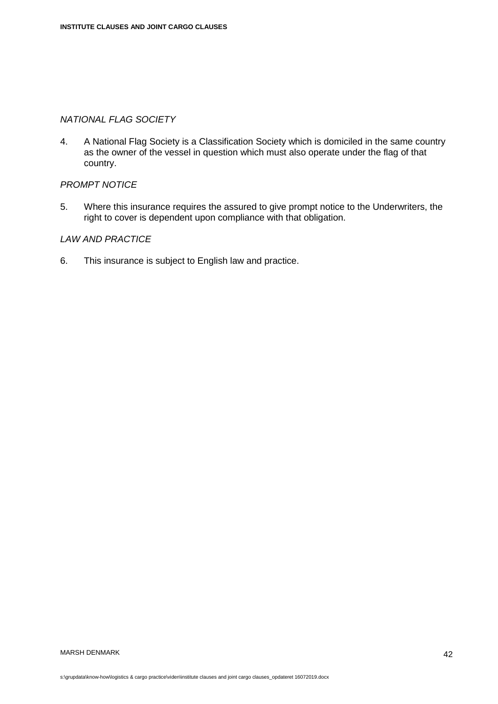## *NATIONAL FLAG SOCIETY*

4. A National Flag Society is a Classification Society which is domiciled in the same country as the owner of the vessel in question which must also operate under the flag of that country.

### *PROMPT NOTICE*

5. Where this insurance requires the assured to give prompt notice to the Underwriters, the right to cover is dependent upon compliance with that obligation.

## *LAW AND PRACTICE*

6. This insurance is subject to English law and practice.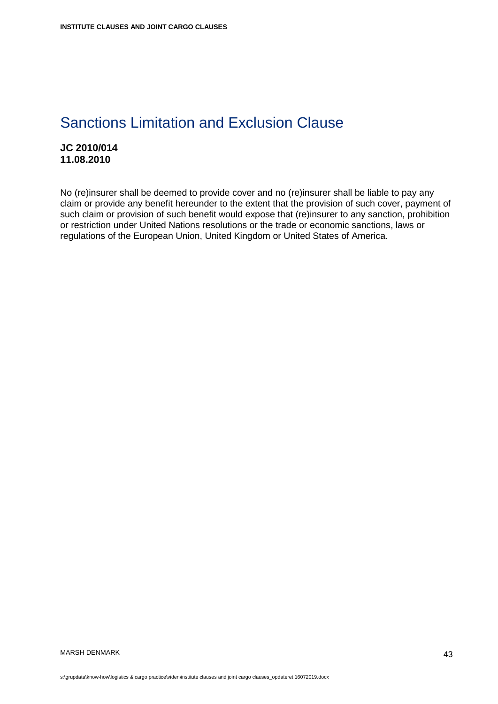## Sanctions Limitation and Exclusion Clause

## **JC 2010/014 11.08.2010**

No (re)insurer shall be deemed to provide cover and no (re)insurer shall be liable to pay any claim or provide any benefit hereunder to the extent that the provision of such cover, payment of such claim or provision of such benefit would expose that (re)insurer to any sanction, prohibition or restriction under United Nations resolutions or the trade or economic sanctions, laws or regulations of the European Union, United Kingdom or United States of America.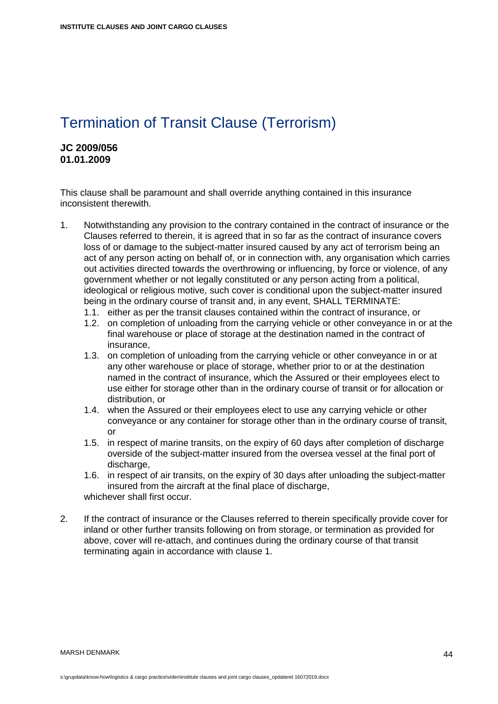# Termination of Transit Clause (Terrorism)

## **JC 2009/056 01.01.2009**

This clause shall be paramount and shall override anything contained in this insurance inconsistent therewith.

- 1. Notwithstanding any provision to the contrary contained in the contract of insurance or the Clauses referred to therein, it is agreed that in so far as the contract of insurance covers loss of or damage to the subject-matter insured caused by any act of terrorism being an act of any person acting on behalf of, or in connection with, any organisation which carries out activities directed towards the overthrowing or influencing, by force or violence, of any government whether or not legally constituted or any person acting from a political, ideological or religious motive, such cover is conditional upon the subject-matter insured being in the ordinary course of transit and, in any event, SHALL TERMINATE:
	- 1.1. either as per the transit clauses contained within the contract of insurance, or
	- 1.2. on completion of unloading from the carrying vehicle or other conveyance in or at the final warehouse or place of storage at the destination named in the contract of insurance,
	- 1.3. on completion of unloading from the carrying vehicle or other conveyance in or at any other warehouse or place of storage, whether prior to or at the destination named in the contract of insurance, which the Assured or their employees elect to use either for storage other than in the ordinary course of transit or for allocation or distribution, or
	- 1.4. when the Assured or their employees elect to use any carrying vehicle or other conveyance or any container for storage other than in the ordinary course of transit, or
	- 1.5. in respect of marine transits, on the expiry of 60 days after completion of discharge overside of the subject-matter insured from the oversea vessel at the final port of discharge.
	- 1.6. in respect of air transits, on the expiry of 30 days after unloading the subject-matter insured from the aircraft at the final place of discharge, whichever shall first occur.
	-
- 2. If the contract of insurance or the Clauses referred to therein specifically provide cover for inland or other further transits following on from storage, or termination as provided for above, cover will re-attach, and continues during the ordinary course of that transit terminating again in accordance with clause 1.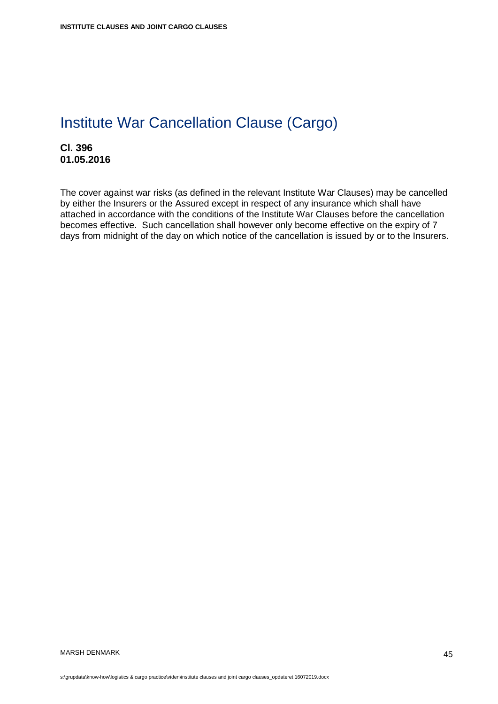# Institute War Cancellation Clause (Cargo)

**Cl. 396 01.05.2016**

The cover against war risks (as defined in the relevant Institute War Clauses) may be cancelled by either the Insurers or the Assured except in respect of any insurance which shall have attached in accordance with the conditions of the Institute War Clauses before the cancellation becomes effective. Such cancellation shall however only become effective on the expiry of 7 days from midnight of the day on which notice of the cancellation is issued by or to the Insurers.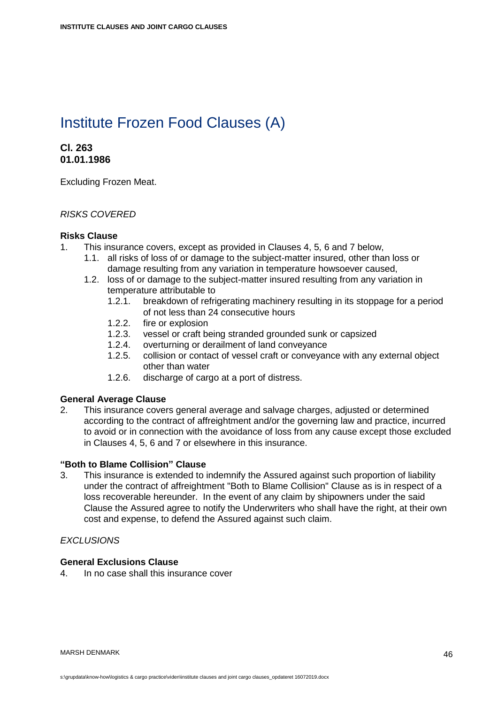## Institute Frozen Food Clauses (A)

**Cl. 263 01.01.1986**

Excluding Frozen Meat.

#### *RISKS COVERED*

#### **Risks Clause**

- 1. This insurance covers, except as provided in Clauses 4, 5, 6 and 7 below,
	- 1.1. all risks of loss of or damage to the subject-matter insured, other than loss or damage resulting from any variation in temperature howsoever caused,
	- 1.2. loss of or damage to the subject-matter insured resulting from any variation in temperature attributable to
		- 1.2.1. breakdown of refrigerating machinery resulting in its stoppage for a period of not less than 24 consecutive hours
		- 1.2.2. fire or explosion
		- 1.2.3. vessel or craft being stranded grounded sunk or capsized
		- 1.2.4. overturning or derailment of land conveyance
		- 1.2.5. collision or contact of vessel craft or conveyance with any external object other than water
		- 1.2.6. discharge of cargo at a port of distress.

#### **General Average Clause**

2. This insurance covers general average and salvage charges, adjusted or determined according to the contract of affreightment and/or the governing law and practice, incurred to avoid or in connection with the avoidance of loss from any cause except those excluded in Clauses 4, 5, 6 and 7 or elsewhere in this insurance.

#### **"Both to Blame Collision" Clause**

3. This insurance is extended to indemnify the Assured against such proportion of liability under the contract of affreightment "Both to Blame Collision" Clause as is in respect of a loss recoverable hereunder. In the event of any claim by shipowners under the said Clause the Assured agree to notify the Underwriters who shall have the right, at their own cost and expense, to defend the Assured against such claim.

#### *EXCLUSIONS*

#### **General Exclusions Clause**

4. In no case shall this insurance cover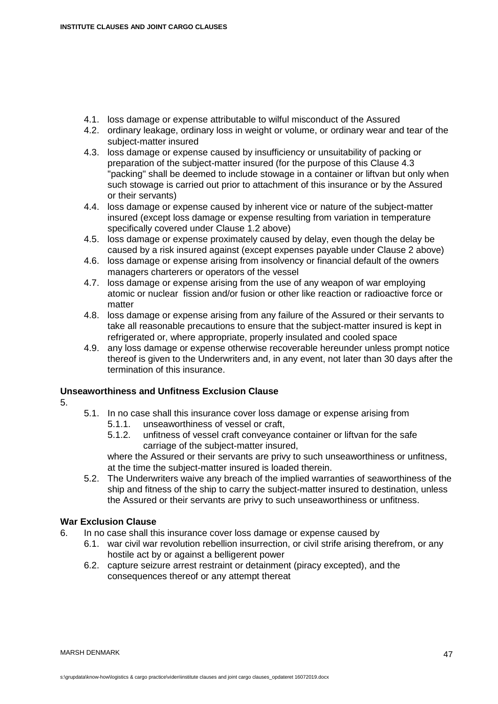- 4.1. loss damage or expense attributable to wilful misconduct of the Assured
- 4.2. ordinary leakage, ordinary loss in weight or volume, or ordinary wear and tear of the subject-matter insured
- 4.3. loss damage or expense caused by insufficiency or unsuitability of packing or preparation of the subject-matter insured (for the purpose of this Clause 4.3 "packing" shall be deemed to include stowage in a container or liftvan but only when such stowage is carried out prior to attachment of this insurance or by the Assured or their servants)
- 4.4. loss damage or expense caused by inherent vice or nature of the subject-matter insured (except loss damage or expense resulting from variation in temperature specifically covered under Clause 1.2 above)
- 4.5. loss damage or expense proximately caused by delay, even though the delay be caused by a risk insured against (except expenses payable under Clause 2 above)
- 4.6. loss damage or expense arising from insolvency or financial default of the owners managers charterers or operators of the vessel
- 4.7. loss damage or expense arising from the use of any weapon of war employing atomic or nuclear fission and/or fusion or other like reaction or radioactive force or matter
- 4.8. loss damage or expense arising from any failure of the Assured or their servants to take all reasonable precautions to ensure that the subject-matter insured is kept in refrigerated or, where appropriate, properly insulated and cooled space
- 4.9. any loss damage or expense otherwise recoverable hereunder unless prompt notice thereof is given to the Underwriters and, in any event, not later than 30 days after the termination of this insurance.

## **Unseaworthiness and Unfitness Exclusion Clause**

5.

- 5.1. In no case shall this insurance cover loss damage or expense arising from
	- 5.1.1. unseaworthiness of vessel or craft,
	- 5.1.2. unfitness of vessel craft conveyance container or liftvan for the safe carriage of the subject-matter insured,

where the Assured or their servants are privy to such unseaworthiness or unfitness, at the time the subject-matter insured is loaded therein.

5.2. The Underwriters waive any breach of the implied warranties of seaworthiness of the ship and fitness of the ship to carry the subject-matter insured to destination, unless the Assured or their servants are privy to such unseaworthiness or unfitness.

## **War Exclusion Clause**

- 6. In no case shall this insurance cover loss damage or expense caused by
	- 6.1. war civil war revolution rebellion insurrection, or civil strife arising therefrom, or any hostile act by or against a belligerent power
	- 6.2. capture seizure arrest restraint or detainment (piracy excepted), and the consequences thereof or any attempt thereat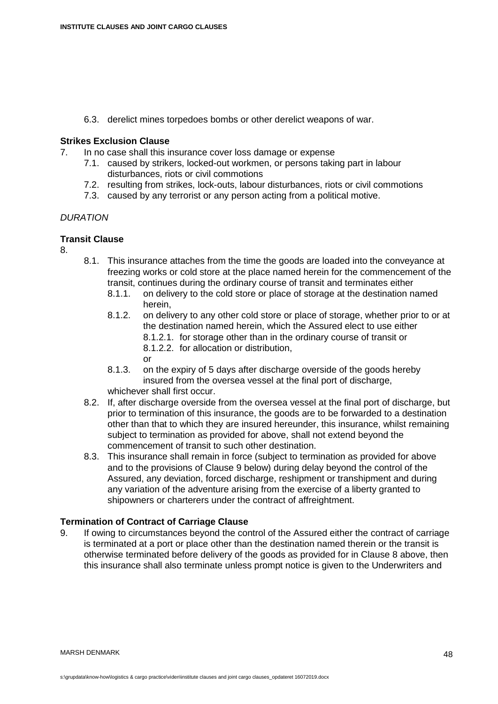6.3. derelict mines torpedoes bombs or other derelict weapons of war.

### **Strikes Exclusion Clause**

- 7. In no case shall this insurance cover loss damage or expense
	- 7.1. caused by strikers, locked-out workmen, or persons taking part in labour disturbances, riots or civil commotions
	- 7.2. resulting from strikes, lock-outs, labour disturbances, riots or civil commotions
	- 7.3. caused by any terrorist or any person acting from a political motive.

## *DURATION*

## **Transit Clause**

8.

- 8.1. This insurance attaches from the time the goods are loaded into the conveyance at freezing works or cold store at the place named herein for the commencement of the transit, continues during the ordinary course of transit and terminates either
	- 8.1.1. on delivery to the cold store or place of storage at the destination named herein,
	- 8.1.2. on delivery to any other cold store or place of storage, whether prior to or at the destination named herein, which the Assured elect to use either 8.1.2.1. for storage other than in the ordinary course of transit or 8.1.2.2. for allocation or distribution,
		- or
	- 8.1.3. on the expiry of 5 days after discharge overside of the goods hereby insured from the oversea vessel at the final port of discharge, whichever shall first occur.
- 8.2. If, after discharge overside from the oversea vessel at the final port of discharge, but prior to termination of this insurance, the goods are to be forwarded to a destination other than that to which they are insured hereunder, this insurance, whilst remaining subject to termination as provided for above, shall not extend beyond the commencement of transit to such other destination.
- 8.3. This insurance shall remain in force (subject to termination as provided for above and to the provisions of Clause 9 below) during delay beyond the control of the Assured, any deviation, forced discharge, reshipment or transhipment and during any variation of the adventure arising from the exercise of a liberty granted to shipowners or charterers under the contract of affreightment.

## **Termination of Contract of Carriage Clause**

9. If owing to circumstances beyond the control of the Assured either the contract of carriage is terminated at a port or place other than the destination named therein or the transit is otherwise terminated before delivery of the goods as provided for in Clause 8 above, then this insurance shall also terminate unless prompt notice is given to the Underwriters and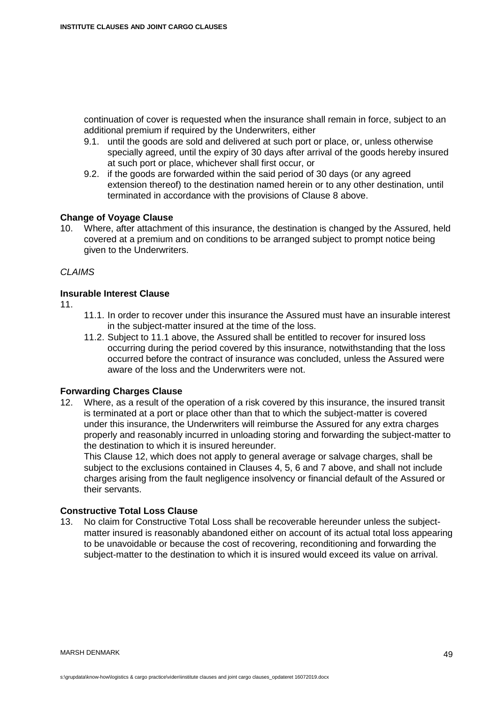continuation of cover is requested when the insurance shall remain in force, subject to an additional premium if required by the Underwriters, either

- 9.1. until the goods are sold and delivered at such port or place, or, unless otherwise specially agreed, until the expiry of 30 days after arrival of the goods hereby insured at such port or place, whichever shall first occur, or
- 9.2. if the goods are forwarded within the said period of 30 days (or any agreed extension thereof) to the destination named herein or to any other destination, until terminated in accordance with the provisions of Clause 8 above.

#### **Change of Voyage Clause**

10. Where, after attachment of this insurance, the destination is changed by the Assured, held covered at a premium and on conditions to be arranged subject to prompt notice being given to the Underwriters.

#### *CLAIMS*

#### **Insurable Interest Clause**

- 11.
- 11.1. In order to recover under this insurance the Assured must have an insurable interest in the subject-matter insured at the time of the loss.
- 11.2. Subject to 11.1 above, the Assured shall be entitled to recover for insured loss occurring during the period covered by this insurance, notwithstanding that the loss occurred before the contract of insurance was concluded, unless the Assured were aware of the loss and the Underwriters were not.

#### **Forwarding Charges Clause**

12. Where, as a result of the operation of a risk covered by this insurance, the insured transit is terminated at a port or place other than that to which the subject-matter is covered under this insurance, the Underwriters will reimburse the Assured for any extra charges properly and reasonably incurred in unloading storing and forwarding the subject-matter to the destination to which it is insured hereunder.

This Clause 12, which does not apply to general average or salvage charges, shall be subject to the exclusions contained in Clauses 4, 5, 6 and 7 above, and shall not include charges arising from the fault negligence insolvency or financial default of the Assured or their servants.

## **Constructive Total Loss Clause**

13. No claim for Constructive Total Loss shall be recoverable hereunder unless the subjectmatter insured is reasonably abandoned either on account of its actual total loss appearing to be unavoidable or because the cost of recovering, reconditioning and forwarding the subject-matter to the destination to which it is insured would exceed its value on arrival.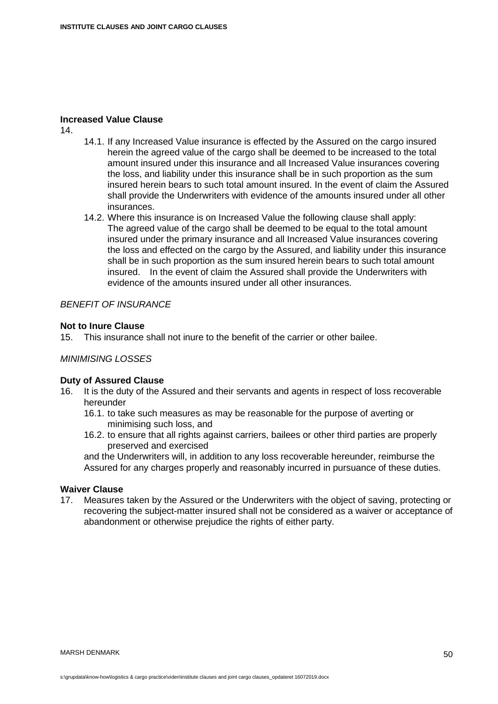#### **Increased Value Clause**

14.

- 14.1. If any Increased Value insurance is effected by the Assured on the cargo insured herein the agreed value of the cargo shall be deemed to be increased to the total amount insured under this insurance and all Increased Value insurances covering the loss, and liability under this insurance shall be in such proportion as the sum insured herein bears to such total amount insured. In the event of claim the Assured shall provide the Underwriters with evidence of the amounts insured under all other insurances.
- 14.2. Where this insurance is on Increased Value the following clause shall apply: The agreed value of the cargo shall be deemed to be equal to the total amount insured under the primary insurance and all Increased Value insurances covering the loss and effected on the cargo by the Assured, and liability under this insurance shall be in such proportion as the sum insured herein bears to such total amount insured. In the event of claim the Assured shall provide the Underwriters with evidence of the amounts insured under all other insurances.

#### *BENEFIT OF INSURANCE*

#### **Not to Inure Clause**

15. This insurance shall not inure to the benefit of the carrier or other bailee.

#### *MINIMISING LOSSES*

#### **Duty of Assured Clause**

- 16. It is the duty of the Assured and their servants and agents in respect of loss recoverable hereunder
	- 16.1. to take such measures as may be reasonable for the purpose of averting or minimising such loss, and
	- 16.2. to ensure that all rights against carriers, bailees or other third parties are properly preserved and exercised

and the Underwriters will, in addition to any loss recoverable hereunder, reimburse the Assured for any charges properly and reasonably incurred in pursuance of these duties.

## **Waiver Clause**

17. Measures taken by the Assured or the Underwriters with the object of saving, protecting or recovering the subject-matter insured shall not be considered as a waiver or acceptance of abandonment or otherwise prejudice the rights of either party.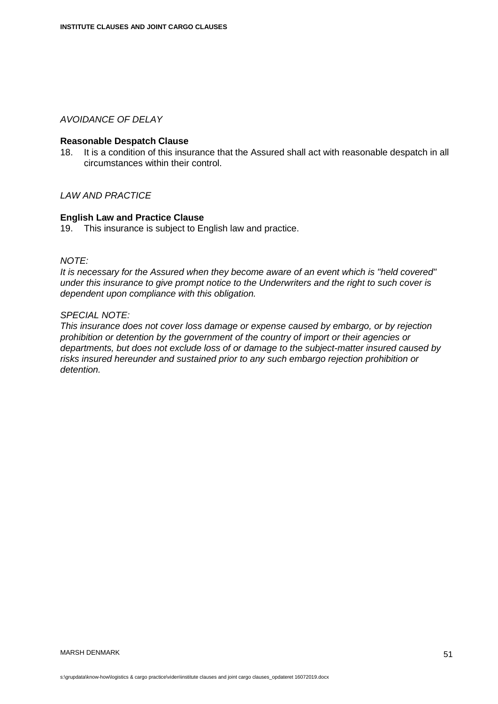### *AVOIDANCE OF DELAY*

#### **Reasonable Despatch Clause**

18. It is a condition of this insurance that the Assured shall act with reasonable despatch in all circumstances within their control.

### *LAW AND PRACTICE*

#### **English Law and Practice Clause**

19. This insurance is subject to English law and practice.

#### *NOTE:*

*It is necessary for the Assured when they become aware of an event which is "held covered" under this insurance to give prompt notice to the Underwriters and the right to such cover is dependent upon compliance with this obligation.*

### *SPECIAL NOTE:*

*This insurance does not cover loss damage or expense caused by embargo, or by rejection prohibition or detention by the government of the country of import or their agencies or departments, but does not exclude loss of or damage to the subject-matter insured caused by risks insured hereunder and sustained prior to any such embargo rejection prohibition or detention.*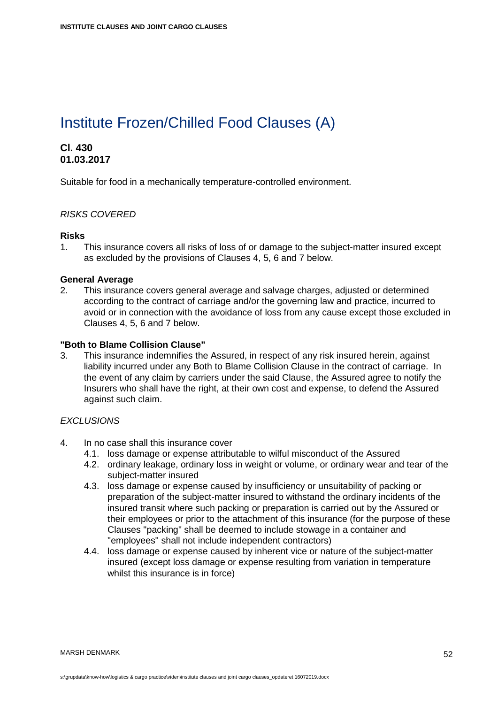# Institute Frozen/Chilled Food Clauses (A)

**Cl. 430 01.03.2017**

Suitable for food in a mechanically temperature-controlled environment.

### *RISKS COVERED*

#### **Risks**

1. This insurance covers all risks of loss of or damage to the subject-matter insured except as excluded by the provisions of Clauses 4, 5, 6 and 7 below.

#### **General Average**

2. This insurance covers general average and salvage charges, adjusted or determined according to the contract of carriage and/or the governing law and practice, incurred to avoid or in connection with the avoidance of loss from any cause except those excluded in Clauses 4, 5, 6 and 7 below.

#### **"Both to Blame Collision Clause"**

3. This insurance indemnifies the Assured, in respect of any risk insured herein, against liability incurred under any Both to Blame Collision Clause in the contract of carriage. In the event of any claim by carriers under the said Clause, the Assured agree to notify the Insurers who shall have the right, at their own cost and expense, to defend the Assured against such claim.

#### *EXCLUSIONS*

- 4. In no case shall this insurance cover
	- 4.1. loss damage or expense attributable to wilful misconduct of the Assured
	- 4.2. ordinary leakage, ordinary loss in weight or volume, or ordinary wear and tear of the subject-matter insured
	- 4.3. loss damage or expense caused by insufficiency or unsuitability of packing or preparation of the subject-matter insured to withstand the ordinary incidents of the insured transit where such packing or preparation is carried out by the Assured or their employees or prior to the attachment of this insurance (for the purpose of these Clauses "packing" shall be deemed to include stowage in a container and "employees" shall not include independent contractors)
	- 4.4. loss damage or expense caused by inherent vice or nature of the subject-matter insured (except loss damage or expense resulting from variation in temperature whilst this insurance is in force)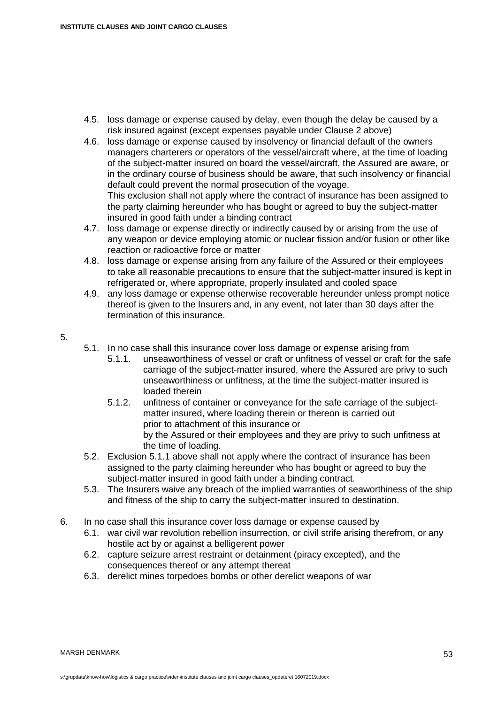- 4.5. loss damage or expense caused by delay, even though the delay be caused by a risk insured against (except expenses payable under Clause 2 above)
- 4.6. loss damage or expense caused by insolvency or financial default of the owners managers charterers or operators of the vessel/aircraft where, at the time of loading of the subject-matter insured on board the vessel/aircraft, the Assured are aware, or in the ordinary course of business should be aware, that such insolvency or financial default could prevent the normal prosecution of the voyage. This exclusion shall not apply where the contract of insurance has been assigned to the party claiming hereunder who has bought or agreed to buy the subject-matter

insured in good faith under a binding contract 4.7. loss damage or expense directly or indirectly caused by or arising from the use of

- any weapon or device employing atomic or nuclear fission and/or fusion or other like reaction or radioactive force or matter
- 4.8. loss damage or expense arising from any failure of the Assured or their employees to take all reasonable precautions to ensure that the subject-matter insured is kept in refrigerated or, where appropriate, properly insulated and cooled space
- 4.9. any loss damage or expense otherwise recoverable hereunder unless prompt notice thereof is given to the Insurers and, in any event, not later than 30 days after the termination of this insurance.

### 5.

- 5.1. In no case shall this insurance cover loss damage or expense arising from
	- 5.1.1. unseaworthiness of vessel or craft or unfitness of vessel or craft for the safe carriage of the subject-matter insured, where the Assured are privy to such unseaworthiness or unfitness, at the time the subject-matter insured is loaded therein
	- 5.1.2. unfitness of container or conveyance for the safe carriage of the subjectmatter insured, where loading therein or thereon is carried out prior to attachment of this insurance or by the Assured or their employees and they are privy to such unfitness at the time of loading.
- 5.2. Exclusion 5.1.1 above shall not apply where the contract of insurance has been assigned to the party claiming hereunder who has bought or agreed to buy the subject-matter insured in good faith under a binding contract.
- 5.3. The Insurers waive any breach of the implied warranties of seaworthiness of the ship and fitness of the ship to carry the subject-matter insured to destination.
- 6. In no case shall this insurance cover loss damage or expense caused by
	- 6.1. war civil war revolution rebellion insurrection, or civil strife arising therefrom, or any hostile act by or against a belligerent power
	- 6.2. capture seizure arrest restraint or detainment (piracy excepted), and the consequences thereof or any attempt thereat
	- 6.3. derelict mines torpedoes bombs or other derelict weapons of war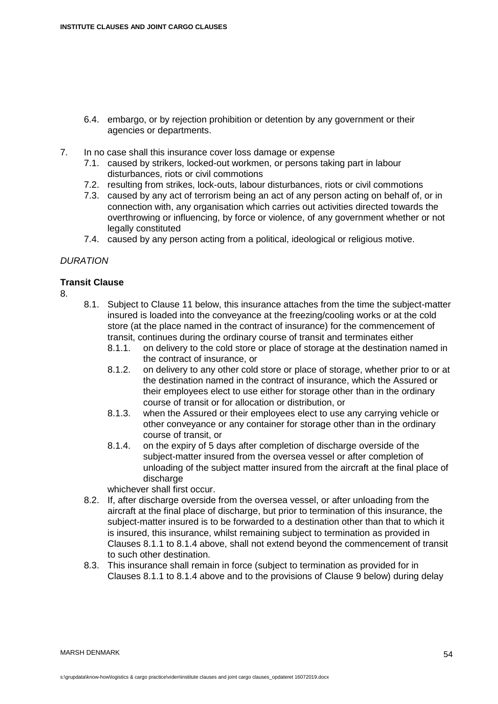- 6.4. embargo, or by rejection prohibition or detention by any government or their agencies or departments.
- 7. In no case shall this insurance cover loss damage or expense
	- 7.1. caused by strikers, locked-out workmen, or persons taking part in labour disturbances, riots or civil commotions
	- 7.2. resulting from strikes, lock-outs, labour disturbances, riots or civil commotions
	- 7.3. caused by any act of terrorism being an act of any person acting on behalf of, or in connection with, any organisation which carries out activities directed towards the overthrowing or influencing, by force or violence, of any government whether or not legally constituted
	- 7.4. caused by any person acting from a political, ideological or religious motive.

## *DURATION*

## **Transit Clause**

- 8.
- 8.1. Subject to Clause 11 below, this insurance attaches from the time the subject-matter insured is loaded into the conveyance at the freezing/cooling works or at the cold store (at the place named in the contract of insurance) for the commencement of transit, continues during the ordinary course of transit and terminates either
	- 8.1.1. on delivery to the cold store or place of storage at the destination named in the contract of insurance, or
	- 8.1.2. on delivery to any other cold store or place of storage, whether prior to or at the destination named in the contract of insurance, which the Assured or their employees elect to use either for storage other than in the ordinary course of transit or for allocation or distribution, or
	- 8.1.3. when the Assured or their employees elect to use any carrying vehicle or other conveyance or any container for storage other than in the ordinary course of transit, or
	- 8.1.4. on the expiry of 5 days after completion of discharge overside of the subject-matter insured from the oversea vessel or after completion of unloading of the subject matter insured from the aircraft at the final place of discharge

whichever shall first occur.

- 8.2. If, after discharge overside from the oversea vessel, or after unloading from the aircraft at the final place of discharge, but prior to termination of this insurance, the subject-matter insured is to be forwarded to a destination other than that to which it is insured, this insurance, whilst remaining subject to termination as provided in Clauses 8.1.1 to 8.1.4 above, shall not extend beyond the commencement of transit to such other destination.
- 8.3. This insurance shall remain in force (subject to termination as provided for in Clauses 8.1.1 to 8.1.4 above and to the provisions of Clause 9 below) during delay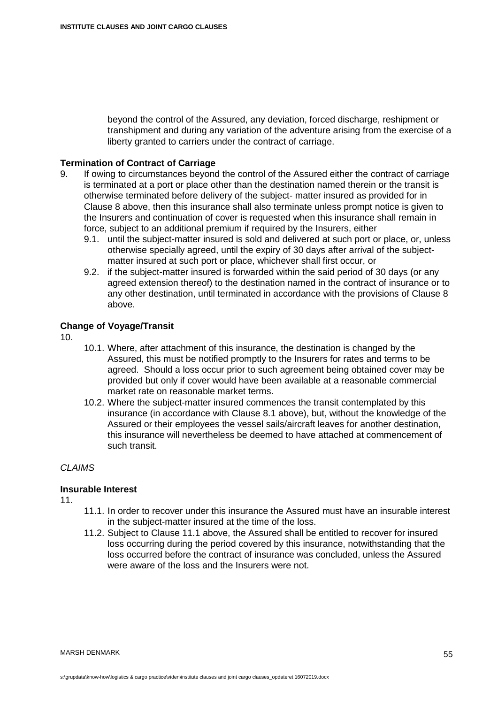beyond the control of the Assured, any deviation, forced discharge, reshipment or transhipment and during any variation of the adventure arising from the exercise of a liberty granted to carriers under the contract of carriage.

#### **Termination of Contract of Carriage**

- 9. If owing to circumstances beyond the control of the Assured either the contract of carriage is terminated at a port or place other than the destination named therein or the transit is otherwise terminated before delivery of the subject- matter insured as provided for in Clause 8 above, then this insurance shall also terminate unless prompt notice is given to the Insurers and continuation of cover is requested when this insurance shall remain in force, subject to an additional premium if required by the Insurers, either
	- 9.1. until the subject-matter insured is sold and delivered at such port or place, or, unless otherwise specially agreed, until the expiry of 30 days after arrival of the subjectmatter insured at such port or place, whichever shall first occur, or
	- 9.2. if the subject-matter insured is forwarded within the said period of 30 days (or any agreed extension thereof) to the destination named in the contract of insurance or to any other destination, until terminated in accordance with the provisions of Clause 8 above.

#### **Change of Voyage/Transit**

- 10.
- 10.1. Where, after attachment of this insurance, the destination is changed by the Assured, this must be notified promptly to the Insurers for rates and terms to be agreed. Should a loss occur prior to such agreement being obtained cover may be provided but only if cover would have been available at a reasonable commercial market rate on reasonable market terms.
- 10.2. Where the subject-matter insured commences the transit contemplated by this insurance (in accordance with Clause 8.1 above), but, without the knowledge of the Assured or their employees the vessel sails/aircraft leaves for another destination, this insurance will nevertheless be deemed to have attached at commencement of such transit.

#### *CLAIMS*

### **Insurable Interest**

11.

- 11.1. In order to recover under this insurance the Assured must have an insurable interest in the subject-matter insured at the time of the loss.
- 11.2. Subject to Clause 11.1 above, the Assured shall be entitled to recover for insured loss occurring during the period covered by this insurance, notwithstanding that the loss occurred before the contract of insurance was concluded, unless the Assured were aware of the loss and the Insurers were not.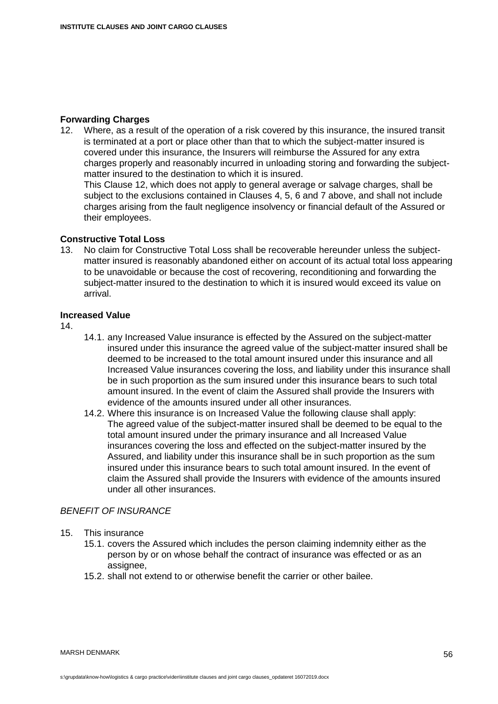#### **Forwarding Charges**

12. Where, as a result of the operation of a risk covered by this insurance, the insured transit is terminated at a port or place other than that to which the subject-matter insured is covered under this insurance, the Insurers will reimburse the Assured for any extra charges properly and reasonably incurred in unloading storing and forwarding the subjectmatter insured to the destination to which it is insured. This Clause 12, which does not apply to general average or salvage charges, shall be

subject to the exclusions contained in Clauses 4, 5, 6 and 7 above, and shall not include charges arising from the fault negligence insolvency or financial default of the Assured or their employees.

#### **Constructive Total Loss**

13. No claim for Constructive Total Loss shall be recoverable hereunder unless the subjectmatter insured is reasonably abandoned either on account of its actual total loss appearing to be unavoidable or because the cost of recovering, reconditioning and forwarding the subject-matter insured to the destination to which it is insured would exceed its value on arrival.

### **Increased Value**

14.

- 14.1. any Increased Value insurance is effected by the Assured on the subject-matter insured under this insurance the agreed value of the subject-matter insured shall be deemed to be increased to the total amount insured under this insurance and all Increased Value insurances covering the loss, and liability under this insurance shall be in such proportion as the sum insured under this insurance bears to such total amount insured. In the event of claim the Assured shall provide the Insurers with evidence of the amounts insured under all other insurances.
- 14.2. Where this insurance is on Increased Value the following clause shall apply: The agreed value of the subject-matter insured shall be deemed to be equal to the total amount insured under the primary insurance and all Increased Value insurances covering the loss and effected on the subject-matter insured by the Assured, and liability under this insurance shall be in such proportion as the sum insured under this insurance bears to such total amount insured. In the event of claim the Assured shall provide the Insurers with evidence of the amounts insured under all other insurances.

## *BENEFIT OF INSURANCE*

- 15. This insurance
	- 15.1. covers the Assured which includes the person claiming indemnity either as the person by or on whose behalf the contract of insurance was effected or as an assignee,
	- 15.2. shall not extend to or otherwise benefit the carrier or other bailee.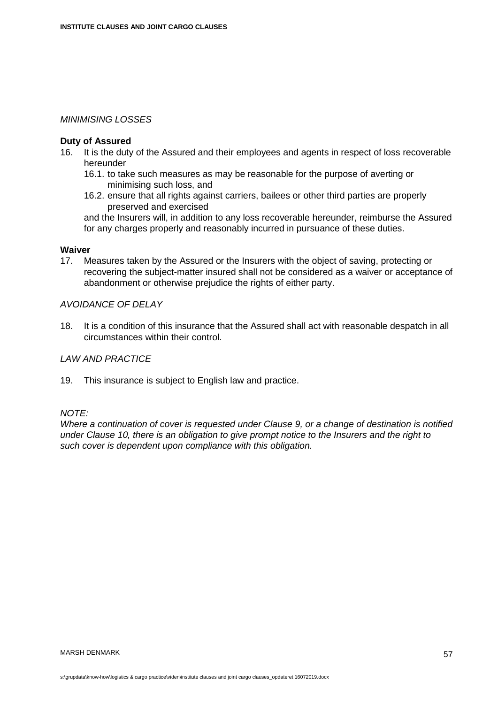#### *MINIMISING LOSSES*

#### **Duty of Assured**

- 16. It is the duty of the Assured and their employees and agents in respect of loss recoverable hereunder
	- 16.1. to take such measures as may be reasonable for the purpose of averting or minimising such loss, and
	- 16.2. ensure that all rights against carriers, bailees or other third parties are properly preserved and exercised

and the Insurers will, in addition to any loss recoverable hereunder, reimburse the Assured for any charges properly and reasonably incurred in pursuance of these duties.

#### **Waiver**

17. Measures taken by the Assured or the Insurers with the object of saving, protecting or recovering the subject-matter insured shall not be considered as a waiver or acceptance of abandonment or otherwise prejudice the rights of either party.

### *AVOIDANCE OF DELAY*

18. It is a condition of this insurance that the Assured shall act with reasonable despatch in all circumstances within their control.

## *LAW AND PRACTICE*

19. This insurance is subject to English law and practice.

#### *NOTE:*

*Where a continuation of cover is requested under Clause 9, or a change of destination is notified under Clause 10, there is an obligation to give prompt notice to the Insurers and the right to such cover is dependent upon compliance with this obligation.*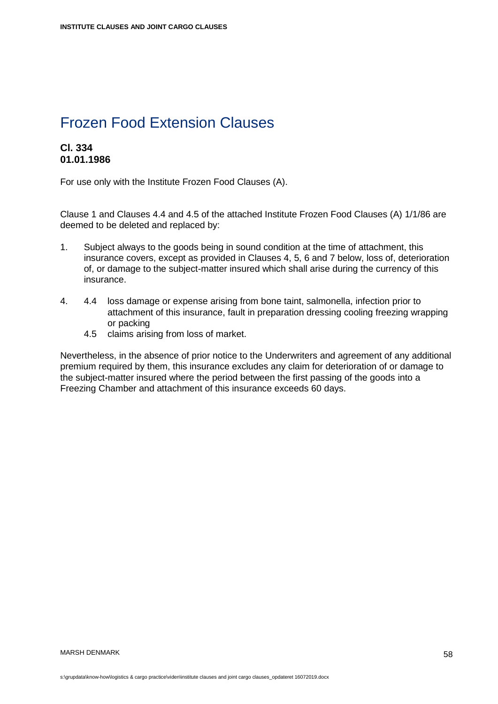## Frozen Food Extension Clauses

## **Cl. 334 01.01.1986**

For use only with the Institute Frozen Food Clauses (A).

Clause 1 and Clauses 4.4 and 4.5 of the attached Institute Frozen Food Clauses (A) 1/1/86 are deemed to be deleted and replaced by:

- 1. Subject always to the goods being in sound condition at the time of attachment, this insurance covers, except as provided in Clauses 4, 5, 6 and 7 below, loss of, deterioration of, or damage to the subject-matter insured which shall arise during the currency of this insurance.
- 4. 4.4 loss damage or expense arising from bone taint, salmonella, infection prior to attachment of this insurance, fault in preparation dressing cooling freezing wrapping or packing
	- 4.5 claims arising from loss of market.

Nevertheless, in the absence of prior notice to the Underwriters and agreement of any additional premium required by them, this insurance excludes any claim for deterioration of or damage to the subject-matter insured where the period between the first passing of the goods into a Freezing Chamber and attachment of this insurance exceeds 60 days.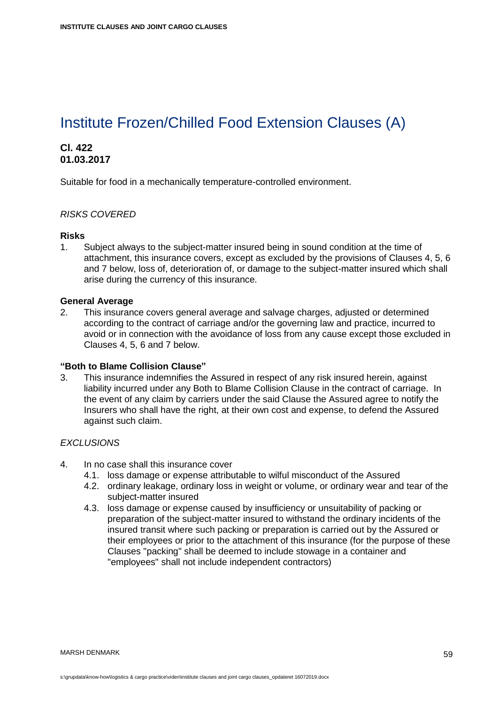# Institute Frozen/Chilled Food Extension Clauses (A)

**Cl. 422 01.03.2017**

Suitable for food in a mechanically temperature-controlled environment.

#### *RISKS COVERED*

#### **Risks**

1. Subject always to the subject-matter insured being in sound condition at the time of attachment, this insurance covers, except as excluded by the provisions of Clauses 4, 5, 6 and 7 below, loss of, deterioration of, or damage to the subject-matter insured which shall arise during the currency of this insurance.

#### **General Average**

2. This insurance covers general average and salvage charges, adjusted or determined according to the contract of carriage and/or the governing law and practice, incurred to avoid or in connection with the avoidance of loss from any cause except those excluded in Clauses 4, 5, 6 and 7 below.

#### **"Both to Blame Collision Clause"**

3. This insurance indemnifies the Assured in respect of any risk insured herein, against liability incurred under any Both to Blame Collision Clause in the contract of carriage. In the event of any claim by carriers under the said Clause the Assured agree to notify the Insurers who shall have the right, at their own cost and expense, to defend the Assured against such claim.

#### *EXCLUSIONS*

- 4. In no case shall this insurance cover
	- 4.1. loss damage or expense attributable to wilful misconduct of the Assured
	- 4.2. ordinary leakage, ordinary loss in weight or volume, or ordinary wear and tear of the subject-matter insured
	- 4.3. loss damage or expense caused by insufficiency or unsuitability of packing or preparation of the subject-matter insured to withstand the ordinary incidents of the insured transit where such packing or preparation is carried out by the Assured or their employees or prior to the attachment of this insurance (for the purpose of these Clauses "packing" shall be deemed to include stowage in a container and "employees" shall not include independent contractors)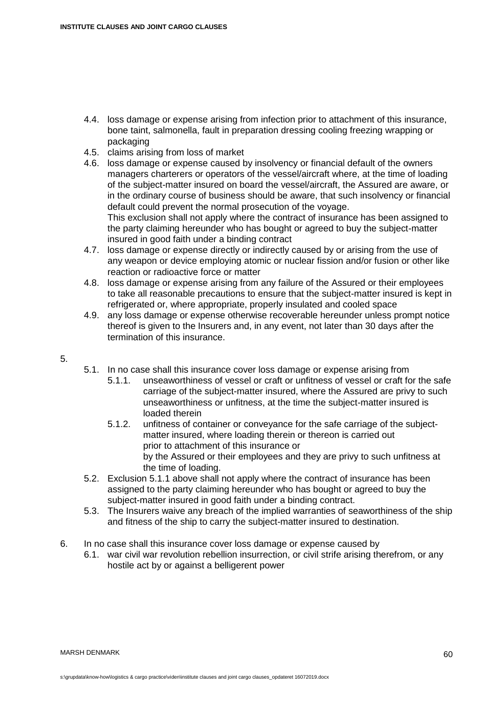- 4.4. loss damage or expense arising from infection prior to attachment of this insurance, bone taint, salmonella, fault in preparation dressing cooling freezing wrapping or packaging
- 4.5. claims arising from loss of market
- 4.6. loss damage or expense caused by insolvency or financial default of the owners managers charterers or operators of the vessel/aircraft where, at the time of loading of the subject-matter insured on board the vessel/aircraft, the Assured are aware, or in the ordinary course of business should be aware, that such insolvency or financial default could prevent the normal prosecution of the voyage. This exclusion shall not apply where the contract of insurance has been assigned to the party claiming hereunder who has bought or agreed to buy the subject-matter insured in good faith under a binding contract
- 4.7. loss damage or expense directly or indirectly caused by or arising from the use of any weapon or device employing atomic or nuclear fission and/or fusion or other like reaction or radioactive force or matter
- 4.8. loss damage or expense arising from any failure of the Assured or their employees to take all reasonable precautions to ensure that the subject-matter insured is kept in refrigerated or, where appropriate, properly insulated and cooled space
- 4.9. any loss damage or expense otherwise recoverable hereunder unless prompt notice thereof is given to the Insurers and, in any event, not later than 30 days after the termination of this insurance.
- 5.
- 5.1. In no case shall this insurance cover loss damage or expense arising from
	- 5.1.1. unseaworthiness of vessel or craft or unfitness of vessel or craft for the safe carriage of the subject-matter insured, where the Assured are privy to such unseaworthiness or unfitness, at the time the subject-matter insured is loaded therein
	- 5.1.2. unfitness of container or conveyance for the safe carriage of the subjectmatter insured, where loading therein or thereon is carried out prior to attachment of this insurance or by the Assured or their employees and they are privy to such unfitness at the time of loading.
- 5.2. Exclusion 5.1.1 above shall not apply where the contract of insurance has been assigned to the party claiming hereunder who has bought or agreed to buy the subject-matter insured in good faith under a binding contract.
- 5.3. The Insurers waive any breach of the implied warranties of seaworthiness of the ship and fitness of the ship to carry the subject-matter insured to destination.
- 6. In no case shall this insurance cover loss damage or expense caused by
	- 6.1. war civil war revolution rebellion insurrection, or civil strife arising therefrom, or any hostile act by or against a belligerent power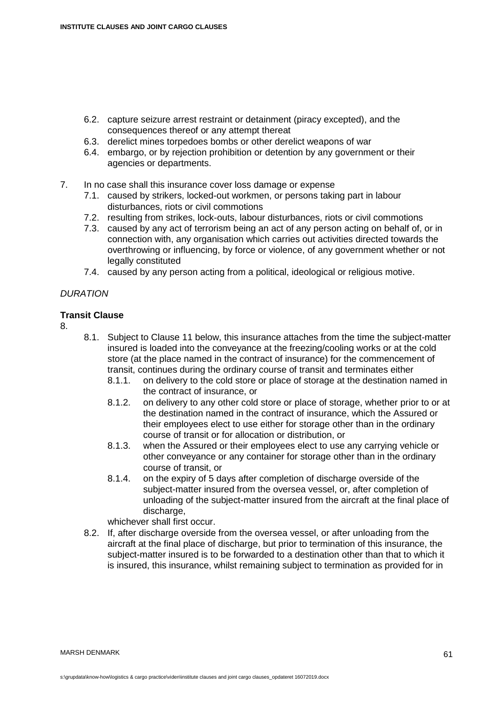- 6.2. capture seizure arrest restraint or detainment (piracy excepted), and the consequences thereof or any attempt thereat
- 6.3. derelict mines torpedoes bombs or other derelict weapons of war
- 6.4. embargo, or by rejection prohibition or detention by any government or their agencies or departments.
- 7. In no case shall this insurance cover loss damage or expense
	- 7.1. caused by strikers, locked-out workmen, or persons taking part in labour disturbances, riots or civil commotions
	- 7.2. resulting from strikes, lock-outs, labour disturbances, riots or civil commotions
	- 7.3. caused by any act of terrorism being an act of any person acting on behalf of, or in connection with, any organisation which carries out activities directed towards the overthrowing or influencing, by force or violence, of any government whether or not legally constituted
	- 7.4. caused by any person acting from a political, ideological or religious motive.

#### *DURATION*

#### **Transit Clause**

8.

- 8.1. Subject to Clause 11 below, this insurance attaches from the time the subject-matter insured is loaded into the conveyance at the freezing/cooling works or at the cold store (at the place named in the contract of insurance) for the commencement of transit, continues during the ordinary course of transit and terminates either
	- 8.1.1. on delivery to the cold store or place of storage at the destination named in the contract of insurance, or
	- 8.1.2. on delivery to any other cold store or place of storage, whether prior to or at the destination named in the contract of insurance, which the Assured or their employees elect to use either for storage other than in the ordinary course of transit or for allocation or distribution, or
	- 8.1.3. when the Assured or their employees elect to use any carrying vehicle or other conveyance or any container for storage other than in the ordinary course of transit, or
	- 8.1.4. on the expiry of 5 days after completion of discharge overside of the subject-matter insured from the oversea vessel, or, after completion of unloading of the subject-matter insured from the aircraft at the final place of discharge.

whichever shall first occur.

8.2. If, after discharge overside from the oversea vessel, or after unloading from the aircraft at the final place of discharge, but prior to termination of this insurance, the subject-matter insured is to be forwarded to a destination other than that to which it is insured, this insurance, whilst remaining subject to termination as provided for in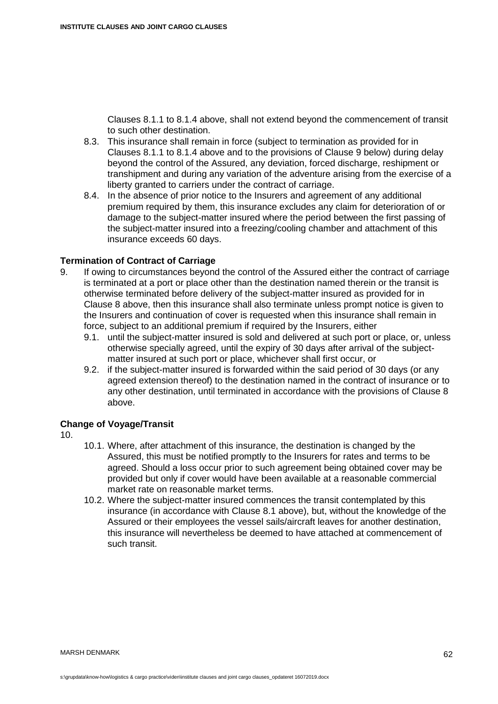Clauses 8.1.1 to 8.1.4 above, shall not extend beyond the commencement of transit to such other destination.

- 8.3. This insurance shall remain in force (subject to termination as provided for in Clauses 8.1.1 to 8.1.4 above and to the provisions of Clause 9 below) during delay beyond the control of the Assured, any deviation, forced discharge, reshipment or transhipment and during any variation of the adventure arising from the exercise of a liberty granted to carriers under the contract of carriage.
- 8.4. In the absence of prior notice to the Insurers and agreement of any additional premium required by them, this insurance excludes any claim for deterioration of or damage to the subject-matter insured where the period between the first passing of the subject-matter insured into a freezing/cooling chamber and attachment of this insurance exceeds 60 days.

#### **Termination of Contract of Carriage**

- 9. If owing to circumstances beyond the control of the Assured either the contract of carriage is terminated at a port or place other than the destination named therein or the transit is otherwise terminated before delivery of the subject-matter insured as provided for in Clause 8 above, then this insurance shall also terminate unless prompt notice is given to the Insurers and continuation of cover is requested when this insurance shall remain in force, subject to an additional premium if required by the Insurers, either
	- 9.1. until the subject-matter insured is sold and delivered at such port or place, or, unless otherwise specially agreed, until the expiry of 30 days after arrival of the subjectmatter insured at such port or place, whichever shall first occur, or
	- 9.2. if the subject-matter insured is forwarded within the said period of 30 days (or any agreed extension thereof) to the destination named in the contract of insurance or to any other destination, until terminated in accordance with the provisions of Clause 8 above.

#### **Change of Voyage/Transit**

10.

- 10.1. Where, after attachment of this insurance, the destination is changed by the Assured, this must be notified promptly to the Insurers for rates and terms to be agreed. Should a loss occur prior to such agreement being obtained cover may be provided but only if cover would have been available at a reasonable commercial market rate on reasonable market terms.
- 10.2. Where the subject-matter insured commences the transit contemplated by this insurance (in accordance with Clause 8.1 above), but, without the knowledge of the Assured or their employees the vessel sails/aircraft leaves for another destination, this insurance will nevertheless be deemed to have attached at commencement of such transit.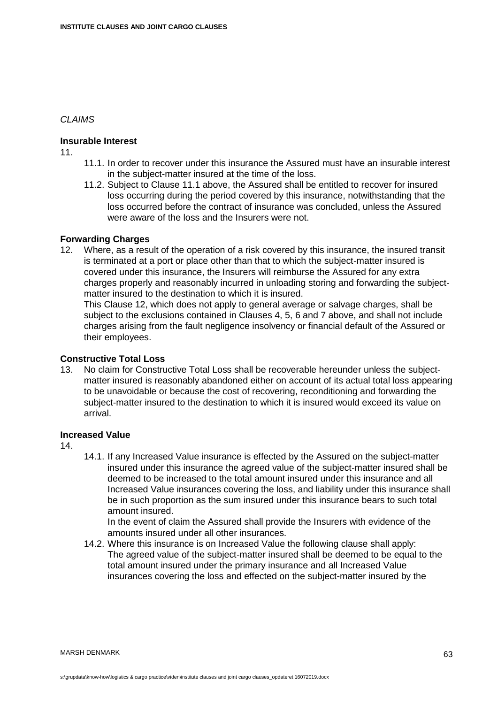### *CLAIMS*

## **Insurable Interest**

11.

- 11.1. In order to recover under this insurance the Assured must have an insurable interest in the subject-matter insured at the time of the loss.
- 11.2. Subject to Clause 11.1 above, the Assured shall be entitled to recover for insured loss occurring during the period covered by this insurance, notwithstanding that the loss occurred before the contract of insurance was concluded, unless the Assured were aware of the loss and the Insurers were not.

#### **Forwarding Charges**

12. Where, as a result of the operation of a risk covered by this insurance, the insured transit is terminated at a port or place other than that to which the subject-matter insured is covered under this insurance, the Insurers will reimburse the Assured for any extra charges properly and reasonably incurred in unloading storing and forwarding the subjectmatter insured to the destination to which it is insured.

This Clause 12, which does not apply to general average or salvage charges, shall be subject to the exclusions contained in Clauses 4, 5, 6 and 7 above, and shall not include charges arising from the fault negligence insolvency or financial default of the Assured or their employees.

#### **Constructive Total Loss**

13. No claim for Constructive Total Loss shall be recoverable hereunder unless the subjectmatter insured is reasonably abandoned either on account of its actual total loss appearing to be unavoidable or because the cost of recovering, reconditioning and forwarding the subject-matter insured to the destination to which it is insured would exceed its value on arrival.

#### **Increased Value**

14.

14.1. If any Increased Value insurance is effected by the Assured on the subject-matter insured under this insurance the agreed value of the subject-matter insured shall be deemed to be increased to the total amount insured under this insurance and all Increased Value insurances covering the loss, and liability under this insurance shall be in such proportion as the sum insured under this insurance bears to such total amount insured.

In the event of claim the Assured shall provide the Insurers with evidence of the amounts insured under all other insurances.

14.2. Where this insurance is on Increased Value the following clause shall apply: The agreed value of the subject-matter insured shall be deemed to be equal to the total amount insured under the primary insurance and all Increased Value insurances covering the loss and effected on the subject-matter insured by the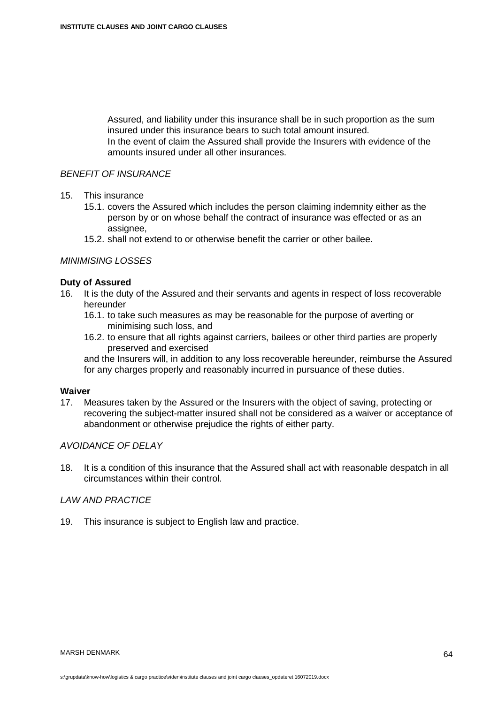Assured, and liability under this insurance shall be in such proportion as the sum insured under this insurance bears to such total amount insured. In the event of claim the Assured shall provide the Insurers with evidence of the

amounts insured under all other insurances.

### *BENEFIT OF INSURANCE*

- 15. This insurance
	- 15.1. covers the Assured which includes the person claiming indemnity either as the person by or on whose behalf the contract of insurance was effected or as an assignee,
	- 15.2. shall not extend to or otherwise benefit the carrier or other bailee.

#### *MINIMISING LOSSES*

#### **Duty of Assured**

- 16. It is the duty of the Assured and their servants and agents in respect of loss recoverable hereunder
	- 16.1. to take such measures as may be reasonable for the purpose of averting or minimising such loss, and
	- 16.2. to ensure that all rights against carriers, bailees or other third parties are properly preserved and exercised

and the Insurers will, in addition to any loss recoverable hereunder, reimburse the Assured for any charges properly and reasonably incurred in pursuance of these duties.

#### **Waiver**

17. Measures taken by the Assured or the Insurers with the object of saving, protecting or recovering the subject-matter insured shall not be considered as a waiver or acceptance of abandonment or otherwise prejudice the rights of either party.

## *AVOIDANCE OF DELAY*

18. It is a condition of this insurance that the Assured shall act with reasonable despatch in all circumstances within their control.

### *LAW AND PRACTICE*

19. This insurance is subject to English law and practice.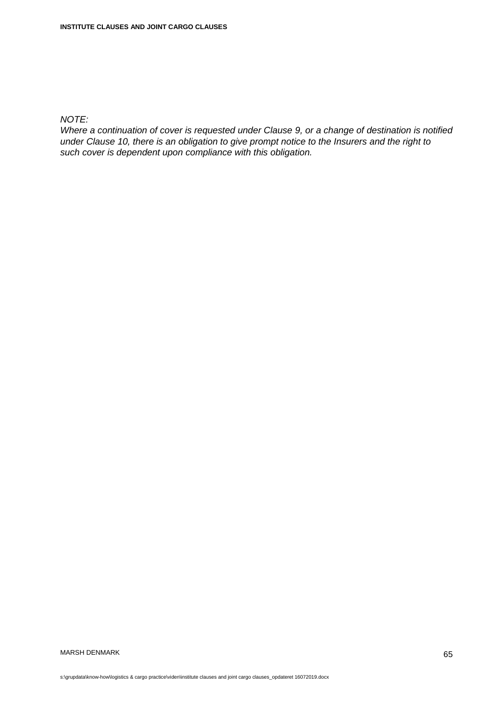## *NOTE:*

*Where a continuation of cover is requested under Clause 9, or a change of destination is notified under Clause 10, there is an obligation to give prompt notice to the Insurers and the right to such cover is dependent upon compliance with this obligation.*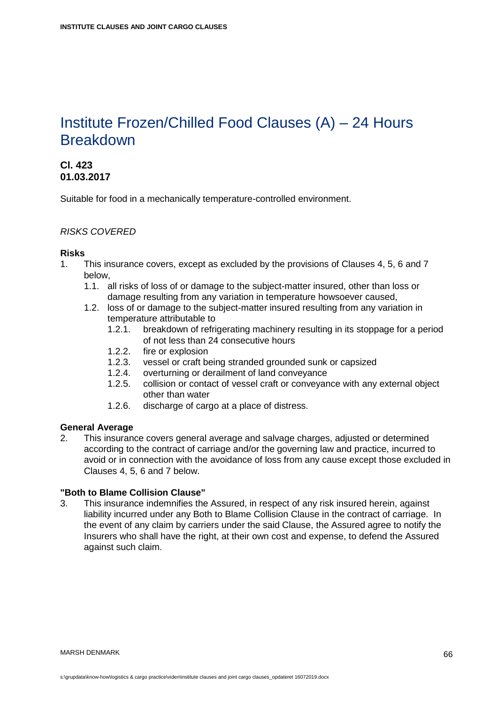# Institute Frozen/Chilled Food Clauses (A) – 24 Hours **Breakdown**

## **Cl. 423 01.03.2017**

Suitable for food in a mechanically temperature-controlled environment.

## *RISKS COVERED*

## **Risks**

- 1. This insurance covers, except as excluded by the provisions of Clauses 4, 5, 6 and 7 below,
	- 1.1. all risks of loss of or damage to the subject-matter insured, other than loss or damage resulting from any variation in temperature howsoever caused,
	- 1.2. loss of or damage to the subject-matter insured resulting from any variation in temperature attributable to
		- 1.2.1. breakdown of refrigerating machinery resulting in its stoppage for a period of not less than 24 consecutive hours
		- 1.2.2. fire or explosion
		- 1.2.3. vessel or craft being stranded grounded sunk or capsized
		- 1.2.4. overturning or derailment of land conveyance
		- 1.2.5. collision or contact of vessel craft or conveyance with any external object other than water
		- 1.2.6. discharge of cargo at a place of distress.

#### **General Average**

2. This insurance covers general average and salvage charges, adjusted or determined according to the contract of carriage and/or the governing law and practice, incurred to avoid or in connection with the avoidance of loss from any cause except those excluded in Clauses 4, 5, 6 and 7 below.

### **"Both to Blame Collision Clause"**

3. This insurance indemnifies the Assured, in respect of any risk insured herein, against liability incurred under any Both to Blame Collision Clause in the contract of carriage. In the event of any claim by carriers under the said Clause, the Assured agree to notify the Insurers who shall have the right, at their own cost and expense, to defend the Assured against such claim.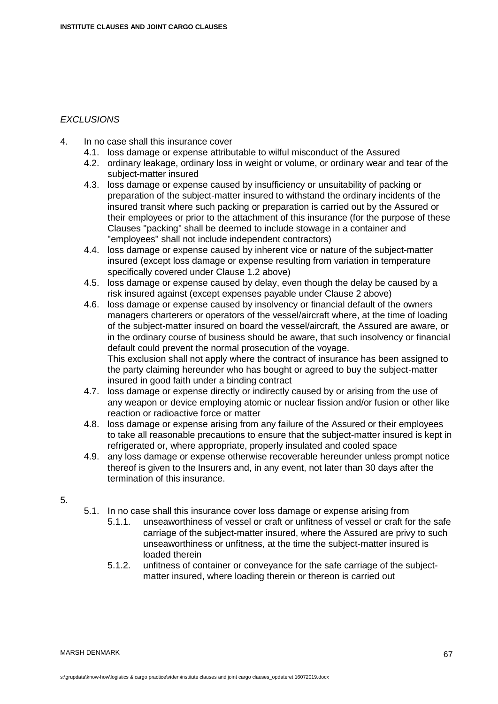### *EXCLUSIONS*

- 4. In no case shall this insurance cover
	- 4.1. loss damage or expense attributable to wilful misconduct of the Assured
	- 4.2. ordinary leakage, ordinary loss in weight or volume, or ordinary wear and tear of the subject-matter insured
	- 4.3. loss damage or expense caused by insufficiency or unsuitability of packing or preparation of the subject-matter insured to withstand the ordinary incidents of the insured transit where such packing or preparation is carried out by the Assured or their employees or prior to the attachment of this insurance (for the purpose of these Clauses "packing" shall be deemed to include stowage in a container and "employees" shall not include independent contractors)
	- 4.4. loss damage or expense caused by inherent vice or nature of the subject-matter insured (except loss damage or expense resulting from variation in temperature specifically covered under Clause 1.2 above)
	- 4.5. loss damage or expense caused by delay, even though the delay be caused by a risk insured against (except expenses payable under Clause 2 above)
	- 4.6. loss damage or expense caused by insolvency or financial default of the owners managers charterers or operators of the vessel/aircraft where, at the time of loading of the subject-matter insured on board the vessel/aircraft, the Assured are aware, or in the ordinary course of business should be aware, that such insolvency or financial default could prevent the normal prosecution of the voyage. This exclusion shall not apply where the contract of insurance has been assigned to the party claiming hereunder who has bought or agreed to buy the subject-matter insured in good faith under a binding contract
	- 4.7. loss damage or expense directly or indirectly caused by or arising from the use of any weapon or device employing atomic or nuclear fission and/or fusion or other like reaction or radioactive force or matter
	- 4.8. loss damage or expense arising from any failure of the Assured or their employees to take all reasonable precautions to ensure that the subject-matter insured is kept in refrigerated or, where appropriate, properly insulated and cooled space
	- 4.9. any loss damage or expense otherwise recoverable hereunder unless prompt notice thereof is given to the Insurers and, in any event, not later than 30 days after the termination of this insurance.
- 5.
- 5.1. In no case shall this insurance cover loss damage or expense arising from
	- 5.1.1. unseaworthiness of vessel or craft or unfitness of vessel or craft for the safe carriage of the subject-matter insured, where the Assured are privy to such unseaworthiness or unfitness, at the time the subject-matter insured is loaded therein
	- 5.1.2. unfitness of container or conveyance for the safe carriage of the subjectmatter insured, where loading therein or thereon is carried out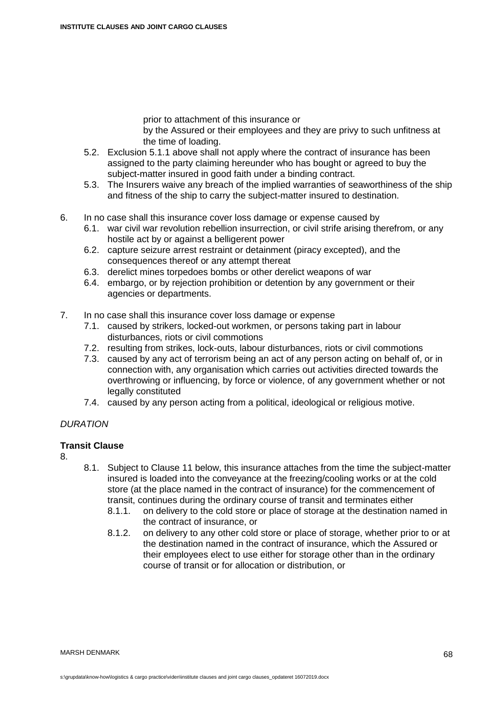prior to attachment of this insurance or

by the Assured or their employees and they are privy to such unfitness at the time of loading.

- 5.2. Exclusion 5.1.1 above shall not apply where the contract of insurance has been assigned to the party claiming hereunder who has bought or agreed to buy the subject-matter insured in good faith under a binding contract.
- 5.3. The Insurers waive any breach of the implied warranties of seaworthiness of the ship and fitness of the ship to carry the subject-matter insured to destination.
- 6. In no case shall this insurance cover loss damage or expense caused by
	- 6.1. war civil war revolution rebellion insurrection, or civil strife arising therefrom, or any hostile act by or against a belligerent power
	- 6.2. capture seizure arrest restraint or detainment (piracy excepted), and the consequences thereof or any attempt thereat
	- 6.3. derelict mines torpedoes bombs or other derelict weapons of war
	- 6.4. embargo, or by rejection prohibition or detention by any government or their agencies or departments.
- 7. In no case shall this insurance cover loss damage or expense
	- 7.1. caused by strikers, locked-out workmen, or persons taking part in labour disturbances, riots or civil commotions
	- 7.2. resulting from strikes, lock-outs, labour disturbances, riots or civil commotions
	- 7.3. caused by any act of terrorism being an act of any person acting on behalf of, or in connection with, any organisation which carries out activities directed towards the overthrowing or influencing, by force or violence, of any government whether or not legally constituted
	- 7.4. caused by any person acting from a political, ideological or religious motive.

## *DURATION*

## **Transit Clause**

8.

- 8.1. Subject to Clause 11 below, this insurance attaches from the time the subject-matter insured is loaded into the conveyance at the freezing/cooling works or at the cold store (at the place named in the contract of insurance) for the commencement of transit, continues during the ordinary course of transit and terminates either
	- 8.1.1. on delivery to the cold store or place of storage at the destination named in the contract of insurance, or
	- 8.1.2. on delivery to any other cold store or place of storage, whether prior to or at the destination named in the contract of insurance, which the Assured or their employees elect to use either for storage other than in the ordinary course of transit or for allocation or distribution, or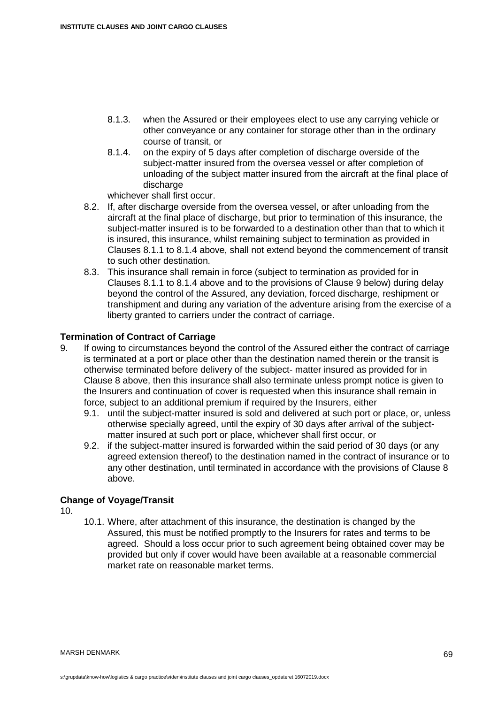- 8.1.3. when the Assured or their employees elect to use any carrying vehicle or other conveyance or any container for storage other than in the ordinary course of transit, or
- 8.1.4. on the expiry of 5 days after completion of discharge overside of the subject-matter insured from the oversea vessel or after completion of unloading of the subject matter insured from the aircraft at the final place of discharge

whichever shall first occur.

- 8.2. If, after discharge overside from the oversea vessel, or after unloading from the aircraft at the final place of discharge, but prior to termination of this insurance, the subject-matter insured is to be forwarded to a destination other than that to which it is insured, this insurance, whilst remaining subject to termination as provided in Clauses 8.1.1 to 8.1.4 above, shall not extend beyond the commencement of transit to such other destination.
- 8.3. This insurance shall remain in force (subject to termination as provided for in Clauses 8.1.1 to 8.1.4 above and to the provisions of Clause 9 below) during delay beyond the control of the Assured, any deviation, forced discharge, reshipment or transhipment and during any variation of the adventure arising from the exercise of a liberty granted to carriers under the contract of carriage.

#### **Termination of Contract of Carriage**

- 9. If owing to circumstances beyond the control of the Assured either the contract of carriage is terminated at a port or place other than the destination named therein or the transit is otherwise terminated before delivery of the subject- matter insured as provided for in Clause 8 above, then this insurance shall also terminate unless prompt notice is given to the Insurers and continuation of cover is requested when this insurance shall remain in force, subject to an additional premium if required by the Insurers, either
	- 9.1. until the subject-matter insured is sold and delivered at such port or place, or, unless otherwise specially agreed, until the expiry of 30 days after arrival of the subjectmatter insured at such port or place, whichever shall first occur, or
	- 9.2. if the subject-matter insured is forwarded within the said period of 30 days (or any agreed extension thereof) to the destination named in the contract of insurance or to any other destination, until terminated in accordance with the provisions of Clause 8 above.

#### **Change of Voyage/Transit**

10.

10.1. Where, after attachment of this insurance, the destination is changed by the Assured, this must be notified promptly to the Insurers for rates and terms to be agreed. Should a loss occur prior to such agreement being obtained cover may be provided but only if cover would have been available at a reasonable commercial market rate on reasonable market terms.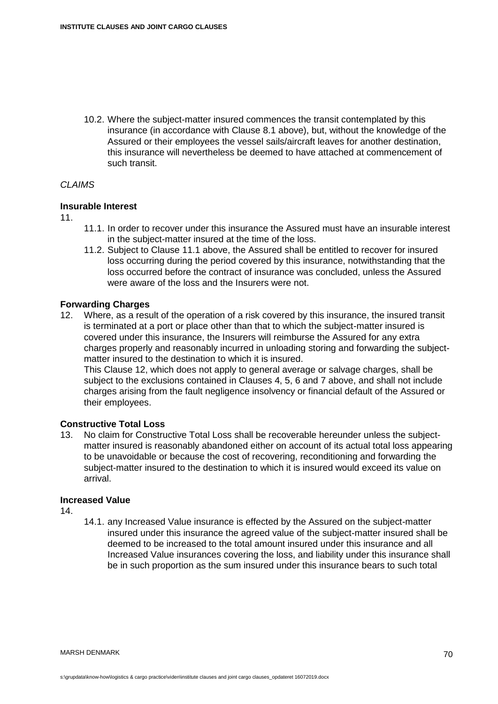10.2. Where the subject-matter insured commences the transit contemplated by this insurance (in accordance with Clause 8.1 above), but, without the knowledge of the Assured or their employees the vessel sails/aircraft leaves for another destination, this insurance will nevertheless be deemed to have attached at commencement of such transit.

## *CLAIMS*

#### **Insurable Interest**

- 11.
- 11.1. In order to recover under this insurance the Assured must have an insurable interest in the subject-matter insured at the time of the loss.
- 11.2. Subject to Clause 11.1 above, the Assured shall be entitled to recover for insured loss occurring during the period covered by this insurance, notwithstanding that the loss occurred before the contract of insurance was concluded, unless the Assured were aware of the loss and the Insurers were not.

## **Forwarding Charges**

12. Where, as a result of the operation of a risk covered by this insurance, the insured transit is terminated at a port or place other than that to which the subject-matter insured is covered under this insurance, the Insurers will reimburse the Assured for any extra charges properly and reasonably incurred in unloading storing and forwarding the subjectmatter insured to the destination to which it is insured.

This Clause 12, which does not apply to general average or salvage charges, shall be subject to the exclusions contained in Clauses 4, 5, 6 and 7 above, and shall not include charges arising from the fault negligence insolvency or financial default of the Assured or their employees.

## **Constructive Total Loss**

13. No claim for Constructive Total Loss shall be recoverable hereunder unless the subjectmatter insured is reasonably abandoned either on account of its actual total loss appearing to be unavoidable or because the cost of recovering, reconditioning and forwarding the subject-matter insured to the destination to which it is insured would exceed its value on arrival.

#### **Increased Value**

14.

14.1. any Increased Value insurance is effected by the Assured on the subject-matter insured under this insurance the agreed value of the subject-matter insured shall be deemed to be increased to the total amount insured under this insurance and all Increased Value insurances covering the loss, and liability under this insurance shall be in such proportion as the sum insured under this insurance bears to such total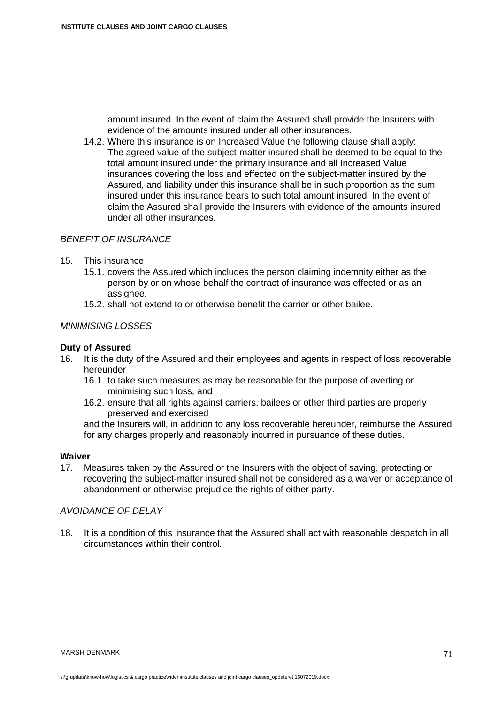amount insured. In the event of claim the Assured shall provide the Insurers with evidence of the amounts insured under all other insurances.

14.2. Where this insurance is on Increased Value the following clause shall apply: The agreed value of the subject-matter insured shall be deemed to be equal to the total amount insured under the primary insurance and all Increased Value insurances covering the loss and effected on the subject-matter insured by the Assured, and liability under this insurance shall be in such proportion as the sum insured under this insurance bears to such total amount insured. In the event of claim the Assured shall provide the Insurers with evidence of the amounts insured under all other insurances.

## *BENEFIT OF INSURANCE*

- 15. This insurance
	- 15.1. covers the Assured which includes the person claiming indemnity either as the person by or on whose behalf the contract of insurance was effected or as an assignee,
	- 15.2. shall not extend to or otherwise benefit the carrier or other bailee.

## *MINIMISING LOSSES*

#### **Duty of Assured**

- 16. It is the duty of the Assured and their employees and agents in respect of loss recoverable hereunder
	- 16.1. to take such measures as may be reasonable for the purpose of averting or minimising such loss, and
	- 16.2. ensure that all rights against carriers, bailees or other third parties are properly preserved and exercised

and the Insurers will, in addition to any loss recoverable hereunder, reimburse the Assured for any charges properly and reasonably incurred in pursuance of these duties.

## **Waiver**

17. Measures taken by the Assured or the Insurers with the object of saving, protecting or recovering the subject-matter insured shall not be considered as a waiver or acceptance of abandonment or otherwise prejudice the rights of either party.

## *AVOIDANCE OF DELAY*

18. It is a condition of this insurance that the Assured shall act with reasonable despatch in all circumstances within their control.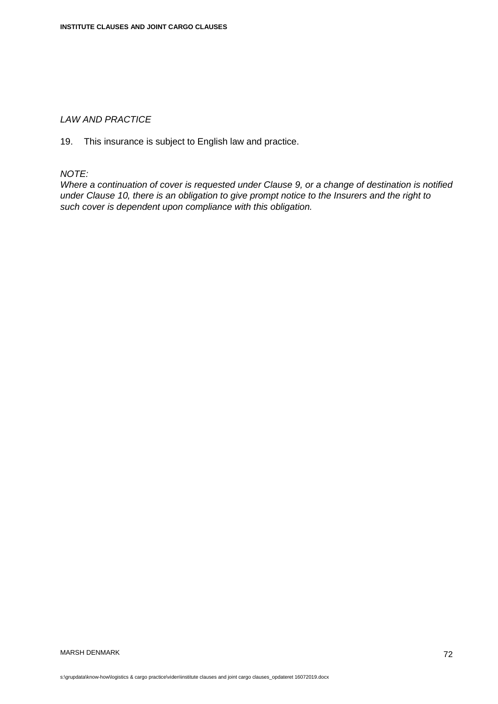## *LAW AND PRACTICE*

19. This insurance is subject to English law and practice.

*NOTE:*

*Where a continuation of cover is requested under Clause 9, or a change of destination is notified under Clause 10, there is an obligation to give prompt notice to the Insurers and the right to such cover is dependent upon compliance with this obligation.*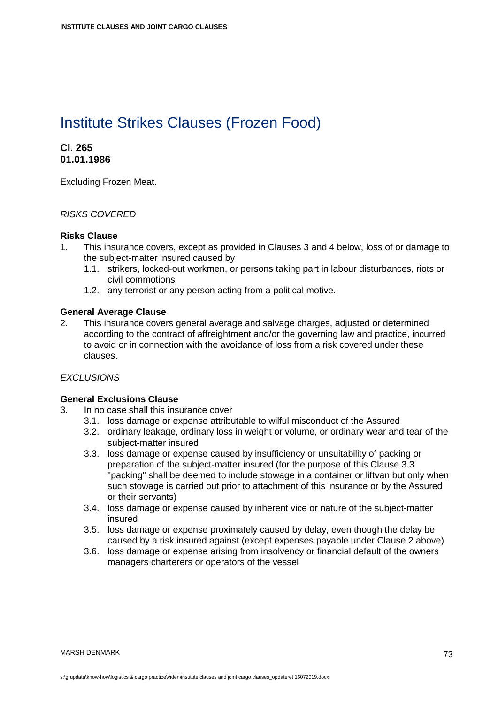# Institute Strikes Clauses (Frozen Food)

**Cl. 265 01.01.1986**

Excluding Frozen Meat.

#### *RISKS COVERED*

#### **Risks Clause**

- 1. This insurance covers, except as provided in Clauses 3 and 4 below, loss of or damage to the subject-matter insured caused by
	- 1.1. strikers, locked-out workmen, or persons taking part in labour disturbances, riots or civil commotions
	- 1.2. any terrorist or any person acting from a political motive.

#### **General Average Clause**

2. This insurance covers general average and salvage charges, adjusted or determined according to the contract of affreightment and/or the governing law and practice, incurred to avoid or in connection with the avoidance of loss from a risk covered under these clauses.

#### *EXCLUSIONS*

## **General Exclusions Clause**

- 3. In no case shall this insurance cover
	- 3.1. loss damage or expense attributable to wilful misconduct of the Assured
	- 3.2. ordinary leakage, ordinary loss in weight or volume, or ordinary wear and tear of the subject-matter insured
	- 3.3. loss damage or expense caused by insufficiency or unsuitability of packing or preparation of the subject-matter insured (for the purpose of this Clause 3.3 "packing" shall be deemed to include stowage in a container or liftvan but only when such stowage is carried out prior to attachment of this insurance or by the Assured or their servants)
	- 3.4. loss damage or expense caused by inherent vice or nature of the subject-matter insured
	- 3.5. loss damage or expense proximately caused by delay, even though the delay be caused by a risk insured against (except expenses payable under Clause 2 above)
	- 3.6. loss damage or expense arising from insolvency or financial default of the owners managers charterers or operators of the vessel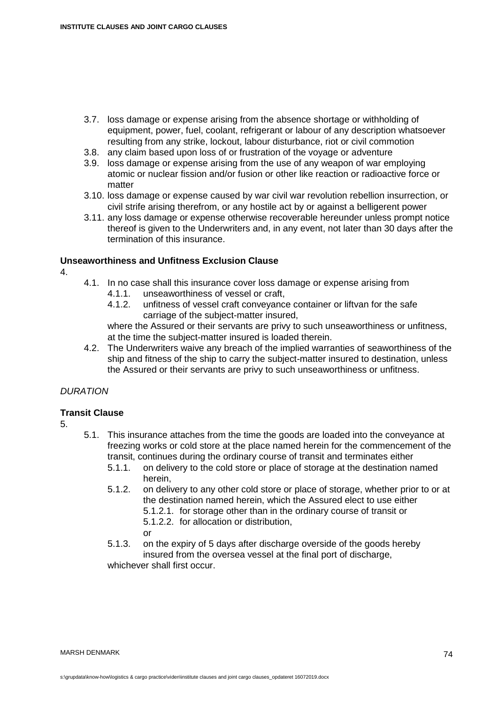- 3.7. loss damage or expense arising from the absence shortage or withholding of equipment, power, fuel, coolant, refrigerant or labour of any description whatsoever resulting from any strike, lockout, labour disturbance, riot or civil commotion
- 3.8. any claim based upon loss of or frustration of the voyage or adventure
- 3.9. loss damage or expense arising from the use of any weapon of war employing atomic or nuclear fission and/or fusion or other like reaction or radioactive force or matter
- 3.10. loss damage or expense caused by war civil war revolution rebellion insurrection, or civil strife arising therefrom, or any hostile act by or against a belligerent power
- 3.11. any loss damage or expense otherwise recoverable hereunder unless prompt notice thereof is given to the Underwriters and, in any event, not later than 30 days after the termination of this insurance.

## **Unseaworthiness and Unfitness Exclusion Clause**

4.

- 4.1. In no case shall this insurance cover loss damage or expense arising from
	- 4.1.1. unseaworthiness of vessel or craft.
	- 4.1.2. unfitness of vessel craft conveyance container or liftvan for the safe carriage of the subject-matter insured,

where the Assured or their servants are privy to such unseaworthiness or unfitness, at the time the subject-matter insured is loaded therein.

4.2. The Underwriters waive any breach of the implied warranties of seaworthiness of the ship and fitness of the ship to carry the subject-matter insured to destination, unless the Assured or their servants are privy to such unseaworthiness or unfitness.

## *DURATION*

## **Transit Clause**

5.

- 5.1. This insurance attaches from the time the goods are loaded into the conveyance at freezing works or cold store at the place named herein for the commencement of the transit, continues during the ordinary course of transit and terminates either
	- 5.1.1. on delivery to the cold store or place of storage at the destination named herein,
	- 5.1.2. on delivery to any other cold store or place of storage, whether prior to or at the destination named herein, which the Assured elect to use either 5.1.2.1. for storage other than in the ordinary course of transit or 5.1.2.2. for allocation or distribution, or
	- 5.1.3. on the expiry of 5 days after discharge overside of the goods hereby insured from the oversea vessel at the final port of discharge,

whichever shall first occur.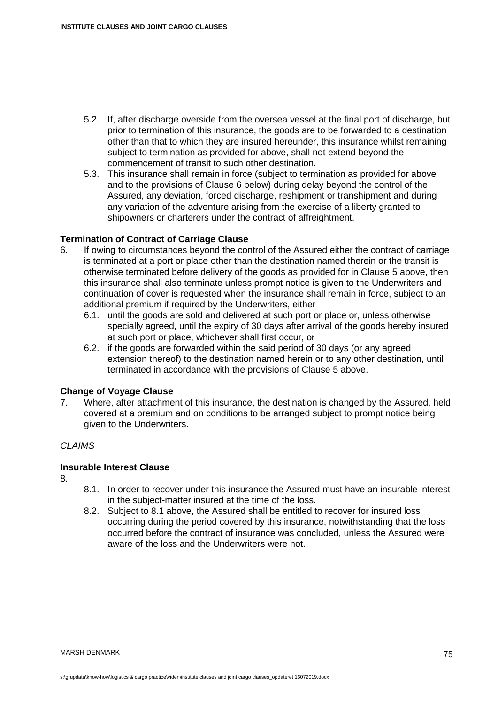- 5.2. If, after discharge overside from the oversea vessel at the final port of discharge, but prior to termination of this insurance, the goods are to be forwarded to a destination other than that to which they are insured hereunder, this insurance whilst remaining subject to termination as provided for above, shall not extend beyond the commencement of transit to such other destination.
- 5.3. This insurance shall remain in force (subject to termination as provided for above and to the provisions of Clause 6 below) during delay beyond the control of the Assured, any deviation, forced discharge, reshipment or transhipment and during any variation of the adventure arising from the exercise of a liberty granted to shipowners or charterers under the contract of affreightment.

## **Termination of Contract of Carriage Clause**

- 6. If owing to circumstances beyond the control of the Assured either the contract of carriage is terminated at a port or place other than the destination named therein or the transit is otherwise terminated before delivery of the goods as provided for in Clause 5 above, then this insurance shall also terminate unless prompt notice is given to the Underwriters and continuation of cover is requested when the insurance shall remain in force, subject to an additional premium if required by the Underwriters, either
	- 6.1. until the goods are sold and delivered at such port or place or, unless otherwise specially agreed, until the expiry of 30 days after arrival of the goods hereby insured at such port or place, whichever shall first occur, or
	- 6.2. if the goods are forwarded within the said period of 30 days (or any agreed extension thereof) to the destination named herein or to any other destination, until terminated in accordance with the provisions of Clause 5 above.

## **Change of Voyage Clause**

7. Where, after attachment of this insurance, the destination is changed by the Assured, held covered at a premium and on conditions to be arranged subject to prompt notice being given to the Underwriters.

## *CLAIMS*

## **Insurable Interest Clause**

8.

- 8.1. In order to recover under this insurance the Assured must have an insurable interest in the subject-matter insured at the time of the loss.
- 8.2. Subject to 8.1 above, the Assured shall be entitled to recover for insured loss occurring during the period covered by this insurance, notwithstanding that the loss occurred before the contract of insurance was concluded, unless the Assured were aware of the loss and the Underwriters were not.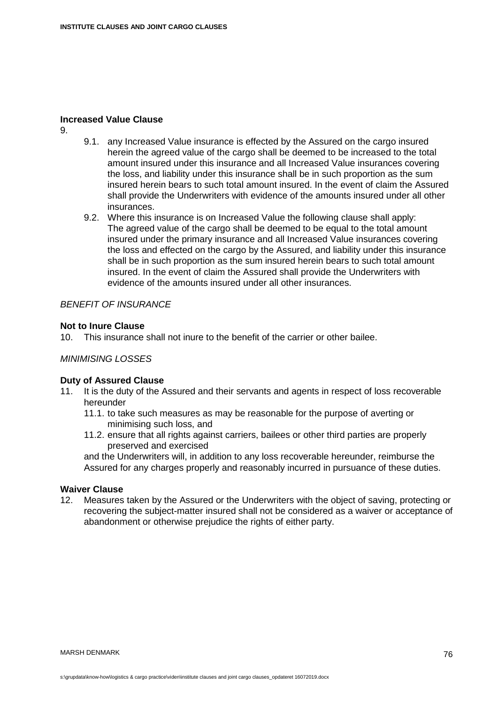## **Increased Value Clause**

9.

- 9.1. any Increased Value insurance is effected by the Assured on the cargo insured herein the agreed value of the cargo shall be deemed to be increased to the total amount insured under this insurance and all Increased Value insurances covering the loss, and liability under this insurance shall be in such proportion as the sum insured herein bears to such total amount insured. In the event of claim the Assured shall provide the Underwriters with evidence of the amounts insured under all other insurances.
- 9.2. Where this insurance is on Increased Value the following clause shall apply: The agreed value of the cargo shall be deemed to be equal to the total amount insured under the primary insurance and all Increased Value insurances covering the loss and effected on the cargo by the Assured, and liability under this insurance shall be in such proportion as the sum insured herein bears to such total amount insured. In the event of claim the Assured shall provide the Underwriters with evidence of the amounts insured under all other insurances.

## *BENEFIT OF INSURANCE*

#### **Not to Inure Clause**

10. This insurance shall not inure to the benefit of the carrier or other bailee.

## *MINIMISING LOSSES*

#### **Duty of Assured Clause**

- 11. It is the duty of the Assured and their servants and agents in respect of loss recoverable hereunder
	- 11.1. to take such measures as may be reasonable for the purpose of averting or minimising such loss, and
	- 11.2. ensure that all rights against carriers, bailees or other third parties are properly preserved and exercised

and the Underwriters will, in addition to any loss recoverable hereunder, reimburse the Assured for any charges properly and reasonably incurred in pursuance of these duties.

## **Waiver Clause**

12. Measures taken by the Assured or the Underwriters with the object of saving, protecting or recovering the subject-matter insured shall not be considered as a waiver or acceptance of abandonment or otherwise prejudice the rights of either party.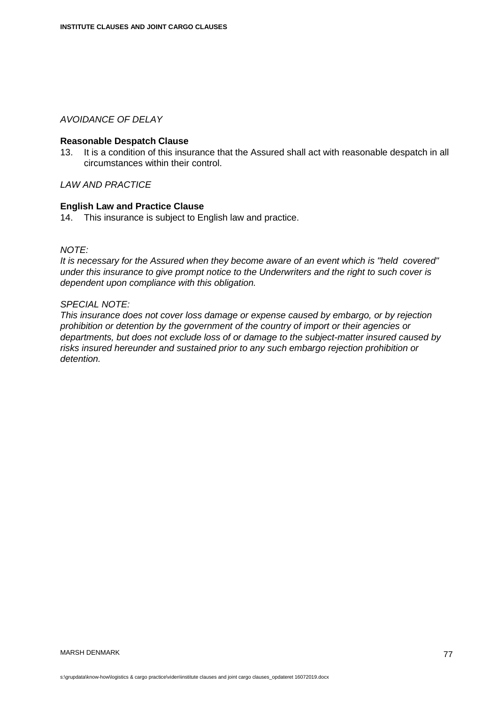## *AVOIDANCE OF DELAY*

## **Reasonable Despatch Clause**

13. It is a condition of this insurance that the Assured shall act with reasonable despatch in all circumstances within their control.

## *LAW AND PRACTICE*

#### **English Law and Practice Clause**

14. This insurance is subject to English law and practice.

## *NOTE:*

*It is necessary for the Assured when they become aware of an event which is "held covered" under this insurance to give prompt notice to the Underwriters and the right to such cover is dependent upon compliance with this obligation.*

## *SPECIAL NOTE:*

*This insurance does not cover loss damage or expense caused by embargo, or by rejection prohibition or detention by the government of the country of import or their agencies or departments, but does not exclude loss of or damage to the subject-matter insured caused by risks insured hereunder and sustained prior to any such embargo rejection prohibition or detention.*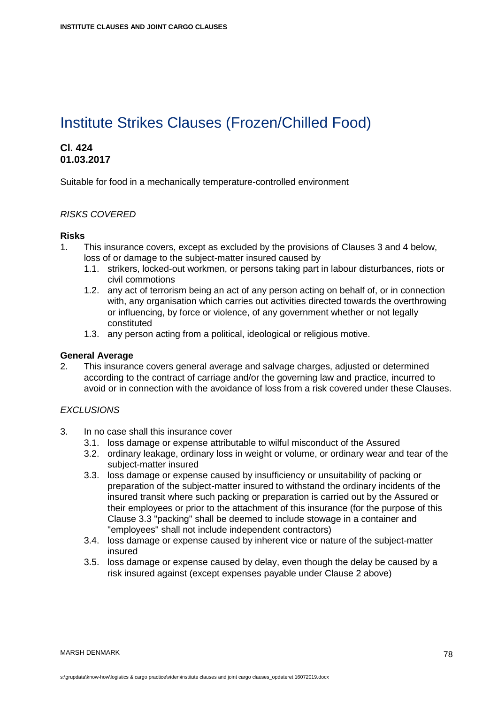# Institute Strikes Clauses (Frozen/Chilled Food)

## **Cl. 424 01.03.2017**

Suitable for food in a mechanically temperature-controlled environment

## *RISKS COVERED*

## **Risks**

- 1. This insurance covers, except as excluded by the provisions of Clauses 3 and 4 below, loss of or damage to the subject-matter insured caused by
	- 1.1. strikers, locked-out workmen, or persons taking part in labour disturbances, riots or civil commotions
	- 1.2. any act of terrorism being an act of any person acting on behalf of, or in connection with, any organisation which carries out activities directed towards the overthrowing or influencing, by force or violence, of any government whether or not legally constituted
	- 1.3. any person acting from a political, ideological or religious motive.

## **General Average**

2. This insurance covers general average and salvage charges, adjusted or determined according to the contract of carriage and/or the governing law and practice, incurred to avoid or in connection with the avoidance of loss from a risk covered under these Clauses.

## *EXCLUSIONS*

- 3. In no case shall this insurance cover
	- 3.1. loss damage or expense attributable to wilful misconduct of the Assured
	- 3.2. ordinary leakage, ordinary loss in weight or volume, or ordinary wear and tear of the subject-matter insured
	- 3.3. loss damage or expense caused by insufficiency or unsuitability of packing or preparation of the subject-matter insured to withstand the ordinary incidents of the insured transit where such packing or preparation is carried out by the Assured or their employees or prior to the attachment of this insurance (for the purpose of this Clause 3.3 "packing" shall be deemed to include stowage in a container and "employees" shall not include independent contractors)
	- 3.4. loss damage or expense caused by inherent vice or nature of the subject-matter insured
	- 3.5. loss damage or expense caused by delay, even though the delay be caused by a risk insured against (except expenses payable under Clause 2 above)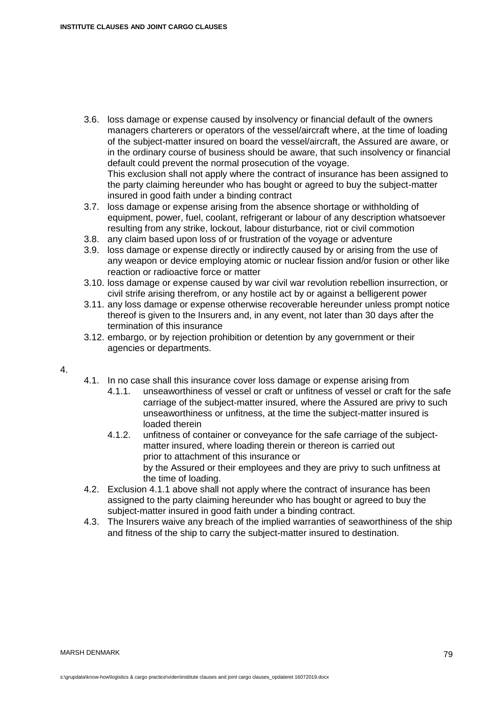3.6. loss damage or expense caused by insolvency or financial default of the owners managers charterers or operators of the vessel/aircraft where, at the time of loading of the subject-matter insured on board the vessel/aircraft, the Assured are aware, or in the ordinary course of business should be aware, that such insolvency or financial default could prevent the normal prosecution of the voyage.

This exclusion shall not apply where the contract of insurance has been assigned to the party claiming hereunder who has bought or agreed to buy the subject-matter insured in good faith under a binding contract

- 3.7. loss damage or expense arising from the absence shortage or withholding of equipment, power, fuel, coolant, refrigerant or labour of any description whatsoever resulting from any strike, lockout, labour disturbance, riot or civil commotion
- 3.8. any claim based upon loss of or frustration of the voyage or adventure
- 3.9. loss damage or expense directly or indirectly caused by or arising from the use of any weapon or device employing atomic or nuclear fission and/or fusion or other like reaction or radioactive force or matter
- 3.10. loss damage or expense caused by war civil war revolution rebellion insurrection, or civil strife arising therefrom, or any hostile act by or against a belligerent power
- 3.11. any loss damage or expense otherwise recoverable hereunder unless prompt notice thereof is given to the Insurers and, in any event, not later than 30 days after the termination of this insurance
- 3.12. embargo, or by rejection prohibition or detention by any government or their agencies or departments.
- 4.
- 4.1. In no case shall this insurance cover loss damage or expense arising from
	- 4.1.1. unseaworthiness of vessel or craft or unfitness of vessel or craft for the safe carriage of the subject-matter insured, where the Assured are privy to such unseaworthiness or unfitness, at the time the subject-matter insured is loaded therein
	- 4.1.2. unfitness of container or conveyance for the safe carriage of the subjectmatter insured, where loading therein or thereon is carried out prior to attachment of this insurance or by the Assured or their employees and they are privy to such unfitness at the time of loading.
- 4.2. Exclusion 4.1.1 above shall not apply where the contract of insurance has been assigned to the party claiming hereunder who has bought or agreed to buy the subject-matter insured in good faith under a binding contract.
- 4.3. The Insurers waive any breach of the implied warranties of seaworthiness of the ship and fitness of the ship to carry the subject-matter insured to destination.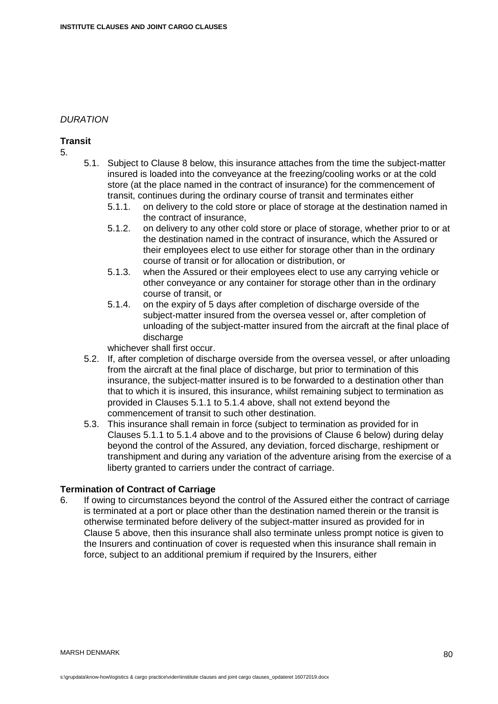## *DURATION*

## **Transit**

5.

- 5.1. Subject to Clause 8 below, this insurance attaches from the time the subject-matter insured is loaded into the conveyance at the freezing/cooling works or at the cold store (at the place named in the contract of insurance) for the commencement of transit, continues during the ordinary course of transit and terminates either
	- 5.1.1. on delivery to the cold store or place of storage at the destination named in the contract of insurance,
	- 5.1.2. on delivery to any other cold store or place of storage, whether prior to or at the destination named in the contract of insurance, which the Assured or their employees elect to use either for storage other than in the ordinary course of transit or for allocation or distribution, or
	- 5.1.3. when the Assured or their employees elect to use any carrying vehicle or other conveyance or any container for storage other than in the ordinary course of transit, or
	- 5.1.4. on the expiry of 5 days after completion of discharge overside of the subject-matter insured from the oversea vessel or, after completion of unloading of the subject-matter insured from the aircraft at the final place of discharge

whichever shall first occur.

- 5.2. If, after completion of discharge overside from the oversea vessel, or after unloading from the aircraft at the final place of discharge, but prior to termination of this insurance, the subject-matter insured is to be forwarded to a destination other than that to which it is insured, this insurance, whilst remaining subject to termination as provided in Clauses 5.1.1 to 5.1.4 above, shall not extend beyond the commencement of transit to such other destination.
- 5.3. This insurance shall remain in force (subject to termination as provided for in Clauses 5.1.1 to 5.1.4 above and to the provisions of Clause 6 below) during delay beyond the control of the Assured, any deviation, forced discharge, reshipment or transhipment and during any variation of the adventure arising from the exercise of a liberty granted to carriers under the contract of carriage.

## **Termination of Contract of Carriage**

6. If owing to circumstances beyond the control of the Assured either the contract of carriage is terminated at a port or place other than the destination named therein or the transit is otherwise terminated before delivery of the subject-matter insured as provided for in Clause 5 above, then this insurance shall also terminate unless prompt notice is given to the Insurers and continuation of cover is requested when this insurance shall remain in force, subject to an additional premium if required by the Insurers, either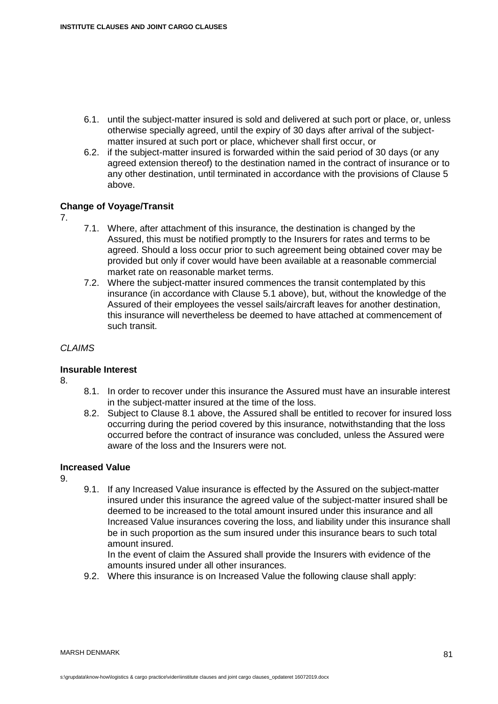- 6.1. until the subject-matter insured is sold and delivered at such port or place, or, unless otherwise specially agreed, until the expiry of 30 days after arrival of the subjectmatter insured at such port or place, whichever shall first occur, or
- 6.2. if the subject-matter insured is forwarded within the said period of 30 days (or any agreed extension thereof) to the destination named in the contract of insurance or to any other destination, until terminated in accordance with the provisions of Clause 5 above.

## **Change of Voyage/Transit**

- 7.
- 7.1. Where, after attachment of this insurance, the destination is changed by the Assured, this must be notified promptly to the Insurers for rates and terms to be agreed. Should a loss occur prior to such agreement being obtained cover may be provided but only if cover would have been available at a reasonable commercial market rate on reasonable market terms.
- 7.2. Where the subject-matter insured commences the transit contemplated by this insurance (in accordance with Clause 5.1 above), but, without the knowledge of the Assured of their employees the vessel sails/aircraft leaves for another destination, this insurance will nevertheless be deemed to have attached at commencement of such transit.

## *CLAIMS*

## **Insurable Interest**

8.

- 8.1. In order to recover under this insurance the Assured must have an insurable interest in the subject-matter insured at the time of the loss.
- 8.2. Subject to Clause 8.1 above, the Assured shall be entitled to recover for insured loss occurring during the period covered by this insurance, notwithstanding that the loss occurred before the contract of insurance was concluded, unless the Assured were aware of the loss and the Insurers were not.

## **Increased Value**

9.

9.1. If any Increased Value insurance is effected by the Assured on the subject-matter insured under this insurance the agreed value of the subject-matter insured shall be deemed to be increased to the total amount insured under this insurance and all Increased Value insurances covering the loss, and liability under this insurance shall be in such proportion as the sum insured under this insurance bears to such total amount insured.

In the event of claim the Assured shall provide the Insurers with evidence of the amounts insured under all other insurances.

9.2. Where this insurance is on Increased Value the following clause shall apply: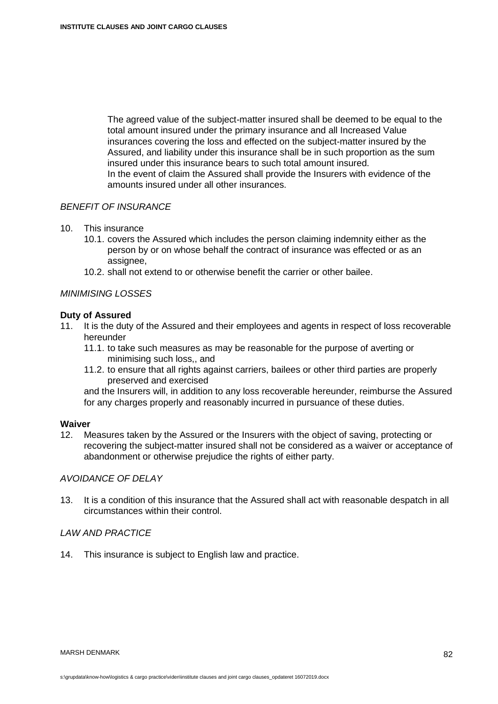The agreed value of the subject-matter insured shall be deemed to be equal to the total amount insured under the primary insurance and all Increased Value insurances covering the loss and effected on the subject-matter insured by the Assured, and liability under this insurance shall be in such proportion as the sum insured under this insurance bears to such total amount insured. In the event of claim the Assured shall provide the Insurers with evidence of the amounts insured under all other insurances.

#### *BENEFIT OF INSURANCE*

- 10. This insurance
	- 10.1. covers the Assured which includes the person claiming indemnity either as the person by or on whose behalf the contract of insurance was effected or as an assignee,
	- 10.2. shall not extend to or otherwise benefit the carrier or other bailee.

#### *MINIMISING LOSSES*

#### **Duty of Assured**

- 11. It is the duty of the Assured and their employees and agents in respect of loss recoverable hereunder
	- 11.1. to take such measures as may be reasonable for the purpose of averting or minimising such loss,, and
	- 11.2. to ensure that all rights against carriers, bailees or other third parties are properly preserved and exercised

and the Insurers will, in addition to any loss recoverable hereunder, reimburse the Assured for any charges properly and reasonably incurred in pursuance of these duties.

#### **Waiver**

12. Measures taken by the Assured or the Insurers with the object of saving, protecting or recovering the subject-matter insured shall not be considered as a waiver or acceptance of abandonment or otherwise prejudice the rights of either party.

## *AVOIDANCE OF DELAY*

13. It is a condition of this insurance that the Assured shall act with reasonable despatch in all circumstances within their control.

## *LAW AND PRACTICE*

14. This insurance is subject to English law and practice.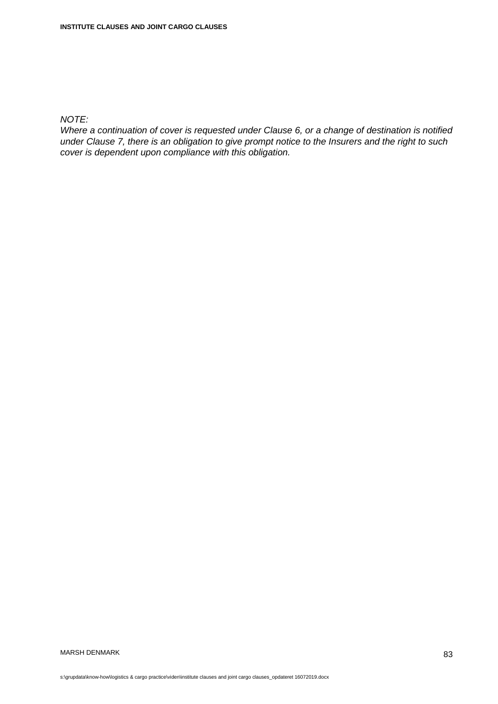## *NOTE:*

*Where a continuation of cover is requested under Clause 6, or a change of destination is notified under Clause 7, there is an obligation to give prompt notice to the Insurers and the right to such cover is dependent upon compliance with this obligation.*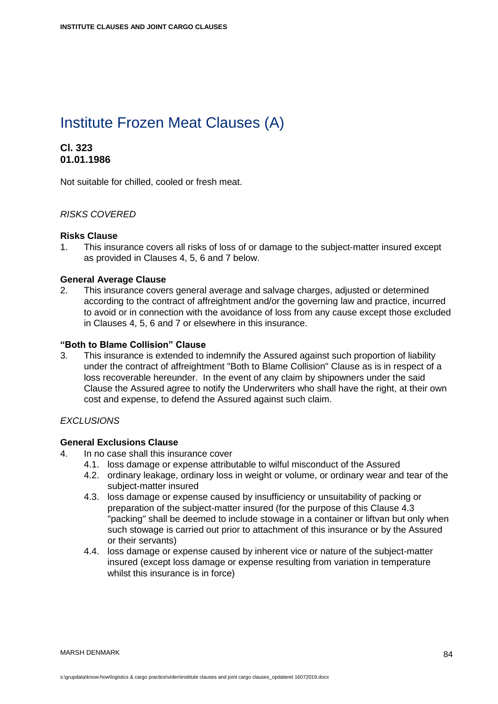# Institute Frozen Meat Clauses (A)

**Cl. 323 01.01.1986**

Not suitable for chilled, cooled or fresh meat.

## *RISKS COVERED*

### **Risks Clause**

1. This insurance covers all risks of loss of or damage to the subject-matter insured except as provided in Clauses 4, 5, 6 and 7 below.

## **General Average Clause**

2. This insurance covers general average and salvage charges, adjusted or determined according to the contract of affreightment and/or the governing law and practice, incurred to avoid or in connection with the avoidance of loss from any cause except those excluded in Clauses 4, 5, 6 and 7 or elsewhere in this insurance.

## **"Both to Blame Collision" Clause**

3. This insurance is extended to indemnify the Assured against such proportion of liability under the contract of affreightment "Both to Blame Collision" Clause as is in respect of a loss recoverable hereunder. In the event of any claim by shipowners under the said Clause the Assured agree to notify the Underwriters who shall have the right, at their own cost and expense, to defend the Assured against such claim.

## *EXCLUSIONS*

#### **General Exclusions Clause**

- 4. In no case shall this insurance cover
	- 4.1. loss damage or expense attributable to wilful misconduct of the Assured
		- 4.2. ordinary leakage, ordinary loss in weight or volume, or ordinary wear and tear of the subject-matter insured
		- 4.3. loss damage or expense caused by insufficiency or unsuitability of packing or preparation of the subject-matter insured (for the purpose of this Clause 4.3 "packing" shall be deemed to include stowage in a container or liftvan but only when such stowage is carried out prior to attachment of this insurance or by the Assured or their servants)
		- 4.4. loss damage or expense caused by inherent vice or nature of the subject-matter insured (except loss damage or expense resulting from variation in temperature whilst this insurance is in force)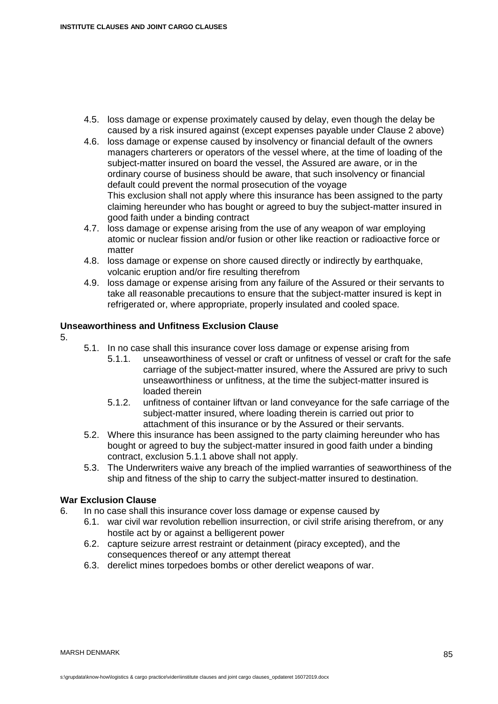- 4.5. loss damage or expense proximately caused by delay, even though the delay be caused by a risk insured against (except expenses payable under Clause 2 above)
- 4.6. loss damage or expense caused by insolvency or financial default of the owners managers charterers or operators of the vessel where, at the time of loading of the subject-matter insured on board the vessel, the Assured are aware, or in the ordinary course of business should be aware, that such insolvency or financial default could prevent the normal prosecution of the voyage This exclusion shall not apply where this insurance has been assigned to the party claiming hereunder who has bought or agreed to buy the subject-matter insured in good faith under a binding contract
- 4.7. loss damage or expense arising from the use of any weapon of war employing atomic or nuclear fission and/or fusion or other like reaction or radioactive force or matter
- 4.8. loss damage or expense on shore caused directly or indirectly by earthquake, volcanic eruption and/or fire resulting therefrom
- 4.9. loss damage or expense arising from any failure of the Assured or their servants to take all reasonable precautions to ensure that the subject-matter insured is kept in refrigerated or, where appropriate, properly insulated and cooled space.

## **Unseaworthiness and Unfitness Exclusion Clause**

- 5.
- 5.1. In no case shall this insurance cover loss damage or expense arising from
	- 5.1.1. unseaworthiness of vessel or craft or unfitness of vessel or craft for the safe carriage of the subject-matter insured, where the Assured are privy to such unseaworthiness or unfitness, at the time the subject-matter insured is loaded therein
	- 5.1.2. unfitness of container liftvan or land conveyance for the safe carriage of the subject-matter insured, where loading therein is carried out prior to attachment of this insurance or by the Assured or their servants.
- 5.2. Where this insurance has been assigned to the party claiming hereunder who has bought or agreed to buy the subject-matter insured in good faith under a binding contract, exclusion 5.1.1 above shall not apply.
- 5.3. The Underwriters waive any breach of the implied warranties of seaworthiness of the ship and fitness of the ship to carry the subject-matter insured to destination.

## **War Exclusion Clause**

- 6. In no case shall this insurance cover loss damage or expense caused by
	- 6.1. war civil war revolution rebellion insurrection, or civil strife arising therefrom, or any hostile act by or against a belligerent power
	- 6.2. capture seizure arrest restraint or detainment (piracy excepted), and the consequences thereof or any attempt thereat
	- 6.3. derelict mines torpedoes bombs or other derelict weapons of war.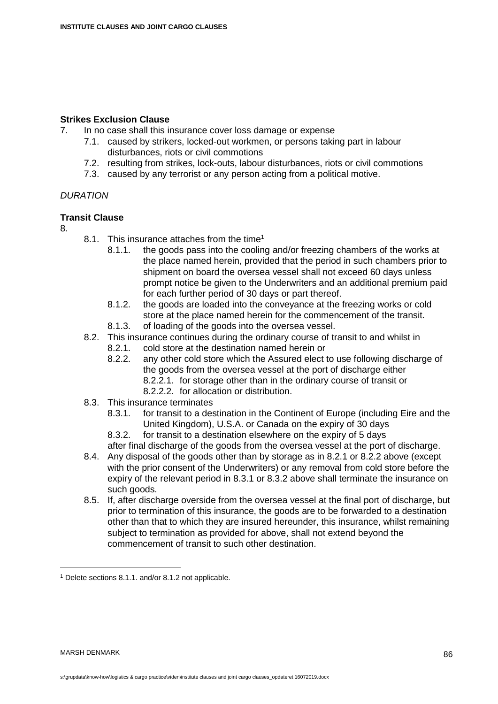## **Strikes Exclusion Clause**

7. In no case shall this insurance cover loss damage or expense

- 7.1. caused by strikers, locked-out workmen, or persons taking part in labour disturbances, riots or civil commotions
- 7.2. resulting from strikes, lock-outs, labour disturbances, riots or civil commotions
- 7.3. caused by any terrorist or any person acting from a political motive.

## *DURATION*

## **Transit Clause**

- 8.
- 8.1. This insurance attaches from the time<sup>1</sup>
	- 8.1.1. the goods pass into the cooling and/or freezing chambers of the works at the place named herein, provided that the period in such chambers prior to shipment on board the oversea vessel shall not exceed 60 days unless prompt notice be given to the Underwriters and an additional premium paid for each further period of 30 days or part thereof.
	- 8.1.2. the goods are loaded into the conveyance at the freezing works or cold store at the place named herein for the commencement of the transit.
	- 8.1.3. of loading of the goods into the oversea vessel.
- 8.2. This insurance continues during the ordinary course of transit to and whilst in 8.2.1. cold store at the destination named herein or
	- 8.2.2. any other cold store which the Assured elect to use following discharge of the goods from the oversea vessel at the port of discharge either 8.2.2.1. for storage other than in the ordinary course of transit or 8.2.2.2. for allocation or distribution.
- 8.3. This insurance terminates
	- 8.3.1. for transit to a destination in the Continent of Europe (including Eire and the United Kingdom), U.S.A. or Canada on the expiry of 30 days
	- 8.3.2. for transit to a destination elsewhere on the expiry of 5 days after final discharge of the goods from the oversea vessel at the port of discharge.
- 8.4. Any disposal of the goods other than by storage as in 8.2.1 or 8.2.2 above (except with the prior consent of the Underwriters) or any removal from cold store before the expiry of the relevant period in 8.3.1 or 8.3.2 above shall terminate the insurance on such goods.
- 8.5. If, after discharge overside from the oversea vessel at the final port of discharge, but prior to termination of this insurance, the goods are to be forwarded to a destination other than that to which they are insured hereunder, this insurance, whilst remaining subject to termination as provided for above, shall not extend beyond the commencement of transit to such other destination.

-

<sup>1</sup> Delete sections 8.1.1. and/or 8.1.2 not applicable.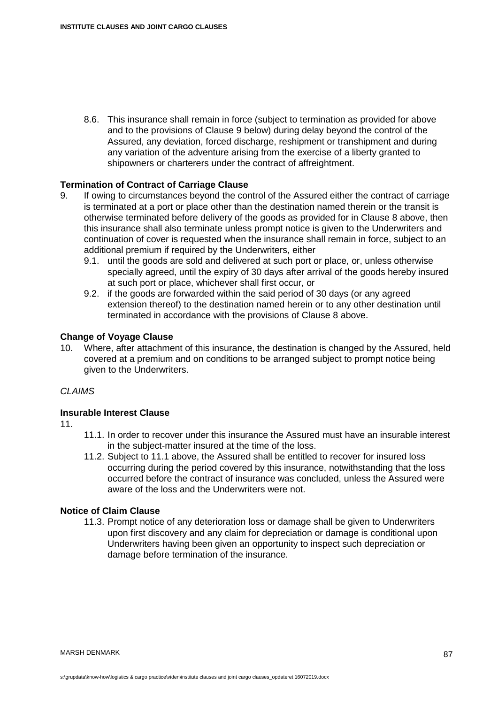8.6. This insurance shall remain in force (subject to termination as provided for above and to the provisions of Clause 9 below) during delay beyond the control of the Assured, any deviation, forced discharge, reshipment or transhipment and during any variation of the adventure arising from the exercise of a liberty granted to shipowners or charterers under the contract of affreightment.

## **Termination of Contract of Carriage Clause**

- 9. If owing to circumstances beyond the control of the Assured either the contract of carriage is terminated at a port or place other than the destination named therein or the transit is otherwise terminated before delivery of the goods as provided for in Clause 8 above, then this insurance shall also terminate unless prompt notice is given to the Underwriters and continuation of cover is requested when the insurance shall remain in force, subject to an additional premium if required by the Underwriters, either
	- 9.1. until the goods are sold and delivered at such port or place, or, unless otherwise specially agreed, until the expiry of 30 days after arrival of the goods hereby insured at such port or place, whichever shall first occur, or
	- 9.2. if the goods are forwarded within the said period of 30 days (or any agreed extension thereof) to the destination named herein or to any other destination until terminated in accordance with the provisions of Clause 8 above.

## **Change of Voyage Clause**

10. Where, after attachment of this insurance, the destination is changed by the Assured, held covered at a premium and on conditions to be arranged subject to prompt notice being given to the Underwriters.

## *CLAIMS*

## **Insurable Interest Clause**

- 11.
- 11.1. In order to recover under this insurance the Assured must have an insurable interest in the subject-matter insured at the time of the loss.
- 11.2. Subject to 11.1 above, the Assured shall be entitled to recover for insured loss occurring during the period covered by this insurance, notwithstanding that the loss occurred before the contract of insurance was concluded, unless the Assured were aware of the loss and the Underwriters were not.

## **Notice of Claim Clause**

11.3. Prompt notice of any deterioration loss or damage shall be given to Underwriters upon first discovery and any claim for depreciation or damage is conditional upon Underwriters having been given an opportunity to inspect such depreciation or damage before termination of the insurance.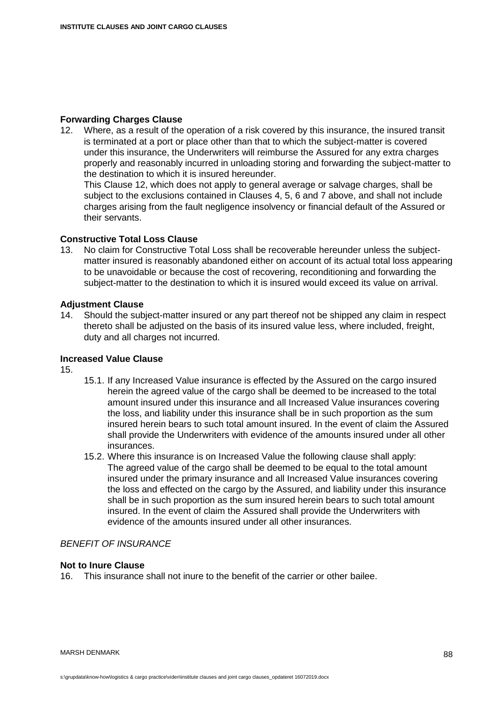## **Forwarding Charges Clause**

12. Where, as a result of the operation of a risk covered by this insurance, the insured transit is terminated at a port or place other than that to which the subject-matter is covered under this insurance, the Underwriters will reimburse the Assured for any extra charges properly and reasonably incurred in unloading storing and forwarding the subject-matter to the destination to which it is insured hereunder.

This Clause 12, which does not apply to general average or salvage charges, shall be subject to the exclusions contained in Clauses 4, 5, 6 and 7 above, and shall not include charges arising from the fault negligence insolvency or financial default of the Assured or their servants.

## **Constructive Total Loss Clause**

13. No claim for Constructive Total Loss shall be recoverable hereunder unless the subjectmatter insured is reasonably abandoned either on account of its actual total loss appearing to be unavoidable or because the cost of recovering, reconditioning and forwarding the subject-matter to the destination to which it is insured would exceed its value on arrival.

## **Adjustment Clause**

14. Should the subject-matter insured or any part thereof not be shipped any claim in respect thereto shall be adjusted on the basis of its insured value less, where included, freight, duty and all charges not incurred.

## **Increased Value Clause**

15.

- 15.1. If any Increased Value insurance is effected by the Assured on the cargo insured herein the agreed value of the cargo shall be deemed to be increased to the total amount insured under this insurance and all Increased Value insurances covering the loss, and liability under this insurance shall be in such proportion as the sum insured herein bears to such total amount insured. In the event of claim the Assured shall provide the Underwriters with evidence of the amounts insured under all other insurances.
- 15.2. Where this insurance is on Increased Value the following clause shall apply: The agreed value of the cargo shall be deemed to be equal to the total amount insured under the primary insurance and all Increased Value insurances covering the loss and effected on the cargo by the Assured, and liability under this insurance shall be in such proportion as the sum insured herein bears to such total amount insured. In the event of claim the Assured shall provide the Underwriters with evidence of the amounts insured under all other insurances.

## *BENEFIT OF INSURANCE*

## **Not to Inure Clause**

16. This insurance shall not inure to the benefit of the carrier or other bailee.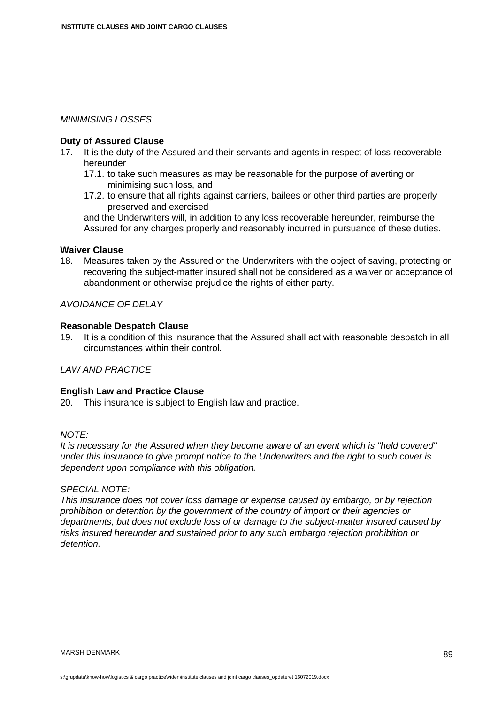## *MINIMISING LOSSES*

## **Duty of Assured Clause**

- 17. It is the duty of the Assured and their servants and agents in respect of loss recoverable hereunder
	- 17.1. to take such measures as may be reasonable for the purpose of averting or minimising such loss, and
	- 17.2. to ensure that all rights against carriers, bailees or other third parties are properly preserved and exercised

and the Underwriters will, in addition to any loss recoverable hereunder, reimburse the Assured for any charges properly and reasonably incurred in pursuance of these duties.

## **Waiver Clause**

18. Measures taken by the Assured or the Underwriters with the object of saving, protecting or recovering the subject-matter insured shall not be considered as a waiver or acceptance of abandonment or otherwise prejudice the rights of either party.

## *AVOIDANCE OF DELAY*

## **Reasonable Despatch Clause**

19. It is a condition of this insurance that the Assured shall act with reasonable despatch in all circumstances within their control.

## *LAW AND PRACTICE*

## **English Law and Practice Clause**

20. This insurance is subject to English law and practice.

## *NOTE:*

*It is necessary for the Assured when they become aware of an event which is "held covered" under this insurance to give prompt notice to the Underwriters and the right to such cover is dependent upon compliance with this obligation.*

## *SPECIAL NOTE:*

*This insurance does not cover loss damage or expense caused by embargo, or by rejection prohibition or detention by the government of the country of import or their agencies or departments, but does not exclude loss of or damage to the subject-matter insured caused by risks insured hereunder and sustained prior to any such embargo rejection prohibition or detention.*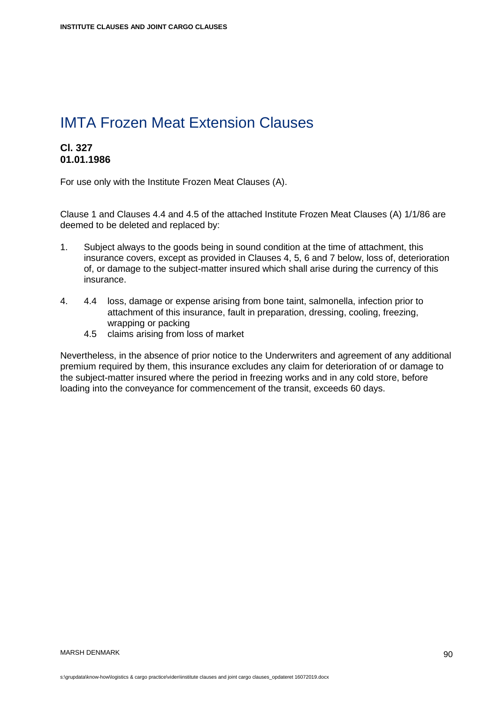## IMTA Frozen Meat Extension Clauses

## **Cl. 327 01.01.1986**

For use only with the Institute Frozen Meat Clauses (A).

Clause 1 and Clauses 4.4 and 4.5 of the attached Institute Frozen Meat Clauses (A) 1/1/86 are deemed to be deleted and replaced by:

- 1. Subject always to the goods being in sound condition at the time of attachment, this insurance covers, except as provided in Clauses 4, 5, 6 and 7 below, loss of, deterioration of, or damage to the subject-matter insured which shall arise during the currency of this insurance.
- 4. 4.4 loss, damage or expense arising from bone taint, salmonella, infection prior to attachment of this insurance, fault in preparation, dressing, cooling, freezing, wrapping or packing
	- 4.5 claims arising from loss of market

Nevertheless, in the absence of prior notice to the Underwriters and agreement of any additional premium required by them, this insurance excludes any claim for deterioration of or damage to the subject-matter insured where the period in freezing works and in any cold store, before loading into the conveyance for commencement of the transit, exceeds 60 days.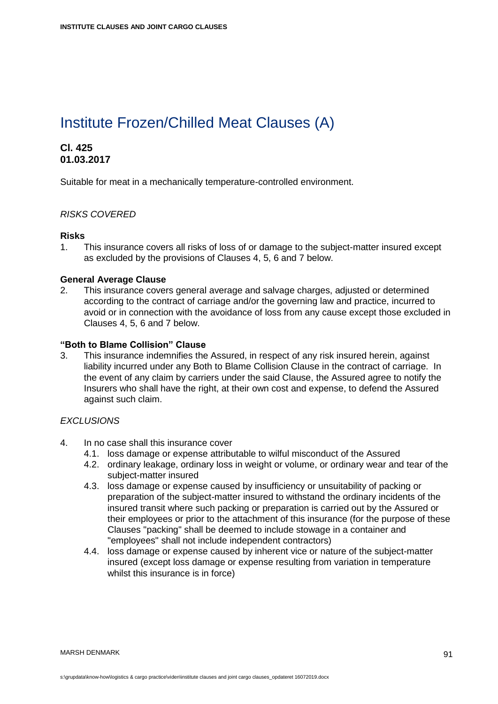# Institute Frozen/Chilled Meat Clauses (A)

**Cl. 425 01.03.2017**

Suitable for meat in a mechanically temperature-controlled environment.

## *RISKS COVERED*

## **Risks**

1. This insurance covers all risks of loss of or damage to the subject-matter insured except as excluded by the provisions of Clauses 4, 5, 6 and 7 below.

### **General Average Clause**

2. This insurance covers general average and salvage charges, adjusted or determined according to the contract of carriage and/or the governing law and practice, incurred to avoid or in connection with the avoidance of loss from any cause except those excluded in Clauses 4, 5, 6 and 7 below.

## **"Both to Blame Collision" Clause**

3. This insurance indemnifies the Assured, in respect of any risk insured herein, against liability incurred under any Both to Blame Collision Clause in the contract of carriage. In the event of any claim by carriers under the said Clause, the Assured agree to notify the Insurers who shall have the right, at their own cost and expense, to defend the Assured against such claim.

## *EXCLUSIONS*

- 4. In no case shall this insurance cover
	- 4.1. loss damage or expense attributable to wilful misconduct of the Assured
	- 4.2. ordinary leakage, ordinary loss in weight or volume, or ordinary wear and tear of the subject-matter insured
	- 4.3. loss damage or expense caused by insufficiency or unsuitability of packing or preparation of the subject-matter insured to withstand the ordinary incidents of the insured transit where such packing or preparation is carried out by the Assured or their employees or prior to the attachment of this insurance (for the purpose of these Clauses "packing" shall be deemed to include stowage in a container and "employees" shall not include independent contractors)
	- 4.4. loss damage or expense caused by inherent vice or nature of the subject-matter insured (except loss damage or expense resulting from variation in temperature whilst this insurance is in force)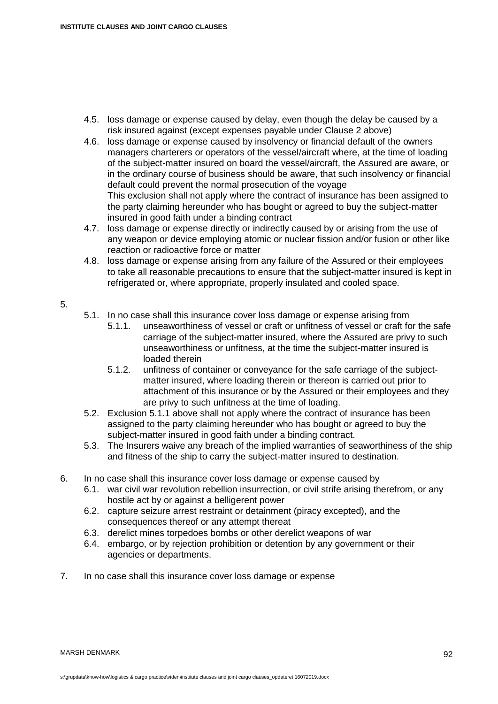- 4.5. loss damage or expense caused by delay, even though the delay be caused by a risk insured against (except expenses payable under Clause 2 above)
- 4.6. loss damage or expense caused by insolvency or financial default of the owners managers charterers or operators of the vessel/aircraft where, at the time of loading of the subject-matter insured on board the vessel/aircraft, the Assured are aware, or in the ordinary course of business should be aware, that such insolvency or financial default could prevent the normal prosecution of the voyage This exclusion shall not apply where the contract of insurance has been assigned to the party claiming hereunder who has bought or agreed to buy the subject-matter insured in good faith under a binding contract
- 4.7. loss damage or expense directly or indirectly caused by or arising from the use of any weapon or device employing atomic or nuclear fission and/or fusion or other like reaction or radioactive force or matter
- 4.8. loss damage or expense arising from any failure of the Assured or their employees to take all reasonable precautions to ensure that the subject-matter insured is kept in refrigerated or, where appropriate, properly insulated and cooled space.

## 5.

- 5.1. In no case shall this insurance cover loss damage or expense arising from
	- 5.1.1. unseaworthiness of vessel or craft or unfitness of vessel or craft for the safe carriage of the subject-matter insured, where the Assured are privy to such unseaworthiness or unfitness, at the time the subject-matter insured is loaded therein
	- 5.1.2. unfitness of container or conveyance for the safe carriage of the subjectmatter insured, where loading therein or thereon is carried out prior to attachment of this insurance or by the Assured or their employees and they are privy to such unfitness at the time of loading.
- 5.2. Exclusion 5.1.1 above shall not apply where the contract of insurance has been assigned to the party claiming hereunder who has bought or agreed to buy the subject-matter insured in good faith under a binding contract.
- 5.3. The Insurers waive any breach of the implied warranties of seaworthiness of the ship and fitness of the ship to carry the subject-matter insured to destination.
- 6. In no case shall this insurance cover loss damage or expense caused by
	- 6.1. war civil war revolution rebellion insurrection, or civil strife arising therefrom, or any hostile act by or against a belligerent power
	- 6.2. capture seizure arrest restraint or detainment (piracy excepted), and the consequences thereof or any attempt thereat
	- 6.3. derelict mines torpedoes bombs or other derelict weapons of war
	- 6.4. embargo, or by rejection prohibition or detention by any government or their agencies or departments.
- 7. In no case shall this insurance cover loss damage or expense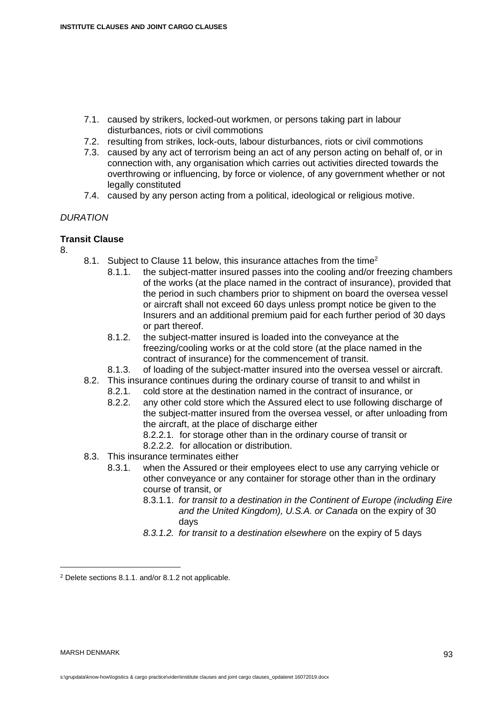- 7.1. caused by strikers, locked-out workmen, or persons taking part in labour disturbances, riots or civil commotions
- 7.2. resulting from strikes, lock-outs, labour disturbances, riots or civil commotions
- 7.3. caused by any act of terrorism being an act of any person acting on behalf of, or in connection with, any organisation which carries out activities directed towards the overthrowing or influencing, by force or violence, of any government whether or not legally constituted
- 7.4. caused by any person acting from a political, ideological or religious motive.

## *DURATION*

## **Transit Clause**

8.

- 8.1. Subject to Clause 11 below, this insurance attaches from the time<sup>2</sup>
	- 8.1.1. the subject-matter insured passes into the cooling and/or freezing chambers of the works (at the place named in the contract of insurance), provided that the period in such chambers prior to shipment on board the oversea vessel or aircraft shall not exceed 60 days unless prompt notice be given to the Insurers and an additional premium paid for each further period of 30 days or part thereof.
		- 8.1.2. the subject-matter insured is loaded into the conveyance at the freezing/cooling works or at the cold store (at the place named in the contract of insurance) for the commencement of transit.
	- 8.1.3. of loading of the subject-matter insured into the oversea vessel or aircraft.
- 8.2. This insurance continues during the ordinary course of transit to and whilst in 8.2.1. cold store at the destination named in the contract of insurance, or
	- 8.2.2. any other cold store which the Assured elect to use following discharge of the subject-matter insured from the oversea vessel, or after unloading from the aircraft, at the place of discharge either

8.2.2.1. for storage other than in the ordinary course of transit or

- 8.2.2.2. for allocation or distribution.
- 8.3. This insurance terminates either
	- 8.3.1. when the Assured or their employees elect to use any carrying vehicle or other conveyance or any container for storage other than in the ordinary course of transit, or
		- 8.3.1.1. *for transit to a destination in the Continent of Europe (including Eire and the United Kingdom), U.S.A. or Canada* on the expiry of 30 days
		- *8.3.1.2. for transit to a destination elsewhere* on the expiry of 5 days

-

<sup>2</sup> Delete sections 8.1.1. and/or 8.1.2 not applicable.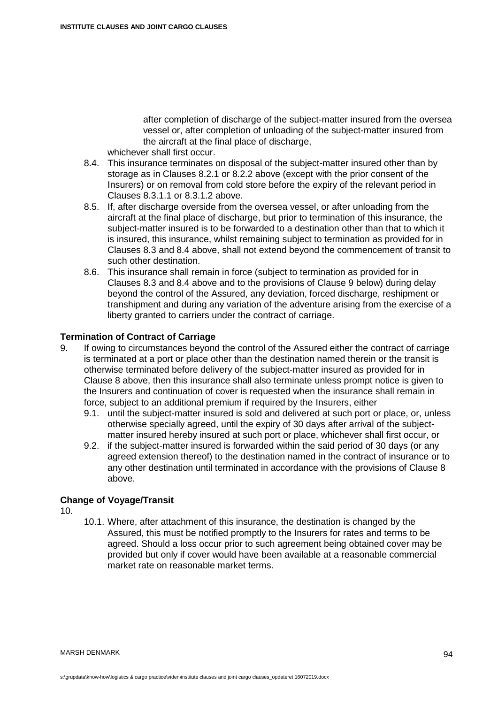after completion of discharge of the subject-matter insured from the oversea vessel or, after completion of unloading of the subject-matter insured from the aircraft at the final place of discharge,

whichever shall first occur.

- 8.4. This insurance terminates on disposal of the subject-matter insured other than by storage as in Clauses 8.2.1 or 8.2.2 above (except with the prior consent of the Insurers) or on removal from cold store before the expiry of the relevant period in Clauses 8.3.1.1 or 8.3.1.2 above.
- 8.5. If, after discharge overside from the oversea vessel, or after unloading from the aircraft at the final place of discharge, but prior to termination of this insurance, the subject-matter insured is to be forwarded to a destination other than that to which it is insured, this insurance, whilst remaining subject to termination as provided for in Clauses 8.3 and 8.4 above, shall not extend beyond the commencement of transit to such other destination.
- 8.6. This insurance shall remain in force (subject to termination as provided for in Clauses 8.3 and 8.4 above and to the provisions of Clause 9 below) during delay beyond the control of the Assured, any deviation, forced discharge, reshipment or transhipment and during any variation of the adventure arising from the exercise of a liberty granted to carriers under the contract of carriage.

#### **Termination of Contract of Carriage**

- 9. If owing to circumstances beyond the control of the Assured either the contract of carriage is terminated at a port or place other than the destination named therein or the transit is otherwise terminated before delivery of the subject-matter insured as provided for in Clause 8 above, then this insurance shall also terminate unless prompt notice is given to the Insurers and continuation of cover is requested when the insurance shall remain in force, subject to an additional premium if required by the Insurers, either
	- 9.1. until the subject-matter insured is sold and delivered at such port or place, or, unless otherwise specially agreed, until the expiry of 30 days after arrival of the subjectmatter insured hereby insured at such port or place, whichever shall first occur, or
	- 9.2. if the subject-matter insured is forwarded within the said period of 30 days (or any agreed extension thereof) to the destination named in the contract of insurance or to any other destination until terminated in accordance with the provisions of Clause 8 above.

#### **Change of Voyage/Transit**

10.

10.1. Where, after attachment of this insurance, the destination is changed by the Assured, this must be notified promptly to the Insurers for rates and terms to be agreed. Should a loss occur prior to such agreement being obtained cover may be provided but only if cover would have been available at a reasonable commercial market rate on reasonable market terms.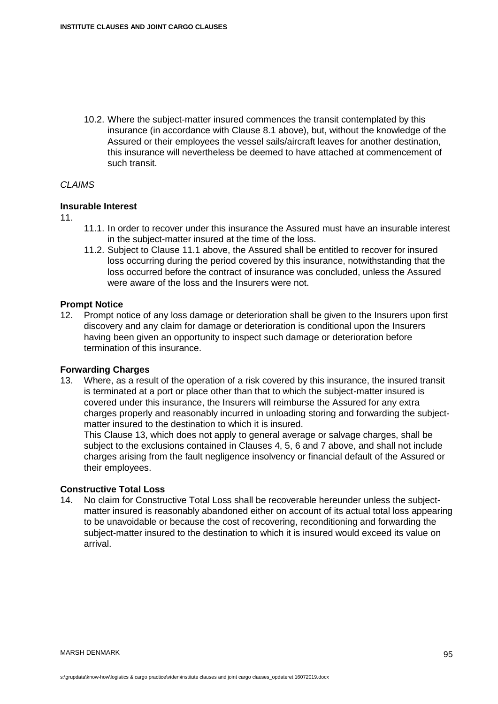10.2. Where the subject-matter insured commences the transit contemplated by this insurance (in accordance with Clause 8.1 above), but, without the knowledge of the Assured or their employees the vessel sails/aircraft leaves for another destination, this insurance will nevertheless be deemed to have attached at commencement of such transit.

## *CLAIMS*

#### **Insurable Interest**

- 11.
- 11.1. In order to recover under this insurance the Assured must have an insurable interest in the subject-matter insured at the time of the loss.
- 11.2. Subject to Clause 11.1 above, the Assured shall be entitled to recover for insured loss occurring during the period covered by this insurance, notwithstanding that the loss occurred before the contract of insurance was concluded, unless the Assured were aware of the loss and the Insurers were not.

#### **Prompt Notice**

12. Prompt notice of any loss damage or deterioration shall be given to the Insurers upon first discovery and any claim for damage or deterioration is conditional upon the Insurers having been given an opportunity to inspect such damage or deterioration before termination of this insurance.

## **Forwarding Charges**

13. Where, as a result of the operation of a risk covered by this insurance, the insured transit is terminated at a port or place other than that to which the subject-matter insured is covered under this insurance, the Insurers will reimburse the Assured for any extra charges properly and reasonably incurred in unloading storing and forwarding the subjectmatter insured to the destination to which it is insured.

This Clause 13, which does not apply to general average or salvage charges, shall be subject to the exclusions contained in Clauses 4, 5, 6 and 7 above, and shall not include charges arising from the fault negligence insolvency or financial default of the Assured or their employees.

## **Constructive Total Loss**

14. No claim for Constructive Total Loss shall be recoverable hereunder unless the subjectmatter insured is reasonably abandoned either on account of its actual total loss appearing to be unavoidable or because the cost of recovering, reconditioning and forwarding the subject-matter insured to the destination to which it is insured would exceed its value on arrival.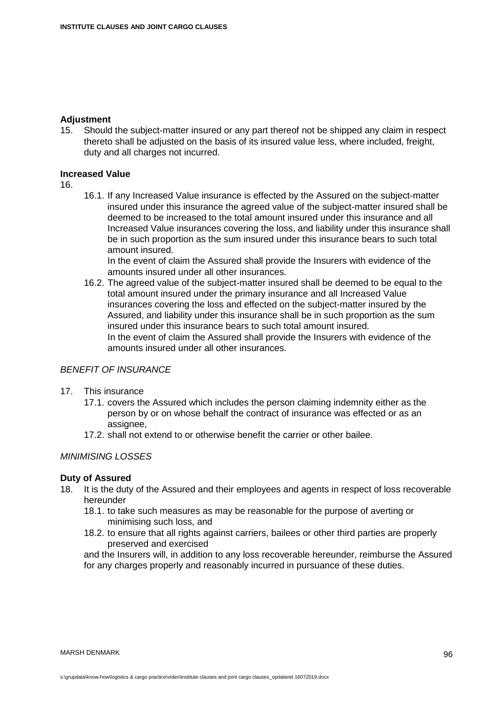#### **Adjustment**

15. Should the subject-matter insured or any part thereof not be shipped any claim in respect thereto shall be adjusted on the basis of its insured value less, where included, freight, duty and all charges not incurred.

#### **Increased Value**

16.

16.1. If any Increased Value insurance is effected by the Assured on the subject-matter insured under this insurance the agreed value of the subject-matter insured shall be deemed to be increased to the total amount insured under this insurance and all Increased Value insurances covering the loss, and liability under this insurance shall be in such proportion as the sum insured under this insurance bears to such total amount insured.

In the event of claim the Assured shall provide the Insurers with evidence of the amounts insured under all other insurances.

16.2. The agreed value of the subject-matter insured shall be deemed to be equal to the total amount insured under the primary insurance and all Increased Value insurances covering the loss and effected on the subject-matter insured by the Assured, and liability under this insurance shall be in such proportion as the sum insured under this insurance bears to such total amount insured. In the event of claim the Assured shall provide the Insurers with evidence of the amounts insured under all other insurances.

## *BENEFIT OF INSURANCE*

- 17. This insurance
	- 17.1. covers the Assured which includes the person claiming indemnity either as the person by or on whose behalf the contract of insurance was effected or as an assignee,
	- 17.2. shall not extend to or otherwise benefit the carrier or other bailee.

## *MINIMISING LOSSES*

## **Duty of Assured**

- 18. It is the duty of the Assured and their employees and agents in respect of loss recoverable hereunder
	- 18.1. to take such measures as may be reasonable for the purpose of averting or minimising such loss, and
	- 18.2. to ensure that all rights against carriers, bailees or other third parties are properly preserved and exercised

and the Insurers will, in addition to any loss recoverable hereunder, reimburse the Assured for any charges properly and reasonably incurred in pursuance of these duties.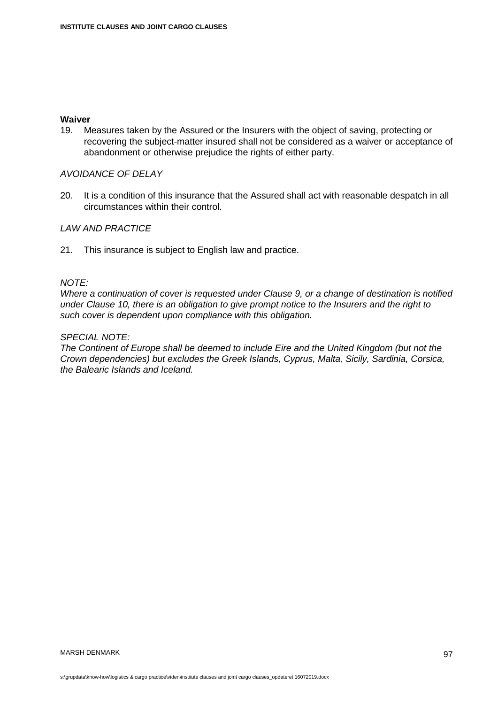#### **Waiver**

19. Measures taken by the Assured or the Insurers with the object of saving, protecting or recovering the subject-matter insured shall not be considered as a waiver or acceptance of abandonment or otherwise prejudice the rights of either party.

## *AVOIDANCE OF DELAY*

20. It is a condition of this insurance that the Assured shall act with reasonable despatch in all circumstances within their control.

## *LAW AND PRACTICE*

21. This insurance is subject to English law and practice.

## *NOTE:*

*Where a continuation of cover is requested under Clause 9, or a change of destination is notified under Clause 10, there is an obligation to give prompt notice to the Insurers and the right to such cover is dependent upon compliance with this obligation.*

## *SPECIAL NOTE:*

*The Continent of Europe shall be deemed to include Eire and the United Kingdom (but not the Crown dependencies) but excludes the Greek Islands, Cyprus, Malta, Sicily, Sardinia, Corsica, the Balearic Islands and Iceland.*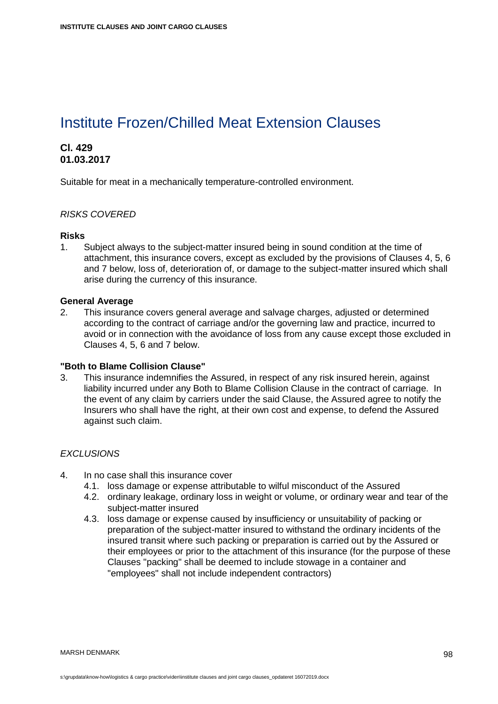# Institute Frozen/Chilled Meat Extension Clauses

## **Cl. 429 01.03.2017**

Suitable for meat in a mechanically temperature-controlled environment.

## *RISKS COVERED*

## **Risks**

1. Subject always to the subject-matter insured being in sound condition at the time of attachment, this insurance covers, except as excluded by the provisions of Clauses 4, 5, 6 and 7 below, loss of, deterioration of, or damage to the subject-matter insured which shall arise during the currency of this insurance.

#### **General Average**

2. This insurance covers general average and salvage charges, adjusted or determined according to the contract of carriage and/or the governing law and practice, incurred to avoid or in connection with the avoidance of loss from any cause except those excluded in Clauses 4, 5, 6 and 7 below.

## **"Both to Blame Collision Clause"**

3. This insurance indemnifies the Assured, in respect of any risk insured herein, against liability incurred under any Both to Blame Collision Clause in the contract of carriage. In the event of any claim by carriers under the said Clause, the Assured agree to notify the Insurers who shall have the right, at their own cost and expense, to defend the Assured against such claim.

## *EXCLUSIONS*

- 4. In no case shall this insurance cover
	- 4.1. loss damage or expense attributable to wilful misconduct of the Assured
	- 4.2. ordinary leakage, ordinary loss in weight or volume, or ordinary wear and tear of the subject-matter insured
	- 4.3. loss damage or expense caused by insufficiency or unsuitability of packing or preparation of the subject-matter insured to withstand the ordinary incidents of the insured transit where such packing or preparation is carried out by the Assured or their employees or prior to the attachment of this insurance (for the purpose of these Clauses "packing" shall be deemed to include stowage in a container and "employees" shall not include independent contractors)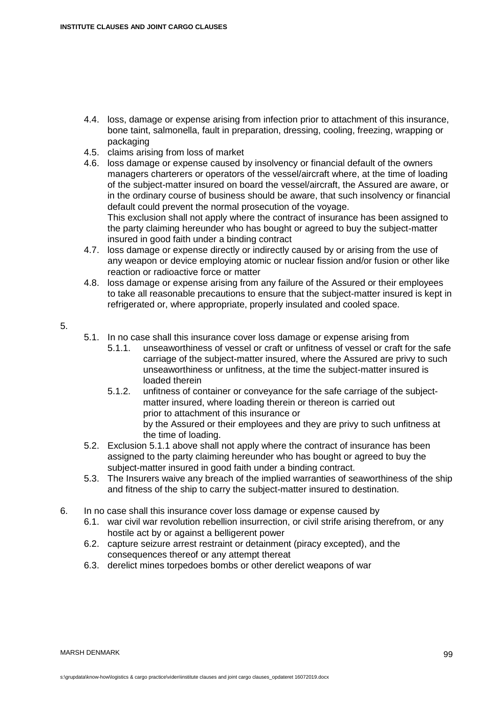- 4.4. loss, damage or expense arising from infection prior to attachment of this insurance, bone taint, salmonella, fault in preparation, dressing, cooling, freezing, wrapping or packaging
- 4.5. claims arising from loss of market
- 4.6. loss damage or expense caused by insolvency or financial default of the owners managers charterers or operators of the vessel/aircraft where, at the time of loading of the subject-matter insured on board the vessel/aircraft, the Assured are aware, or in the ordinary course of business should be aware, that such insolvency or financial default could prevent the normal prosecution of the voyage. This exclusion shall not apply where the contract of insurance has been assigned to the party claiming hereunder who has bought or agreed to buy the subject-matter insured in good faith under a binding contract
- 4.7. loss damage or expense directly or indirectly caused by or arising from the use of any weapon or device employing atomic or nuclear fission and/or fusion or other like reaction or radioactive force or matter
- 4.8. loss damage or expense arising from any failure of the Assured or their employees to take all reasonable precautions to ensure that the subject-matter insured is kept in refrigerated or, where appropriate, properly insulated and cooled space.

## 5.

- 5.1. In no case shall this insurance cover loss damage or expense arising from
	- 5.1.1. unseaworthiness of vessel or craft or unfitness of vessel or craft for the safe carriage of the subject-matter insured, where the Assured are privy to such unseaworthiness or unfitness, at the time the subject-matter insured is loaded therein
	- 5.1.2. unfitness of container or conveyance for the safe carriage of the subjectmatter insured, where loading therein or thereon is carried out prior to attachment of this insurance or by the Assured or their employees and they are privy to such unfitness at the time of loading.
- 5.2. Exclusion 5.1.1 above shall not apply where the contract of insurance has been assigned to the party claiming hereunder who has bought or agreed to buy the subject-matter insured in good faith under a binding contract.
- 5.3. The Insurers waive any breach of the implied warranties of seaworthiness of the ship and fitness of the ship to carry the subject-matter insured to destination.
- 6. In no case shall this insurance cover loss damage or expense caused by
	- 6.1. war civil war revolution rebellion insurrection, or civil strife arising therefrom, or any hostile act by or against a belligerent power
	- 6.2. capture seizure arrest restraint or detainment (piracy excepted), and the consequences thereof or any attempt thereat
	- 6.3. derelict mines torpedoes bombs or other derelict weapons of war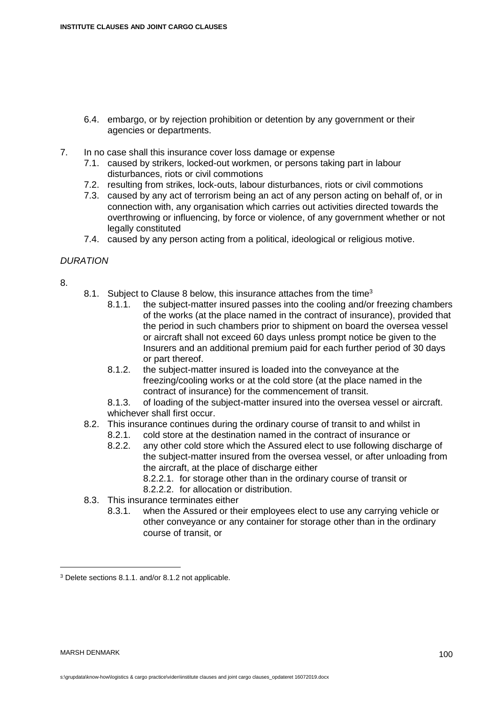- 6.4. embargo, or by rejection prohibition or detention by any government or their agencies or departments.
- 7. In no case shall this insurance cover loss damage or expense
	- 7.1. caused by strikers, locked-out workmen, or persons taking part in labour disturbances, riots or civil commotions
	- 7.2. resulting from strikes, lock-outs, labour disturbances, riots or civil commotions
	- 7.3. caused by any act of terrorism being an act of any person acting on behalf of, or in connection with, any organisation which carries out activities directed towards the overthrowing or influencing, by force or violence, of any government whether or not legally constituted
	- 7.4. caused by any person acting from a political, ideological or religious motive.

## *DURATION*

- 8.
- 8.1. Subject to Clause 8 below, this insurance attaches from the time<sup>3</sup>
	- 8.1.1. the subject-matter insured passes into the cooling and/or freezing chambers of the works (at the place named in the contract of insurance), provided that the period in such chambers prior to shipment on board the oversea vessel or aircraft shall not exceed 60 days unless prompt notice be given to the Insurers and an additional premium paid for each further period of 30 days or part thereof.
	- 8.1.2. the subject-matter insured is loaded into the conveyance at the freezing/cooling works or at the cold store (at the place named in the contract of insurance) for the commencement of transit.

8.1.3. of loading of the subject-matter insured into the oversea vessel or aircraft. whichever shall first occur.

## 8.2. This insurance continues during the ordinary course of transit to and whilst in

- 8.2.1. cold store at the destination named in the contract of insurance or
- 8.2.2. any other cold store which the Assured elect to use following discharge of the subject-matter insured from the oversea vessel, or after unloading from the aircraft, at the place of discharge either

8.2.2.1. for storage other than in the ordinary course of transit or 8.2.2.2. for allocation or distribution.

- 8.3. This insurance terminates either
	- 8.3.1. when the Assured or their employees elect to use any carrying vehicle or other conveyance or any container for storage other than in the ordinary course of transit, or

-

<sup>3</sup> Delete sections 8.1.1. and/or 8.1.2 not applicable.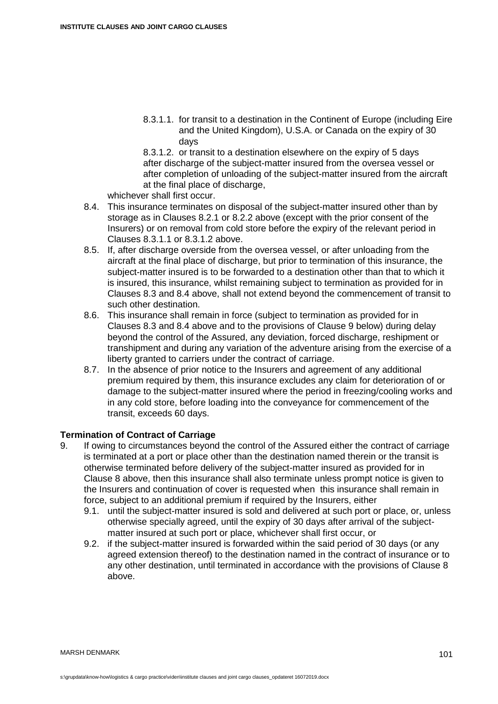8.3.1.1. for transit to a destination in the Continent of Europe (including Eire and the United Kingdom), U.S.A. or Canada on the expiry of 30 days

8.3.1.2. or transit to a destination elsewhere on the expiry of 5 days after discharge of the subject-matter insured from the oversea vessel or after completion of unloading of the subject-matter insured from the aircraft at the final place of discharge,

whichever shall first occur.

- 8.4. This insurance terminates on disposal of the subject-matter insured other than by storage as in Clauses 8.2.1 or 8.2.2 above (except with the prior consent of the Insurers) or on removal from cold store before the expiry of the relevant period in Clauses 8.3.1.1 or 8.3.1.2 above.
- 8.5. If, after discharge overside from the oversea vessel, or after unloading from the aircraft at the final place of discharge, but prior to termination of this insurance, the subject-matter insured is to be forwarded to a destination other than that to which it is insured, this insurance, whilst remaining subject to termination as provided for in Clauses 8.3 and 8.4 above, shall not extend beyond the commencement of transit to such other destination.
- 8.6. This insurance shall remain in force (subject to termination as provided for in Clauses 8.3 and 8.4 above and to the provisions of Clause 9 below) during delay beyond the control of the Assured, any deviation, forced discharge, reshipment or transhipment and during any variation of the adventure arising from the exercise of a liberty granted to carriers under the contract of carriage.
- 8.7. In the absence of prior notice to the Insurers and agreement of any additional premium required by them, this insurance excludes any claim for deterioration of or damage to the subject-matter insured where the period in freezing/cooling works and in any cold store, before loading into the conveyance for commencement of the transit, exceeds 60 days.

## **Termination of Contract of Carriage**

- 9. If owing to circumstances beyond the control of the Assured either the contract of carriage is terminated at a port or place other than the destination named therein or the transit is otherwise terminated before delivery of the subject-matter insured as provided for in Clause 8 above, then this insurance shall also terminate unless prompt notice is given to the Insurers and continuation of cover is requested when this insurance shall remain in force, subject to an additional premium if required by the Insurers, either
	- 9.1. until the subject-matter insured is sold and delivered at such port or place, or, unless otherwise specially agreed, until the expiry of 30 days after arrival of the subjectmatter insured at such port or place, whichever shall first occur, or
	- 9.2. if the subject-matter insured is forwarded within the said period of 30 days (or any agreed extension thereof) to the destination named in the contract of insurance or to any other destination, until terminated in accordance with the provisions of Clause 8 above.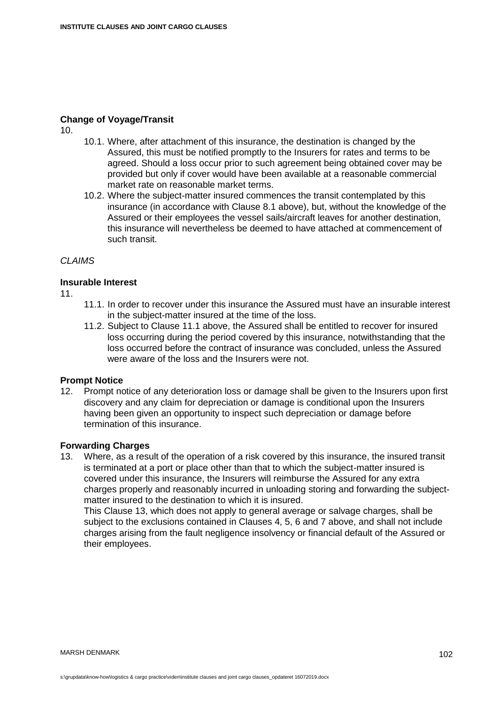## **Change of Voyage/Transit**

- 10.
- 10.1. Where, after attachment of this insurance, the destination is changed by the Assured, this must be notified promptly to the Insurers for rates and terms to be agreed. Should a loss occur prior to such agreement being obtained cover may be provided but only if cover would have been available at a reasonable commercial market rate on reasonable market terms.
- 10.2. Where the subject-matter insured commences the transit contemplated by this insurance (in accordance with Clause 8.1 above), but, without the knowledge of the Assured or their employees the vessel sails/aircraft leaves for another destination, this insurance will nevertheless be deemed to have attached at commencement of such transit.

## *CLAIMS*

## **Insurable Interest**

- 11.
- 11.1. In order to recover under this insurance the Assured must have an insurable interest in the subject-matter insured at the time of the loss.
- 11.2. Subject to Clause 11.1 above, the Assured shall be entitled to recover for insured loss occurring during the period covered by this insurance, notwithstanding that the loss occurred before the contract of insurance was concluded, unless the Assured were aware of the loss and the Insurers were not.

## **Prompt Notice**

12. Prompt notice of any deterioration loss or damage shall be given to the Insurers upon first discovery and any claim for depreciation or damage is conditional upon the Insurers having been given an opportunity to inspect such depreciation or damage before termination of this insurance.

## **Forwarding Charges**

13. Where, as a result of the operation of a risk covered by this insurance, the insured transit is terminated at a port or place other than that to which the subject-matter insured is covered under this insurance, the Insurers will reimburse the Assured for any extra charges properly and reasonably incurred in unloading storing and forwarding the subjectmatter insured to the destination to which it is insured.

This Clause 13, which does not apply to general average or salvage charges, shall be subject to the exclusions contained in Clauses 4, 5, 6 and 7 above, and shall not include charges arising from the fault negligence insolvency or financial default of the Assured or their employees.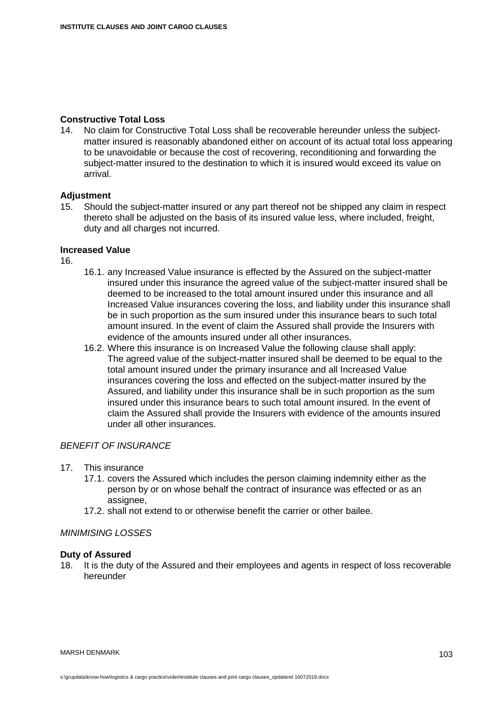## **Constructive Total Loss**

14. No claim for Constructive Total Loss shall be recoverable hereunder unless the subjectmatter insured is reasonably abandoned either on account of its actual total loss appearing to be unavoidable or because the cost of recovering, reconditioning and forwarding the subject-matter insured to the destination to which it is insured would exceed its value on arrival.

#### **Adjustment**

15. Should the subject-matter insured or any part thereof not be shipped any claim in respect thereto shall be adjusted on the basis of its insured value less, where included, freight, duty and all charges not incurred.

#### **Increased Value**

16.

- 16.1. any Increased Value insurance is effected by the Assured on the subject-matter insured under this insurance the agreed value of the subject-matter insured shall be deemed to be increased to the total amount insured under this insurance and all Increased Value insurances covering the loss, and liability under this insurance shall be in such proportion as the sum insured under this insurance bears to such total amount insured. In the event of claim the Assured shall provide the Insurers with evidence of the amounts insured under all other insurances.
- 16.2. Where this insurance is on Increased Value the following clause shall apply: The agreed value of the subject-matter insured shall be deemed to be equal to the total amount insured under the primary insurance and all Increased Value insurances covering the loss and effected on the subject-matter insured by the Assured, and liability under this insurance shall be in such proportion as the sum insured under this insurance bears to such total amount insured. In the event of claim the Assured shall provide the Insurers with evidence of the amounts insured under all other insurances.

## *BENEFIT OF INSURANCE*

- 17. This insurance
	- 17.1. covers the Assured which includes the person claiming indemnity either as the person by or on whose behalf the contract of insurance was effected or as an assignee,
	- 17.2. shall not extend to or otherwise benefit the carrier or other bailee.

#### *MINIMISING LOSSES*

#### **Duty of Assured**

18. It is the duty of the Assured and their employees and agents in respect of loss recoverable hereunder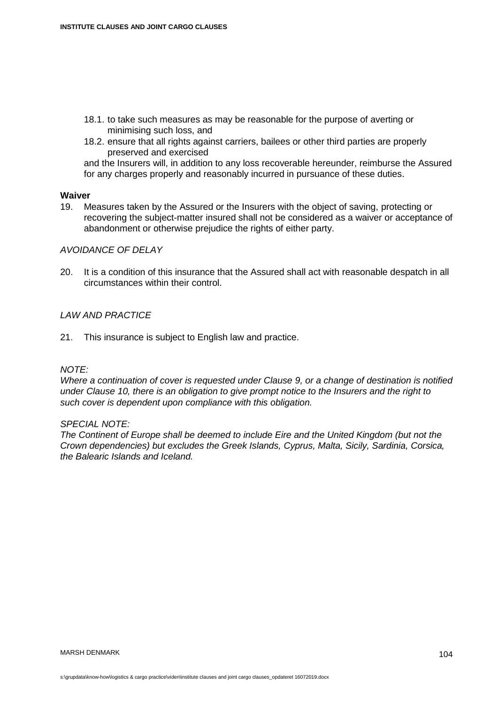- 18.1. to take such measures as may be reasonable for the purpose of averting or minimising such loss, and
- 18.2. ensure that all rights against carriers, bailees or other third parties are properly preserved and exercised

and the Insurers will, in addition to any loss recoverable hereunder, reimburse the Assured for any charges properly and reasonably incurred in pursuance of these duties.

#### **Waiver**

19. Measures taken by the Assured or the Insurers with the object of saving, protecting or recovering the subject-matter insured shall not be considered as a waiver or acceptance of abandonment or otherwise prejudice the rights of either party.

## *AVOIDANCE OF DELAY*

20. It is a condition of this insurance that the Assured shall act with reasonable despatch in all circumstances within their control.

#### *LAW AND PRACTICE*

21. This insurance is subject to English law and practice.

#### *NOTE:*

*Where a continuation of cover is requested under Clause 9, or a change of destination is notified under Clause 10, there is an obligation to give prompt notice to the Insurers and the right to such cover is dependent upon compliance with this obligation.*

#### *SPECIAL NOTE:*

*The Continent of Europe shall be deemed to include Eire and the United Kingdom (but not the Crown dependencies) but excludes the Greek Islands, Cyprus, Malta, Sicily, Sardinia, Corsica, the Balearic Islands and Iceland.*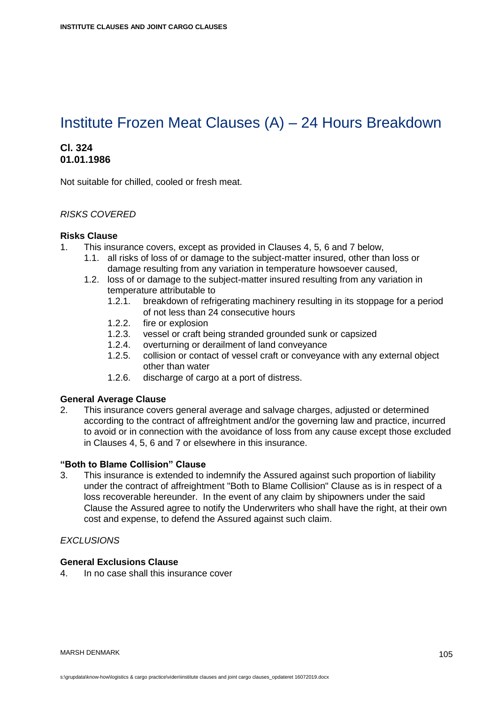# Institute Frozen Meat Clauses (A) – 24 Hours Breakdown

**Cl. 324 01.01.1986**

Not suitable for chilled, cooled or fresh meat.

## *RISKS COVERED*

## **Risks Clause**

- 1. This insurance covers, except as provided in Clauses 4, 5, 6 and 7 below,
	- 1.1. all risks of loss of or damage to the subject-matter insured, other than loss or damage resulting from any variation in temperature howsoever caused,
	- 1.2. loss of or damage to the subject-matter insured resulting from any variation in temperature attributable to
		- 1.2.1. breakdown of refrigerating machinery resulting in its stoppage for a period of not less than 24 consecutive hours
		- 1.2.2. fire or explosion
		- 1.2.3. vessel or craft being stranded grounded sunk or capsized
		- 1.2.4. overturning or derailment of land conveyance
		- 1.2.5. collision or contact of vessel craft or conveyance with any external object other than water
		- 1.2.6. discharge of cargo at a port of distress.

## **General Average Clause**

2. This insurance covers general average and salvage charges, adjusted or determined according to the contract of affreightment and/or the governing law and practice, incurred to avoid or in connection with the avoidance of loss from any cause except those excluded in Clauses 4, 5, 6 and 7 or elsewhere in this insurance.

## **"Both to Blame Collision" Clause**

3. This insurance is extended to indemnify the Assured against such proportion of liability under the contract of affreightment "Both to Blame Collision" Clause as is in respect of a loss recoverable hereunder. In the event of any claim by shipowners under the said Clause the Assured agree to notify the Underwriters who shall have the right, at their own cost and expense, to defend the Assured against such claim.

## *EXCLUSIONS*

## **General Exclusions Clause**

4. In no case shall this insurance cover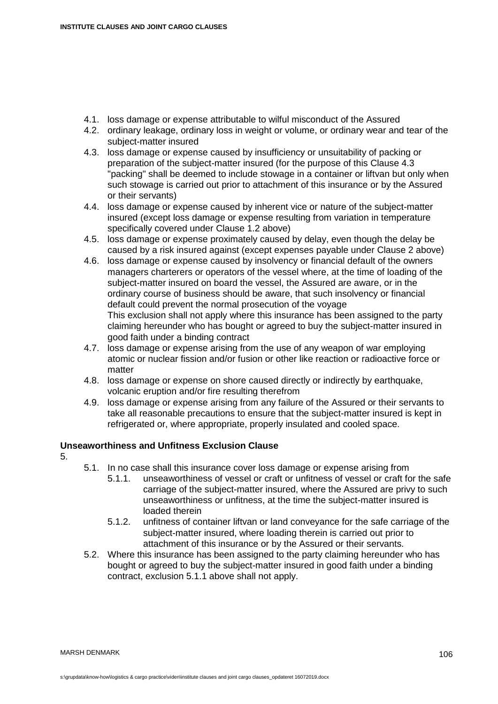- 4.1. loss damage or expense attributable to wilful misconduct of the Assured
- 4.2. ordinary leakage, ordinary loss in weight or volume, or ordinary wear and tear of the subject-matter insured
- 4.3. loss damage or expense caused by insufficiency or unsuitability of packing or preparation of the subject-matter insured (for the purpose of this Clause 4.3 "packing" shall be deemed to include stowage in a container or liftvan but only when such stowage is carried out prior to attachment of this insurance or by the Assured or their servants)
- 4.4. loss damage or expense caused by inherent vice or nature of the subject-matter insured (except loss damage or expense resulting from variation in temperature specifically covered under Clause 1.2 above)
- 4.5. loss damage or expense proximately caused by delay, even though the delay be caused by a risk insured against (except expenses payable under Clause 2 above)
- 4.6. loss damage or expense caused by insolvency or financial default of the owners managers charterers or operators of the vessel where, at the time of loading of the subject-matter insured on board the vessel, the Assured are aware, or in the ordinary course of business should be aware, that such insolvency or financial default could prevent the normal prosecution of the voyage This exclusion shall not apply where this insurance has been assigned to the party claiming hereunder who has bought or agreed to buy the subject-matter insured in good faith under a binding contract
- 4.7. loss damage or expense arising from the use of any weapon of war employing atomic or nuclear fission and/or fusion or other like reaction or radioactive force or matter
- 4.8. loss damage or expense on shore caused directly or indirectly by earthquake, volcanic eruption and/or fire resulting therefrom
- 4.9. loss damage or expense arising from any failure of the Assured or their servants to take all reasonable precautions to ensure that the subject-matter insured is kept in refrigerated or, where appropriate, properly insulated and cooled space.

# **Unseaworthiness and Unfitness Exclusion Clause**

- 5.
- 5.1. In no case shall this insurance cover loss damage or expense arising from
	- 5.1.1. unseaworthiness of vessel or craft or unfitness of vessel or craft for the safe carriage of the subject-matter insured, where the Assured are privy to such unseaworthiness or unfitness, at the time the subject-matter insured is loaded therein
		- 5.1.2. unfitness of container liftvan or land conveyance for the safe carriage of the subject-matter insured, where loading therein is carried out prior to attachment of this insurance or by the Assured or their servants.
- 5.2. Where this insurance has been assigned to the party claiming hereunder who has bought or agreed to buy the subject-matter insured in good faith under a binding contract, exclusion 5.1.1 above shall not apply.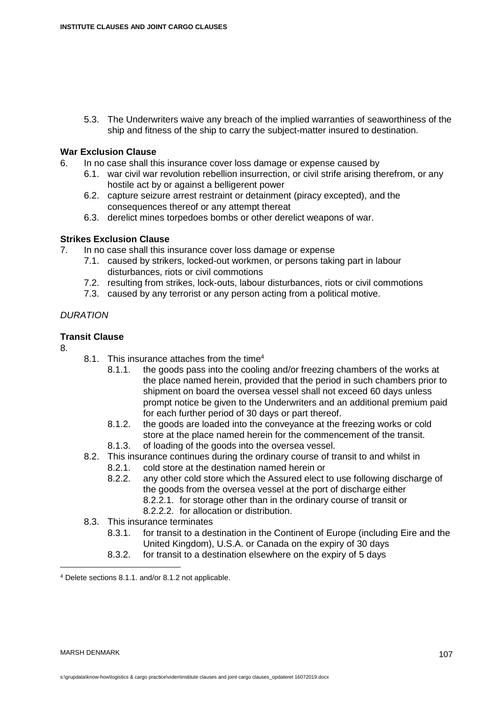5.3. The Underwriters waive any breach of the implied warranties of seaworthiness of the ship and fitness of the ship to carry the subject-matter insured to destination.

# **War Exclusion Clause**

- 6. In no case shall this insurance cover loss damage or expense caused by
	- 6.1. war civil war revolution rebellion insurrection, or civil strife arising therefrom, or any hostile act by or against a belligerent power
	- 6.2. capture seizure arrest restraint or detainment (piracy excepted), and the consequences thereof or any attempt thereat
	- 6.3. derelict mines torpedoes bombs or other derelict weapons of war.

# **Strikes Exclusion Clause**

- 7. In no case shall this insurance cover loss damage or expense
	- 7.1. caused by strikers, locked-out workmen, or persons taking part in labour disturbances, riots or civil commotions
	- 7.2. resulting from strikes, lock-outs, labour disturbances, riots or civil commotions
	- 7.3. caused by any terrorist or any person acting from a political motive.

# *DURATION*

# **Transit Clause**

8.

-

- 8.1. This insurance attaches from the time<sup>4</sup>
	- 8.1.1. the goods pass into the cooling and/or freezing chambers of the works at the place named herein, provided that the period in such chambers prior to shipment on board the oversea vessel shall not exceed 60 days unless prompt notice be given to the Underwriters and an additional premium paid for each further period of 30 days or part thereof.
	- 8.1.2. the goods are loaded into the conveyance at the freezing works or cold store at the place named herein for the commencement of the transit.
	- 8.1.3. of loading of the goods into the oversea vessel.
- 8.2. This insurance continues during the ordinary course of transit to and whilst in
	- 8.2.1. cold store at the destination named herein or
	- 8.2.2. any other cold store which the Assured elect to use following discharge of the goods from the oversea vessel at the port of discharge either
		- 8.2.2.1. for storage other than in the ordinary course of transit or
		- 8.2.2.2. for allocation or distribution.
- 8.3. This insurance terminates
	- 8.3.1. for transit to a destination in the Continent of Europe (including Eire and the United Kingdom), U.S.A. or Canada on the expiry of 30 days
	- 8.3.2. for transit to a destination elsewhere on the expiry of 5 days

<sup>4</sup> Delete sections 8.1.1. and/or 8.1.2 not applicable.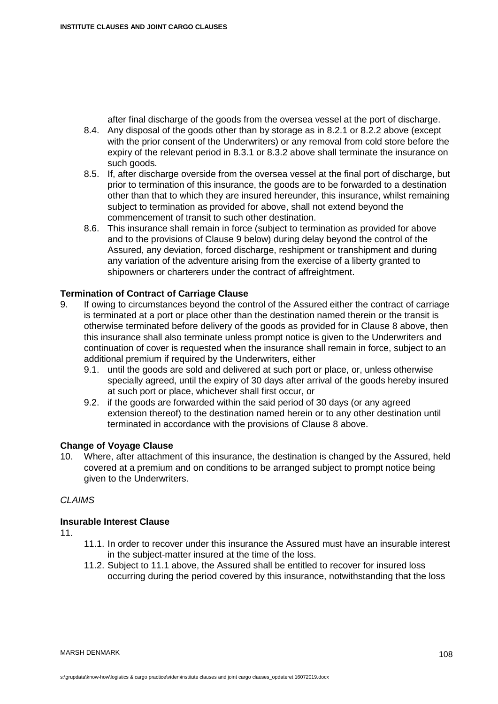after final discharge of the goods from the oversea vessel at the port of discharge.

- 8.4. Any disposal of the goods other than by storage as in 8.2.1 or 8.2.2 above (except with the prior consent of the Underwriters) or any removal from cold store before the expiry of the relevant period in 8.3.1 or 8.3.2 above shall terminate the insurance on such goods.
- 8.5. If, after discharge overside from the oversea vessel at the final port of discharge, but prior to termination of this insurance, the goods are to be forwarded to a destination other than that to which they are insured hereunder, this insurance, whilst remaining subject to termination as provided for above, shall not extend beyond the commencement of transit to such other destination.
- 8.6. This insurance shall remain in force (subject to termination as provided for above and to the provisions of Clause 9 below) during delay beyond the control of the Assured, any deviation, forced discharge, reshipment or transhipment and during any variation of the adventure arising from the exercise of a liberty granted to shipowners or charterers under the contract of affreightment.

# **Termination of Contract of Carriage Clause**

- 9. If owing to circumstances beyond the control of the Assured either the contract of carriage is terminated at a port or place other than the destination named therein or the transit is otherwise terminated before delivery of the goods as provided for in Clause 8 above, then this insurance shall also terminate unless prompt notice is given to the Underwriters and continuation of cover is requested when the insurance shall remain in force, subject to an additional premium if required by the Underwriters, either
	- 9.1. until the goods are sold and delivered at such port or place, or, unless otherwise specially agreed, until the expiry of 30 days after arrival of the goods hereby insured at such port or place, whichever shall first occur, or
	- 9.2. if the goods are forwarded within the said period of 30 days (or any agreed extension thereof) to the destination named herein or to any other destination until terminated in accordance with the provisions of Clause 8 above.

# **Change of Voyage Clause**

10. Where, after attachment of this insurance, the destination is changed by the Assured, held covered at a premium and on conditions to be arranged subject to prompt notice being given to the Underwriters.

# *CLAIMS*

# **Insurable Interest Clause**

11.

- 11.1. In order to recover under this insurance the Assured must have an insurable interest in the subject-matter insured at the time of the loss.
- 11.2. Subject to 11.1 above, the Assured shall be entitled to recover for insured loss occurring during the period covered by this insurance, notwithstanding that the loss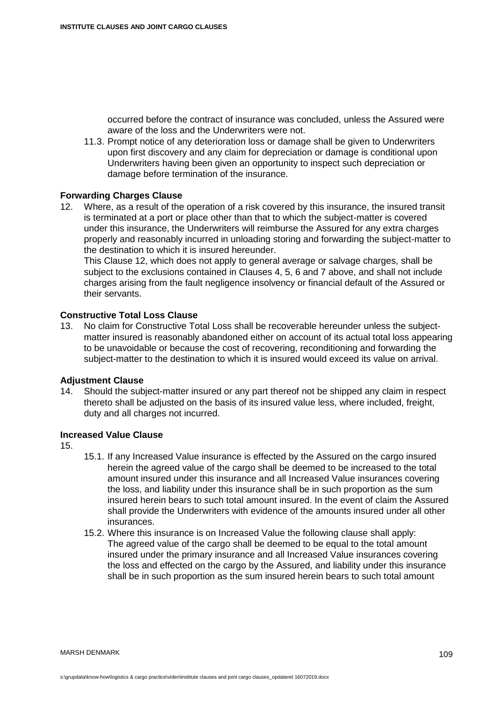occurred before the contract of insurance was concluded, unless the Assured were aware of the loss and the Underwriters were not.

11.3. Prompt notice of any deterioration loss or damage shall be given to Underwriters upon first discovery and any claim for depreciation or damage is conditional upon Underwriters having been given an opportunity to inspect such depreciation or damage before termination of the insurance.

#### **Forwarding Charges Clause**

12. Where, as a result of the operation of a risk covered by this insurance, the insured transit is terminated at a port or place other than that to which the subject-matter is covered under this insurance, the Underwriters will reimburse the Assured for any extra charges properly and reasonably incurred in unloading storing and forwarding the subject-matter to the destination to which it is insured hereunder.

This Clause 12, which does not apply to general average or salvage charges, shall be subject to the exclusions contained in Clauses 4, 5, 6 and 7 above, and shall not include charges arising from the fault negligence insolvency or financial default of the Assured or their servants.

# **Constructive Total Loss Clause**

13. No claim for Constructive Total Loss shall be recoverable hereunder unless the subjectmatter insured is reasonably abandoned either on account of its actual total loss appearing to be unavoidable or because the cost of recovering, reconditioning and forwarding the subject-matter to the destination to which it is insured would exceed its value on arrival.

## **Adjustment Clause**

14. Should the subject-matter insured or any part thereof not be shipped any claim in respect thereto shall be adjusted on the basis of its insured value less, where included, freight, duty and all charges not incurred.

# **Increased Value Clause**

15.

- 15.1. If any Increased Value insurance is effected by the Assured on the cargo insured herein the agreed value of the cargo shall be deemed to be increased to the total amount insured under this insurance and all Increased Value insurances covering the loss, and liability under this insurance shall be in such proportion as the sum insured herein bears to such total amount insured. In the event of claim the Assured shall provide the Underwriters with evidence of the amounts insured under all other insurances.
- 15.2. Where this insurance is on Increased Value the following clause shall apply: The agreed value of the cargo shall be deemed to be equal to the total amount insured under the primary insurance and all Increased Value insurances covering the loss and effected on the cargo by the Assured, and liability under this insurance shall be in such proportion as the sum insured herein bears to such total amount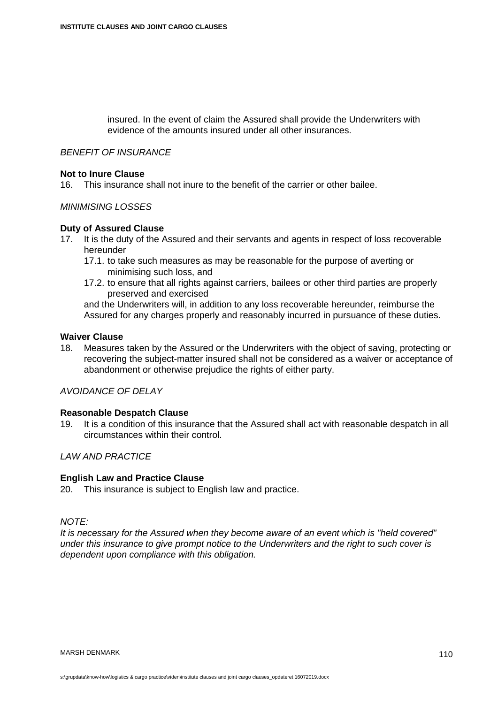insured. In the event of claim the Assured shall provide the Underwriters with evidence of the amounts insured under all other insurances.

# *BENEFIT OF INSURANCE*

#### **Not to Inure Clause**

16. This insurance shall not inure to the benefit of the carrier or other bailee.

#### *MINIMISING LOSSES*

#### **Duty of Assured Clause**

- 17. It is the duty of the Assured and their servants and agents in respect of loss recoverable hereunder
	- 17.1. to take such measures as may be reasonable for the purpose of averting or minimising such loss, and
	- 17.2. to ensure that all rights against carriers, bailees or other third parties are properly preserved and exercised

and the Underwriters will, in addition to any loss recoverable hereunder, reimburse the Assured for any charges properly and reasonably incurred in pursuance of these duties.

#### **Waiver Clause**

18. Measures taken by the Assured or the Underwriters with the object of saving, protecting or recovering the subject-matter insured shall not be considered as a waiver or acceptance of abandonment or otherwise prejudice the rights of either party.

# *AVOIDANCE OF DELAY*

#### **Reasonable Despatch Clause**

19. It is a condition of this insurance that the Assured shall act with reasonable despatch in all circumstances within their control.

# *LAW AND PRACTICE*

#### **English Law and Practice Clause**

20. This insurance is subject to English law and practice.

#### *NOTE:*

*It is necessary for the Assured when they become aware of an event which is "held covered" under this insurance to give prompt notice to the Underwriters and the right to such cover is dependent upon compliance with this obligation.*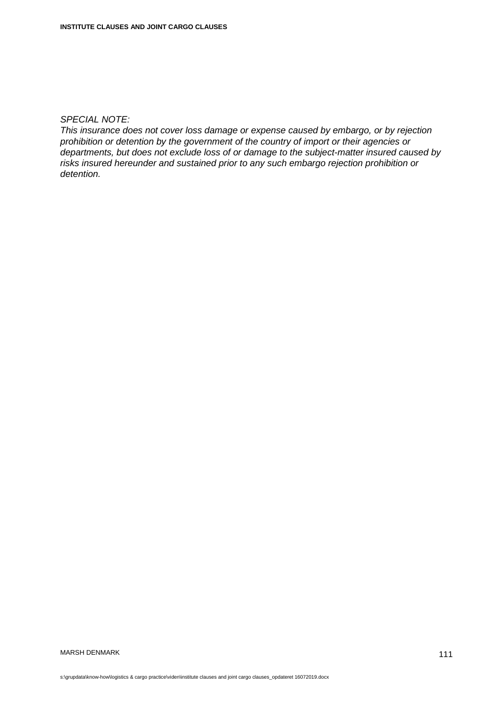# *SPECIAL NOTE:*

*This insurance does not cover loss damage or expense caused by embargo, or by rejection prohibition or detention by the government of the country of import or their agencies or departments, but does not exclude loss of or damage to the subject-matter insured caused by risks insured hereunder and sustained prior to any such embargo rejection prohibition or detention.*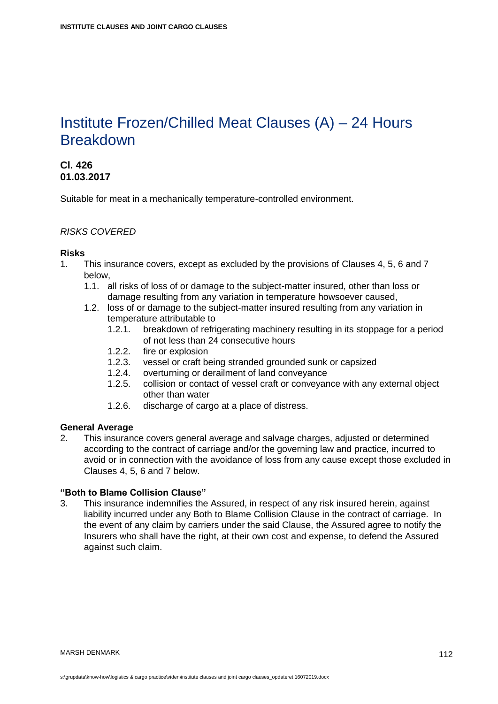# Institute Frozen/Chilled Meat Clauses (A) – 24 Hours **Breakdown**

# **Cl. 426 01.03.2017**

Suitable for meat in a mechanically temperature-controlled environment.

# *RISKS COVERED*

# **Risks**

- 1. This insurance covers, except as excluded by the provisions of Clauses 4, 5, 6 and 7 below,
	- 1.1. all risks of loss of or damage to the subject-matter insured, other than loss or damage resulting from any variation in temperature howsoever caused,
	- 1.2. loss of or damage to the subject-matter insured resulting from any variation in temperature attributable to
		- 1.2.1. breakdown of refrigerating machinery resulting in its stoppage for a period of not less than 24 consecutive hours
		- 1.2.2. fire or explosion
		- 1.2.3. vessel or craft being stranded grounded sunk or capsized
		- 1.2.4. overturning or derailment of land conveyance
		- 1.2.5. collision or contact of vessel craft or conveyance with any external object other than water
		- 1.2.6. discharge of cargo at a place of distress.

# **General Average**

2. This insurance covers general average and salvage charges, adjusted or determined according to the contract of carriage and/or the governing law and practice, incurred to avoid or in connection with the avoidance of loss from any cause except those excluded in Clauses 4, 5, 6 and 7 below.

# **"Both to Blame Collision Clause"**

3. This insurance indemnifies the Assured, in respect of any risk insured herein, against liability incurred under any Both to Blame Collision Clause in the contract of carriage. In the event of any claim by carriers under the said Clause, the Assured agree to notify the Insurers who shall have the right, at their own cost and expense, to defend the Assured against such claim.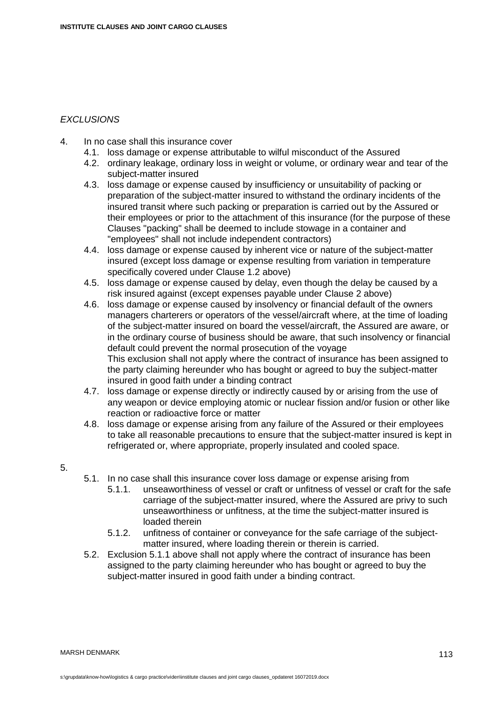# *EXCLUSIONS*

- 4. In no case shall this insurance cover
	- 4.1. loss damage or expense attributable to wilful misconduct of the Assured
	- 4.2. ordinary leakage, ordinary loss in weight or volume, or ordinary wear and tear of the subject-matter insured
	- 4.3. loss damage or expense caused by insufficiency or unsuitability of packing or preparation of the subject-matter insured to withstand the ordinary incidents of the insured transit where such packing or preparation is carried out by the Assured or their employees or prior to the attachment of this insurance (for the purpose of these Clauses "packing" shall be deemed to include stowage in a container and "employees" shall not include independent contractors)
	- 4.4. loss damage or expense caused by inherent vice or nature of the subject-matter insured (except loss damage or expense resulting from variation in temperature specifically covered under Clause 1.2 above)
	- 4.5. loss damage or expense caused by delay, even though the delay be caused by a risk insured against (except expenses payable under Clause 2 above)
	- 4.6. loss damage or expense caused by insolvency or financial default of the owners managers charterers or operators of the vessel/aircraft where, at the time of loading of the subject-matter insured on board the vessel/aircraft, the Assured are aware, or in the ordinary course of business should be aware, that such insolvency or financial default could prevent the normal prosecution of the voyage This exclusion shall not apply where the contract of insurance has been assigned to the party claiming hereunder who has bought or agreed to buy the subject-matter insured in good faith under a binding contract
	- 4.7. loss damage or expense directly or indirectly caused by or arising from the use of any weapon or device employing atomic or nuclear fission and/or fusion or other like reaction or radioactive force or matter
	- 4.8. loss damage or expense arising from any failure of the Assured or their employees to take all reasonable precautions to ensure that the subject-matter insured is kept in refrigerated or, where appropriate, properly insulated and cooled space.
- 5.
- 5.1. In no case shall this insurance cover loss damage or expense arising from
	- 5.1.1. unseaworthiness of vessel or craft or unfitness of vessel or craft for the safe carriage of the subject-matter insured, where the Assured are privy to such unseaworthiness or unfitness, at the time the subject-matter insured is loaded therein
	- 5.1.2. unfitness of container or conveyance for the safe carriage of the subjectmatter insured, where loading therein or therein is carried.
- 5.2. Exclusion 5.1.1 above shall not apply where the contract of insurance has been assigned to the party claiming hereunder who has bought or agreed to buy the subject-matter insured in good faith under a binding contract.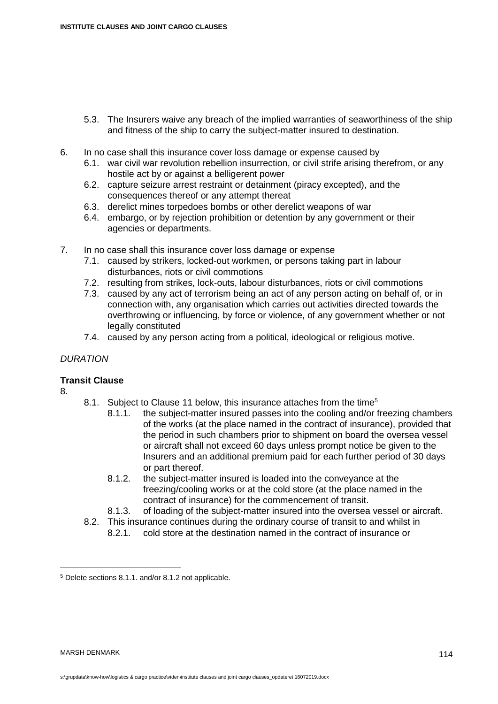- 5.3. The Insurers waive any breach of the implied warranties of seaworthiness of the ship and fitness of the ship to carry the subject-matter insured to destination.
- 6. In no case shall this insurance cover loss damage or expense caused by
	- 6.1. war civil war revolution rebellion insurrection, or civil strife arising therefrom, or any hostile act by or against a belligerent power
	- 6.2. capture seizure arrest restraint or detainment (piracy excepted), and the consequences thereof or any attempt thereat
	- 6.3. derelict mines torpedoes bombs or other derelict weapons of war
	- 6.4. embargo, or by rejection prohibition or detention by any government or their agencies or departments.
- 7. In no case shall this insurance cover loss damage or expense
	- 7.1. caused by strikers, locked-out workmen, or persons taking part in labour disturbances, riots or civil commotions
	- 7.2. resulting from strikes, lock-outs, labour disturbances, riots or civil commotions
	- 7.3. caused by any act of terrorism being an act of any person acting on behalf of, or in connection with, any organisation which carries out activities directed towards the overthrowing or influencing, by force or violence, of any government whether or not legally constituted
	- 7.4. caused by any person acting from a political, ideological or religious motive.

# *DURATION*

# **Transit Clause**

8.

-

- 8.1. Subject to Clause 11 below, this insurance attaches from the time<sup>5</sup>
	- 8.1.1. the subject-matter insured passes into the cooling and/or freezing chambers of the works (at the place named in the contract of insurance), provided that the period in such chambers prior to shipment on board the oversea vessel or aircraft shall not exceed 60 days unless prompt notice be given to the Insurers and an additional premium paid for each further period of 30 days or part thereof.
	- 8.1.2. the subject-matter insured is loaded into the conveyance at the freezing/cooling works or at the cold store (at the place named in the contract of insurance) for the commencement of transit.
	- 8.1.3. of loading of the subject-matter insured into the oversea vessel or aircraft.
- 8.2. This insurance continues during the ordinary course of transit to and whilst in
	- 8.2.1. cold store at the destination named in the contract of insurance or

<sup>5</sup> Delete sections 8.1.1. and/or 8.1.2 not applicable.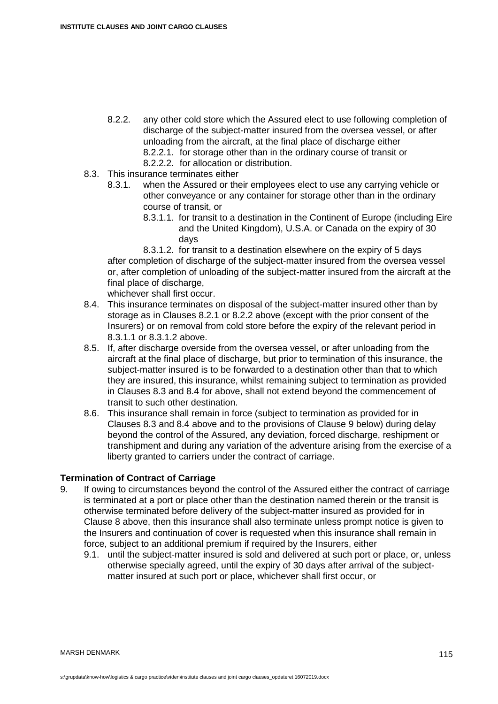- 8.2.2. any other cold store which the Assured elect to use following completion of discharge of the subject-matter insured from the oversea vessel, or after unloading from the aircraft, at the final place of discharge either 8.2.2.1. for storage other than in the ordinary course of transit or 8.2.2.2. for allocation or distribution.
- 8.3. This insurance terminates either
	- 8.3.1. when the Assured or their employees elect to use any carrying vehicle or other conveyance or any container for storage other than in the ordinary course of transit, or
		- 8.3.1.1. for transit to a destination in the Continent of Europe (including Eire and the United Kingdom), U.S.A. or Canada on the expiry of 30 days

8.3.1.2. for transit to a destination elsewhere on the expiry of 5 days after completion of discharge of the subject-matter insured from the oversea vessel or, after completion of unloading of the subject-matter insured from the aircraft at the final place of discharge,

whichever shall first occur.

- 8.4. This insurance terminates on disposal of the subject-matter insured other than by storage as in Clauses 8.2.1 or 8.2.2 above (except with the prior consent of the Insurers) or on removal from cold store before the expiry of the relevant period in 8.3.1.1 or 8.3.1.2 above.
- 8.5. If, after discharge overside from the oversea vessel, or after unloading from the aircraft at the final place of discharge, but prior to termination of this insurance, the subject-matter insured is to be forwarded to a destination other than that to which they are insured, this insurance, whilst remaining subject to termination as provided in Clauses 8.3 and 8.4 for above, shall not extend beyond the commencement of transit to such other destination.
- 8.6. This insurance shall remain in force (subject to termination as provided for in Clauses 8.3 and 8.4 above and to the provisions of Clause 9 below) during delay beyond the control of the Assured, any deviation, forced discharge, reshipment or transhipment and during any variation of the adventure arising from the exercise of a liberty granted to carriers under the contract of carriage.

#### **Termination of Contract of Carriage**

- 9. If owing to circumstances beyond the control of the Assured either the contract of carriage is terminated at a port or place other than the destination named therein or the transit is otherwise terminated before delivery of the subject-matter insured as provided for in Clause 8 above, then this insurance shall also terminate unless prompt notice is given to the Insurers and continuation of cover is requested when this insurance shall remain in force, subject to an additional premium if required by the Insurers, either
	- 9.1. until the subject-matter insured is sold and delivered at such port or place, or, unless otherwise specially agreed, until the expiry of 30 days after arrival of the subjectmatter insured at such port or place, whichever shall first occur, or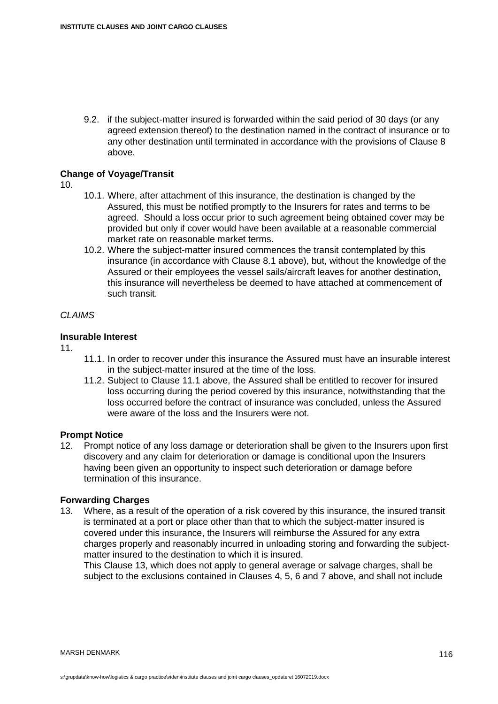9.2. if the subject-matter insured is forwarded within the said period of 30 days (or any agreed extension thereof) to the destination named in the contract of insurance or to any other destination until terminated in accordance with the provisions of Clause 8 above.

# **Change of Voyage/Transit**

10.

- 10.1. Where, after attachment of this insurance, the destination is changed by the Assured, this must be notified promptly to the Insurers for rates and terms to be agreed. Should a loss occur prior to such agreement being obtained cover may be provided but only if cover would have been available at a reasonable commercial market rate on reasonable market terms.
- 10.2. Where the subject-matter insured commences the transit contemplated by this insurance (in accordance with Clause 8.1 above), but, without the knowledge of the Assured or their employees the vessel sails/aircraft leaves for another destination, this insurance will nevertheless be deemed to have attached at commencement of such transit.

# *CLAIMS*

#### **Insurable Interest**

- 11.
- 11.1. In order to recover under this insurance the Assured must have an insurable interest in the subject-matter insured at the time of the loss.
- 11.2. Subject to Clause 11.1 above, the Assured shall be entitled to recover for insured loss occurring during the period covered by this insurance, notwithstanding that the loss occurred before the contract of insurance was concluded, unless the Assured were aware of the loss and the Insurers were not.

#### **Prompt Notice**

12. Prompt notice of any loss damage or deterioration shall be given to the Insurers upon first discovery and any claim for deterioration or damage is conditional upon the Insurers having been given an opportunity to inspect such deterioration or damage before termination of this insurance.

# **Forwarding Charges**

13. Where, as a result of the operation of a risk covered by this insurance, the insured transit is terminated at a port or place other than that to which the subject-matter insured is covered under this insurance, the Insurers will reimburse the Assured for any extra charges properly and reasonably incurred in unloading storing and forwarding the subjectmatter insured to the destination to which it is insured.

This Clause 13, which does not apply to general average or salvage charges, shall be subject to the exclusions contained in Clauses 4, 5, 6 and 7 above, and shall not include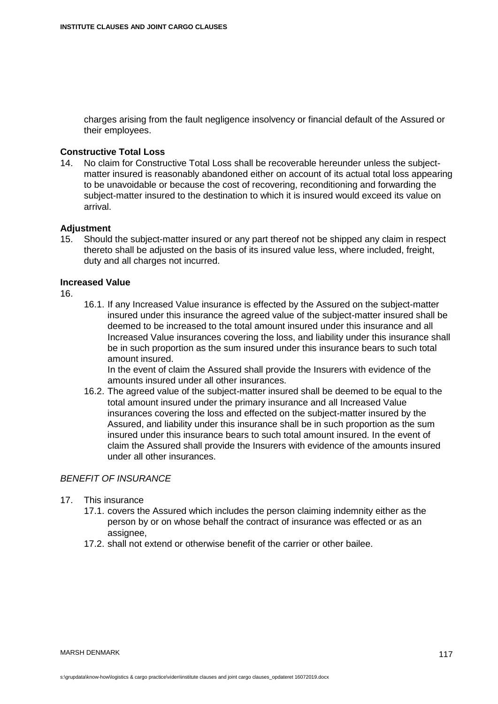charges arising from the fault negligence insolvency or financial default of the Assured or their employees.

## **Constructive Total Loss**

14. No claim for Constructive Total Loss shall be recoverable hereunder unless the subjectmatter insured is reasonably abandoned either on account of its actual total loss appearing to be unavoidable or because the cost of recovering, reconditioning and forwarding the subject-matter insured to the destination to which it is insured would exceed its value on arrival.

## **Adjustment**

15. Should the subject-matter insured or any part thereof not be shipped any claim in respect thereto shall be adjusted on the basis of its insured value less, where included, freight, duty and all charges not incurred.

# **Increased Value**

- 16.
- 16.1. If any Increased Value insurance is effected by the Assured on the subject-matter insured under this insurance the agreed value of the subject-matter insured shall be deemed to be increased to the total amount insured under this insurance and all Increased Value insurances covering the loss, and liability under this insurance shall be in such proportion as the sum insured under this insurance bears to such total amount insured.

In the event of claim the Assured shall provide the Insurers with evidence of the amounts insured under all other insurances.

16.2. The agreed value of the subject-matter insured shall be deemed to be equal to the total amount insured under the primary insurance and all Increased Value insurances covering the loss and effected on the subject-matter insured by the Assured, and liability under this insurance shall be in such proportion as the sum insured under this insurance bears to such total amount insured. In the event of claim the Assured shall provide the Insurers with evidence of the amounts insured under all other insurances.

# *BENEFIT OF INSURANCE*

- 17. This insurance
	- 17.1. covers the Assured which includes the person claiming indemnity either as the person by or on whose behalf the contract of insurance was effected or as an assignee,
	- 17.2. shall not extend or otherwise benefit of the carrier or other bailee.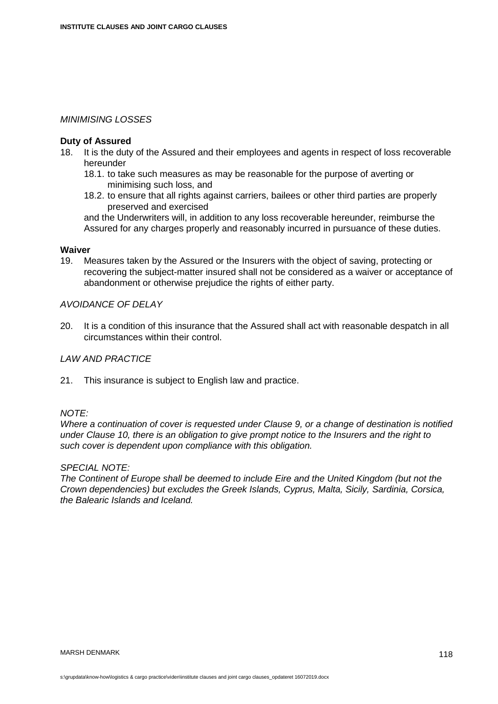# *MINIMISING LOSSES*

# **Duty of Assured**

- 18. It is the duty of the Assured and their employees and agents in respect of loss recoverable hereunder
	- 18.1. to take such measures as may be reasonable for the purpose of averting or minimising such loss, and
	- 18.2. to ensure that all rights against carriers, bailees or other third parties are properly preserved and exercised

and the Underwriters will, in addition to any loss recoverable hereunder, reimburse the Assured for any charges properly and reasonably incurred in pursuance of these duties.

# **Waiver**

19. Measures taken by the Assured or the Insurers with the object of saving, protecting or recovering the subject-matter insured shall not be considered as a waiver or acceptance of abandonment or otherwise prejudice the rights of either party.

# *AVOIDANCE OF DELAY*

20. It is a condition of this insurance that the Assured shall act with reasonable despatch in all circumstances within their control.

# *LAW AND PRACTICE*

21. This insurance is subject to English law and practice.

# *NOTE:*

*Where a continuation of cover is requested under Clause 9, or a change of destination is notified under Clause 10, there is an obligation to give prompt notice to the Insurers and the right to such cover is dependent upon compliance with this obligation.*

# *SPECIAL NOTE:*

*The Continent of Europe shall be deemed to include Eire and the United Kingdom (but not the Crown dependencies) but excludes the Greek Islands, Cyprus, Malta, Sicily, Sardinia, Corsica, the Balearic Islands and Iceland.*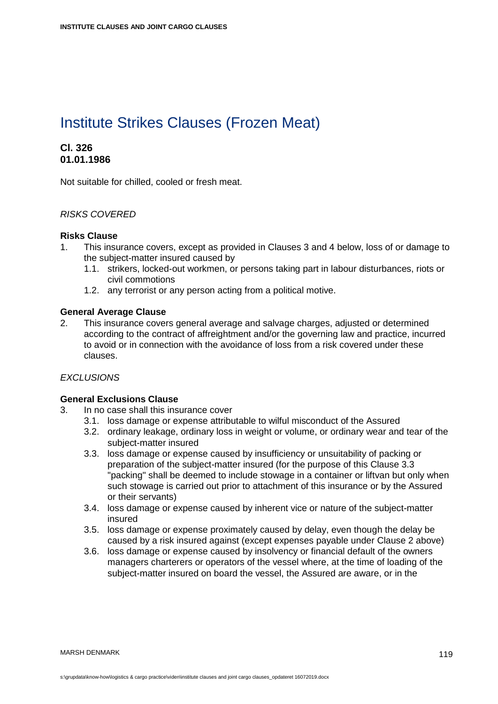# Institute Strikes Clauses (Frozen Meat)

**Cl. 326 01.01.1986**

Not suitable for chilled, cooled or fresh meat.

#### *RISKS COVERED*

# **Risks Clause**

- 1. This insurance covers, except as provided in Clauses 3 and 4 below, loss of or damage to the subject-matter insured caused by
	- 1.1. strikers, locked-out workmen, or persons taking part in labour disturbances, riots or civil commotions
	- 1.2. any terrorist or any person acting from a political motive.

#### **General Average Clause**

2. This insurance covers general average and salvage charges, adjusted or determined according to the contract of affreightment and/or the governing law and practice, incurred to avoid or in connection with the avoidance of loss from a risk covered under these clauses.

## *EXCLUSIONS*

# **General Exclusions Clause**

- 3. In no case shall this insurance cover
	- 3.1. loss damage or expense attributable to wilful misconduct of the Assured
	- 3.2. ordinary leakage, ordinary loss in weight or volume, or ordinary wear and tear of the subject-matter insured
	- 3.3. loss damage or expense caused by insufficiency or unsuitability of packing or preparation of the subject-matter insured (for the purpose of this Clause 3.3 "packing" shall be deemed to include stowage in a container or liftvan but only when such stowage is carried out prior to attachment of this insurance or by the Assured or their servants)
	- 3.4. loss damage or expense caused by inherent vice or nature of the subject-matter insured
	- 3.5. loss damage or expense proximately caused by delay, even though the delay be caused by a risk insured against (except expenses payable under Clause 2 above)
	- 3.6. loss damage or expense caused by insolvency or financial default of the owners managers charterers or operators of the vessel where, at the time of loading of the subject-matter insured on board the vessel, the Assured are aware, or in the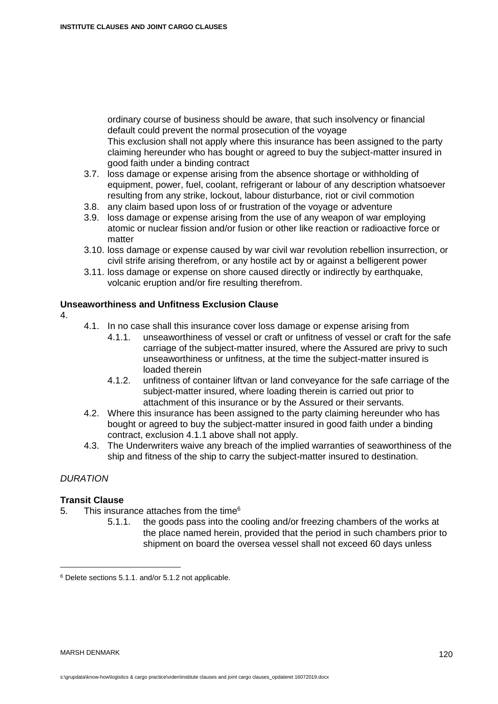ordinary course of business should be aware, that such insolvency or financial default could prevent the normal prosecution of the voyage

This exclusion shall not apply where this insurance has been assigned to the party claiming hereunder who has bought or agreed to buy the subject-matter insured in good faith under a binding contract

- 3.7. loss damage or expense arising from the absence shortage or withholding of equipment, power, fuel, coolant, refrigerant or labour of any description whatsoever resulting from any strike, lockout, labour disturbance, riot or civil commotion
- 3.8. any claim based upon loss of or frustration of the voyage or adventure
- 3.9. loss damage or expense arising from the use of any weapon of war employing atomic or nuclear fission and/or fusion or other like reaction or radioactive force or matter
- 3.10. loss damage or expense caused by war civil war revolution rebellion insurrection, or civil strife arising therefrom, or any hostile act by or against a belligerent power
- 3.11. loss damage or expense on shore caused directly or indirectly by earthquake, volcanic eruption and/or fire resulting therefrom.

# **Unseaworthiness and Unfitness Exclusion Clause**

- 4.
- 4.1. In no case shall this insurance cover loss damage or expense arising from
	- 4.1.1. unseaworthiness of vessel or craft or unfitness of vessel or craft for the safe carriage of the subject-matter insured, where the Assured are privy to such unseaworthiness or unfitness, at the time the subject-matter insured is loaded therein
	- 4.1.2. unfitness of container liftvan or land conveyance for the safe carriage of the subject-matter insured, where loading therein is carried out prior to attachment of this insurance or by the Assured or their servants.
- 4.2. Where this insurance has been assigned to the party claiming hereunder who has bought or agreed to buy the subject-matter insured in good faith under a binding contract, exclusion 4.1.1 above shall not apply.
- 4.3. The Underwriters waive any breach of the implied warranties of seaworthiness of the ship and fitness of the ship to carry the subject-matter insured to destination.

#### *DURATION*

-

#### **Transit Clause**

- 5. This insurance attaches from the time<sup> $6$ </sup>
	- 5.1.1. the goods pass into the cooling and/or freezing chambers of the works at the place named herein, provided that the period in such chambers prior to shipment on board the oversea vessel shall not exceed 60 days unless

<sup>6</sup> Delete sections 5.1.1. and/or 5.1.2 not applicable.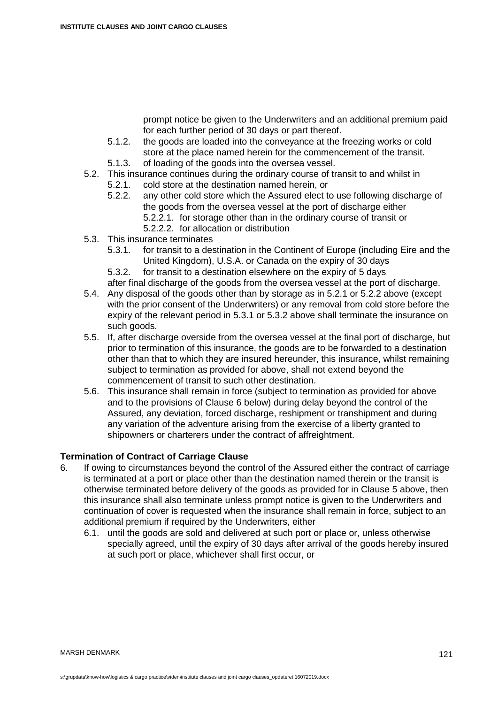prompt notice be given to the Underwriters and an additional premium paid for each further period of 30 days or part thereof.

- 5.1.2. the goods are loaded into the conveyance at the freezing works or cold store at the place named herein for the commencement of the transit.
- 5.1.3. of loading of the goods into the oversea vessel.
- 5.2. This insurance continues during the ordinary course of transit to and whilst in 5.2.1. cold store at the destination named herein, or
	- 5.2.2. any other cold store which the Assured elect to use following discharge of the goods from the oversea vessel at the port of discharge either 5.2.2.1. for storage other than in the ordinary course of transit or 5.2.2.2. for allocation or distribution
- 5.3. This insurance terminates
	- 5.3.1. for transit to a destination in the Continent of Europe (including Eire and the United Kingdom), U.S.A. or Canada on the expiry of 30 days
	- 5.3.2. for transit to a destination elsewhere on the expiry of 5 days

after final discharge of the goods from the oversea vessel at the port of discharge. 5.4. Any disposal of the goods other than by storage as in 5.2.1 or 5.2.2 above (except

- with the prior consent of the Underwriters) or any removal from cold store before the expiry of the relevant period in 5.3.1 or 5.3.2 above shall terminate the insurance on such goods.
- 5.5. If, after discharge overside from the oversea vessel at the final port of discharge, but prior to termination of this insurance, the goods are to be forwarded to a destination other than that to which they are insured hereunder, this insurance, whilst remaining subject to termination as provided for above, shall not extend beyond the commencement of transit to such other destination.
- 5.6. This insurance shall remain in force (subject to termination as provided for above and to the provisions of Clause 6 below) during delay beyond the control of the Assured, any deviation, forced discharge, reshipment or transhipment and during any variation of the adventure arising from the exercise of a liberty granted to shipowners or charterers under the contract of affreightment.

# **Termination of Contract of Carriage Clause**

- 6. If owing to circumstances beyond the control of the Assured either the contract of carriage is terminated at a port or place other than the destination named therein or the transit is otherwise terminated before delivery of the goods as provided for in Clause 5 above, then this insurance shall also terminate unless prompt notice is given to the Underwriters and continuation of cover is requested when the insurance shall remain in force, subject to an additional premium if required by the Underwriters, either
	- 6.1. until the goods are sold and delivered at such port or place or, unless otherwise specially agreed, until the expiry of 30 days after arrival of the goods hereby insured at such port or place, whichever shall first occur, or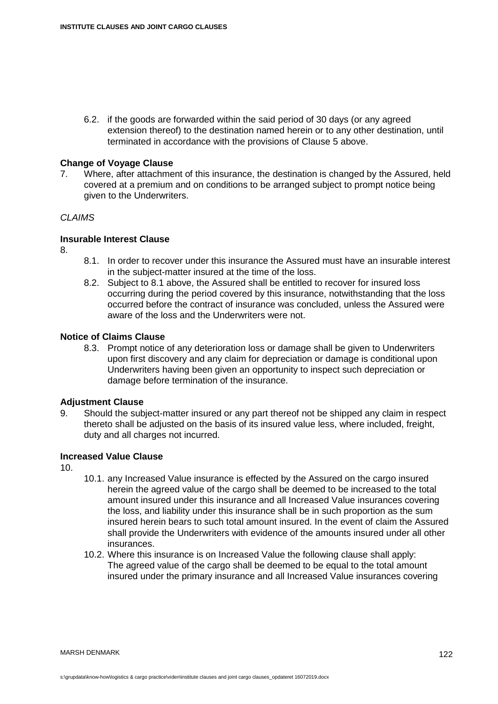6.2. if the goods are forwarded within the said period of 30 days (or any agreed extension thereof) to the destination named herein or to any other destination, until terminated in accordance with the provisions of Clause 5 above.

# **Change of Voyage Clause**

7. Where, after attachment of this insurance, the destination is changed by the Assured, held covered at a premium and on conditions to be arranged subject to prompt notice being given to the Underwriters.

# *CLAIMS*

## **Insurable Interest Clause**

8.

- 8.1. In order to recover under this insurance the Assured must have an insurable interest in the subject-matter insured at the time of the loss.
- 8.2. Subject to 8.1 above, the Assured shall be entitled to recover for insured loss occurring during the period covered by this insurance, notwithstanding that the loss occurred before the contract of insurance was concluded, unless the Assured were aware of the loss and the Underwriters were not.

# **Notice of Claims Clause**

8.3. Prompt notice of any deterioration loss or damage shall be given to Underwriters upon first discovery and any claim for depreciation or damage is conditional upon Underwriters having been given an opportunity to inspect such depreciation or damage before termination of the insurance.

#### **Adjustment Clause**

9. Should the subject-matter insured or any part thereof not be shipped any claim in respect thereto shall be adjusted on the basis of its insured value less, where included, freight, duty and all charges not incurred.

# **Increased Value Clause**

- 10.
- 10.1. any Increased Value insurance is effected by the Assured on the cargo insured herein the agreed value of the cargo shall be deemed to be increased to the total amount insured under this insurance and all Increased Value insurances covering the loss, and liability under this insurance shall be in such proportion as the sum insured herein bears to such total amount insured. In the event of claim the Assured shall provide the Underwriters with evidence of the amounts insured under all other insurances.
- 10.2. Where this insurance is on Increased Value the following clause shall apply: The agreed value of the cargo shall be deemed to be equal to the total amount insured under the primary insurance and all Increased Value insurances covering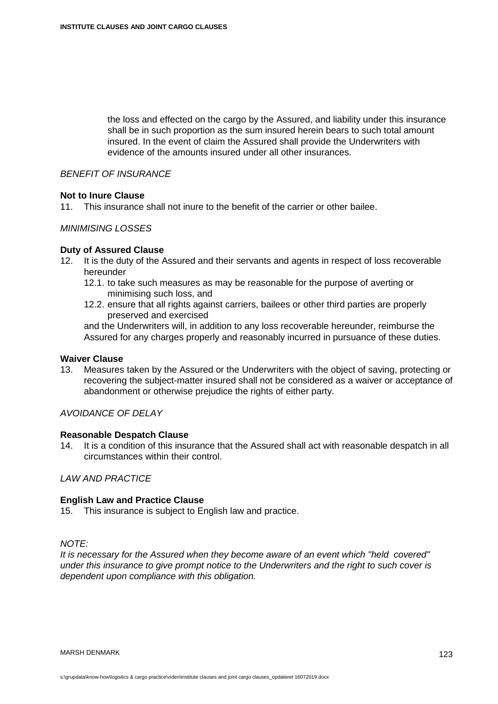the loss and effected on the cargo by the Assured, and liability under this insurance shall be in such proportion as the sum insured herein bears to such total amount insured. In the event of claim the Assured shall provide the Underwriters with evidence of the amounts insured under all other insurances.

# *BENEFIT OF INSURANCE*

#### **Not to Inure Clause**

11. This insurance shall not inure to the benefit of the carrier or other bailee.

#### *MINIMISING LOSSES*

#### **Duty of Assured Clause**

- 12. It is the duty of the Assured and their servants and agents in respect of loss recoverable hereunder
	- 12.1. to take such measures as may be reasonable for the purpose of averting or minimising such loss, and
	- 12.2. ensure that all rights against carriers, bailees or other third parties are properly preserved and exercised

and the Underwriters will, in addition to any loss recoverable hereunder, reimburse the Assured for any charges properly and reasonably incurred in pursuance of these duties.

#### **Waiver Clause**

13. Measures taken by the Assured or the Underwriters with the object of saving, protecting or recovering the subject-matter insured shall not be considered as a waiver or acceptance of abandonment or otherwise prejudice the rights of either party.

# *AVOIDANCE OF DELAY*

#### **Reasonable Despatch Clause**

14. It is a condition of this insurance that the Assured shall act with reasonable despatch in all circumstances within their control.

# *LAW AND PRACTICE*

## **English Law and Practice Clause**

15. This insurance is subject to English law and practice.

## *NOTE:*

*It is necessary for the Assured when they become aware of an event which "held covered" under this insurance to give prompt notice to the Underwriters and the right to such cover is dependent upon compliance with this obligation.*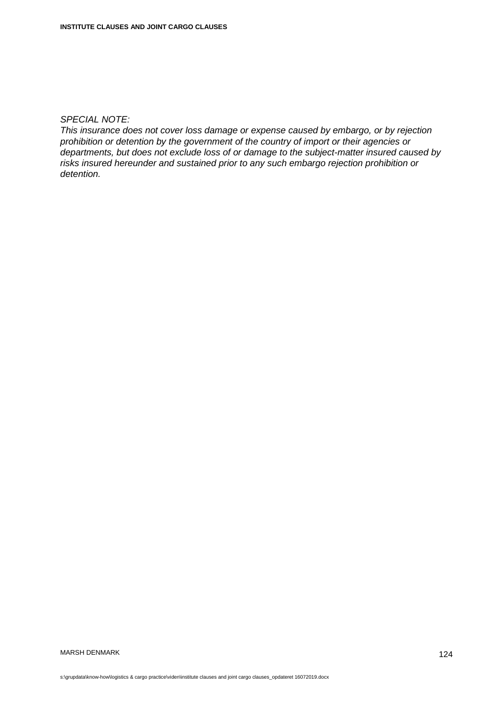# *SPECIAL NOTE:*

*This insurance does not cover loss damage or expense caused by embargo, or by rejection prohibition or detention by the government of the country of import or their agencies or departments, but does not exclude loss of or damage to the subject-matter insured caused by risks insured hereunder and sustained prior to any such embargo rejection prohibition or detention.*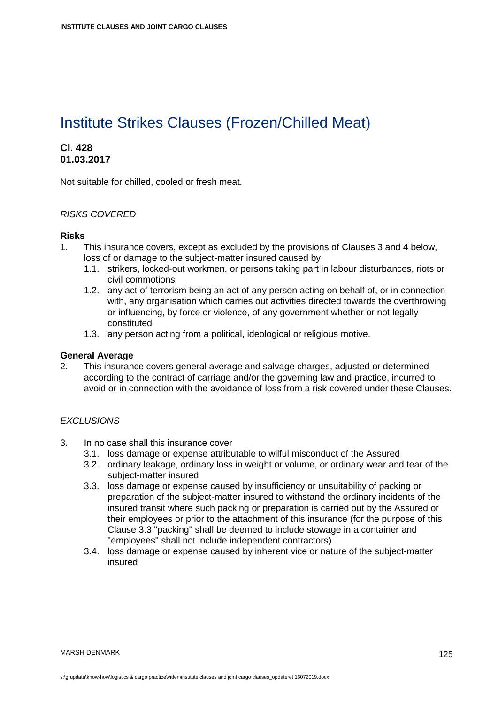# Institute Strikes Clauses (Frozen/Chilled Meat)

**Cl. 428 01.03.2017**

Not suitable for chilled, cooled or fresh meat.

# *RISKS COVERED*

# **Risks**

- 1. This insurance covers, except as excluded by the provisions of Clauses 3 and 4 below, loss of or damage to the subject-matter insured caused by
	- 1.1. strikers, locked-out workmen, or persons taking part in labour disturbances, riots or civil commotions
	- 1.2. any act of terrorism being an act of any person acting on behalf of, or in connection with, any organisation which carries out activities directed towards the overthrowing or influencing, by force or violence, of any government whether or not legally constituted
	- 1.3. any person acting from a political, ideological or religious motive.

#### **General Average**

2. This insurance covers general average and salvage charges, adjusted or determined according to the contract of carriage and/or the governing law and practice, incurred to avoid or in connection with the avoidance of loss from a risk covered under these Clauses.

# *EXCLUSIONS*

- 3. In no case shall this insurance cover
	- 3.1. loss damage or expense attributable to wilful misconduct of the Assured
	- 3.2. ordinary leakage, ordinary loss in weight or volume, or ordinary wear and tear of the subject-matter insured
	- 3.3. loss damage or expense caused by insufficiency or unsuitability of packing or preparation of the subject-matter insured to withstand the ordinary incidents of the insured transit where such packing or preparation is carried out by the Assured or their employees or prior to the attachment of this insurance (for the purpose of this Clause 3.3 "packing" shall be deemed to include stowage in a container and "employees" shall not include independent contractors)
	- 3.4. loss damage or expense caused by inherent vice or nature of the subject-matter insured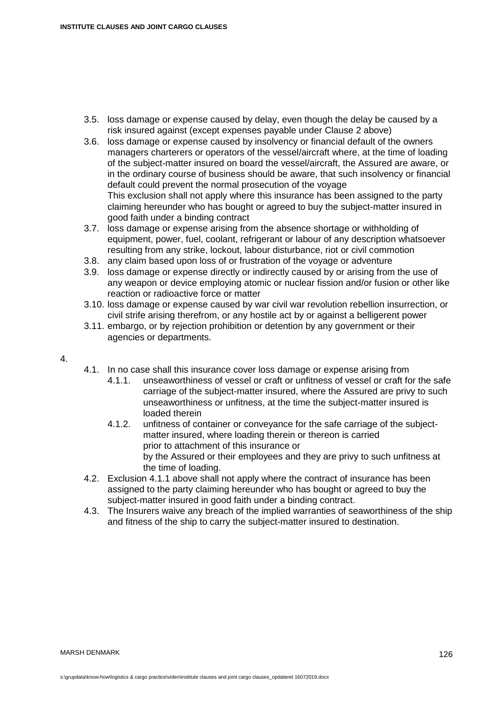- 3.5. loss damage or expense caused by delay, even though the delay be caused by a risk insured against (except expenses payable under Clause 2 above)
- 3.6. loss damage or expense caused by insolvency or financial default of the owners managers charterers or operators of the vessel/aircraft where, at the time of loading of the subject-matter insured on board the vessel/aircraft, the Assured are aware, or in the ordinary course of business should be aware, that such insolvency or financial default could prevent the normal prosecution of the voyage This exclusion shall not apply where this insurance has been assigned to the party claiming hereunder who has bought or agreed to buy the subject-matter insured in good faith under a binding contract
- 3.7. loss damage or expense arising from the absence shortage or withholding of equipment, power, fuel, coolant, refrigerant or labour of any description whatsoever resulting from any strike, lockout, labour disturbance, riot or civil commotion
- 3.8. any claim based upon loss of or frustration of the voyage or adventure
- 3.9. loss damage or expense directly or indirectly caused by or arising from the use of any weapon or device employing atomic or nuclear fission and/or fusion or other like reaction or radioactive force or matter
- 3.10. loss damage or expense caused by war civil war revolution rebellion insurrection, or civil strife arising therefrom, or any hostile act by or against a belligerent power
- 3.11. embargo, or by rejection prohibition or detention by any government or their agencies or departments.

# 4.

- 4.1. In no case shall this insurance cover loss damage or expense arising from
	- 4.1.1. unseaworthiness of vessel or craft or unfitness of vessel or craft for the safe carriage of the subject-matter insured, where the Assured are privy to such unseaworthiness or unfitness, at the time the subject-matter insured is loaded therein
	- 4.1.2. unfitness of container or conveyance for the safe carriage of the subjectmatter insured, where loading therein or thereon is carried prior to attachment of this insurance or by the Assured or their employees and they are privy to such unfitness at the time of loading.
- 4.2. Exclusion 4.1.1 above shall not apply where the contract of insurance has been assigned to the party claiming hereunder who has bought or agreed to buy the subject-matter insured in good faith under a binding contract.
- 4.3. The Insurers waive any breach of the implied warranties of seaworthiness of the ship and fitness of the ship to carry the subject-matter insured to destination.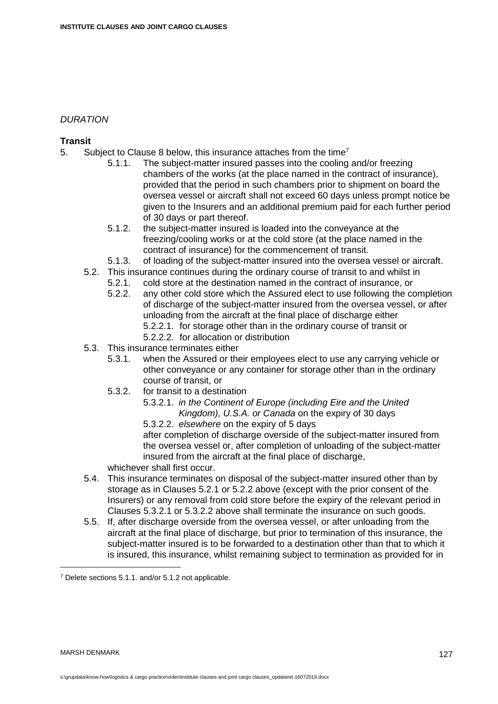# *DURATION*

# **Transit**

- 5. Subject to Clause 8 below, this insurance attaches from the time<sup>7</sup>
	- 5.1.1. The subject-matter insured passes into the cooling and/or freezing chambers of the works (at the place named in the contract of insurance), provided that the period in such chambers prior to shipment on board the oversea vessel or aircraft shall not exceed 60 days unless prompt notice be given to the Insurers and an additional premium paid for each further period of 30 days or part thereof.
	- 5.1.2. the subject-matter insured is loaded into the conveyance at the freezing/cooling works or at the cold store (at the place named in the contract of insurance) for the commencement of transit.
	- 5.1.3. of loading of the subject-matter insured into the oversea vessel or aircraft.
	- 5.2. This insurance continues during the ordinary course of transit to and whilst in
		- 5.2.1. cold store at the destination named in the contract of insurance, or
		- 5.2.2. any other cold store which the Assured elect to use following the completion of discharge of the subject-matter insured from the oversea vessel, or after unloading from the aircraft at the final place of discharge either 5.2.2.1. for storage other than in the ordinary course of transit or
			- 5.2.2.2. for allocation or distribution
	- 5.3. This insurance terminates either
		- 5.3.1. when the Assured or their employees elect to use any carrying vehicle or other conveyance or any container for storage other than in the ordinary course of transit, or
		- 5.3.2. for transit to a destination
			- 5.3.2.1. *in the Continent of Europe (including Eire and the United Kingdom), U.S.A. or Canada* on the expiry of 30 days

5.3.2.2. *elsewhere* on the expiry of 5 days

after completion of discharge overside of the subject-matter insured from the oversea vessel or, after completion of unloading of the subject-matter insured from the aircraft at the final place of discharge,

whichever shall first occur.

- 5.4. This insurance terminates on disposal of the subject-matter insured other than by storage as in Clauses 5.2.1 or 5.2.2 above (except with the prior consent of the Insurers) or any removal from cold store before the expiry of the relevant period in Clauses 5.3.2.1 or 5.3.2.2 above shall terminate the insurance on such goods.
- 5.5. If, after discharge overside from the oversea vessel, or after unloading from the aircraft at the final place of discharge, but prior to termination of this insurance, the subject-matter insured is to be forwarded to a destination other than that to which it is insured, this insurance, whilst remaining subject to termination as provided for in

-

<sup>7</sup> Delete sections 5.1.1. and/or 5.1.2 not applicable.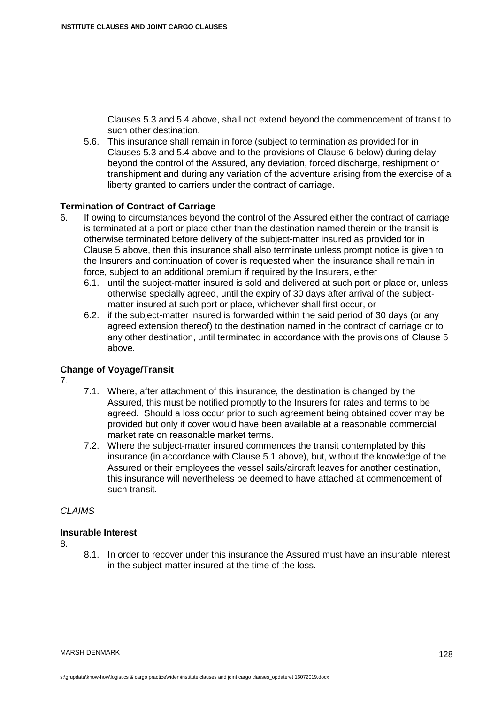Clauses 5.3 and 5.4 above, shall not extend beyond the commencement of transit to such other destination.

5.6. This insurance shall remain in force (subject to termination as provided for in Clauses 5.3 and 5.4 above and to the provisions of Clause 6 below) during delay beyond the control of the Assured, any deviation, forced discharge, reshipment or transhipment and during any variation of the adventure arising from the exercise of a liberty granted to carriers under the contract of carriage.

# **Termination of Contract of Carriage**

- 6. If owing to circumstances beyond the control of the Assured either the contract of carriage is terminated at a port or place other than the destination named therein or the transit is otherwise terminated before delivery of the subject-matter insured as provided for in Clause 5 above, then this insurance shall also terminate unless prompt notice is given to the Insurers and continuation of cover is requested when the insurance shall remain in force, subject to an additional premium if required by the Insurers, either
	- 6.1. until the subject-matter insured is sold and delivered at such port or place or, unless otherwise specially agreed, until the expiry of 30 days after arrival of the subjectmatter insured at such port or place, whichever shall first occur, or
	- 6.2. if the subject-matter insured is forwarded within the said period of 30 days (or any agreed extension thereof) to the destination named in the contract of carriage or to any other destination, until terminated in accordance with the provisions of Clause 5 above.

# **Change of Voyage/Transit**

7.

- 7.1. Where, after attachment of this insurance, the destination is changed by the Assured, this must be notified promptly to the Insurers for rates and terms to be agreed. Should a loss occur prior to such agreement being obtained cover may be provided but only if cover would have been available at a reasonable commercial market rate on reasonable market terms.
- 7.2. Where the subject-matter insured commences the transit contemplated by this insurance (in accordance with Clause 5.1 above), but, without the knowledge of the Assured or their employees the vessel sails/aircraft leaves for another destination, this insurance will nevertheless be deemed to have attached at commencement of such transit.

# *CLAIMS*

## **Insurable Interest**

8.

8.1. In order to recover under this insurance the Assured must have an insurable interest in the subject-matter insured at the time of the loss.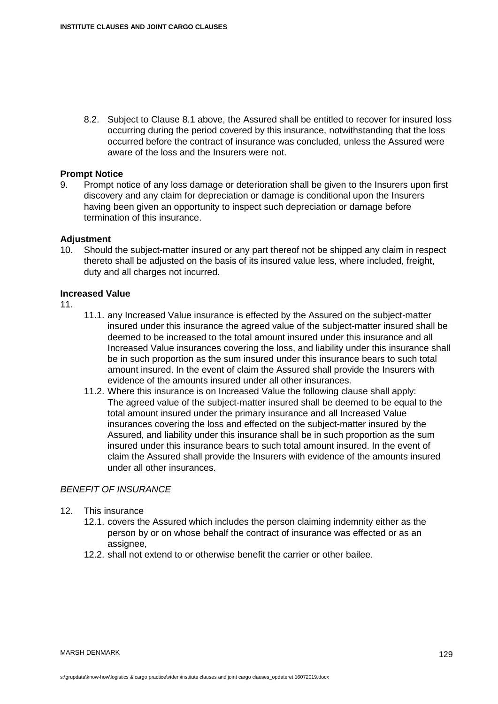8.2. Subject to Clause 8.1 above, the Assured shall be entitled to recover for insured loss occurring during the period covered by this insurance, notwithstanding that the loss occurred before the contract of insurance was concluded, unless the Assured were aware of the loss and the Insurers were not.

#### **Prompt Notice**

9. Prompt notice of any loss damage or deterioration shall be given to the Insurers upon first discovery and any claim for depreciation or damage is conditional upon the Insurers having been given an opportunity to inspect such depreciation or damage before termination of this insurance.

#### **Adjustment**

10. Should the subject-matter insured or any part thereof not be shipped any claim in respect thereto shall be adjusted on the basis of its insured value less, where included, freight, duty and all charges not incurred.

#### **Increased Value**

11.

- 11.1. any Increased Value insurance is effected by the Assured on the subject-matter insured under this insurance the agreed value of the subject-matter insured shall be deemed to be increased to the total amount insured under this insurance and all Increased Value insurances covering the loss, and liability under this insurance shall be in such proportion as the sum insured under this insurance bears to such total amount insured. In the event of claim the Assured shall provide the Insurers with evidence of the amounts insured under all other insurances.
- 11.2. Where this insurance is on Increased Value the following clause shall apply: The agreed value of the subject-matter insured shall be deemed to be equal to the total amount insured under the primary insurance and all Increased Value insurances covering the loss and effected on the subject-matter insured by the Assured, and liability under this insurance shall be in such proportion as the sum insured under this insurance bears to such total amount insured. In the event of claim the Assured shall provide the Insurers with evidence of the amounts insured under all other insurances.

# *BENEFIT OF INSURANCE*

- 12. This insurance
	- 12.1. covers the Assured which includes the person claiming indemnity either as the person by or on whose behalf the contract of insurance was effected or as an assignee,
	- 12.2. shall not extend to or otherwise benefit the carrier or other bailee.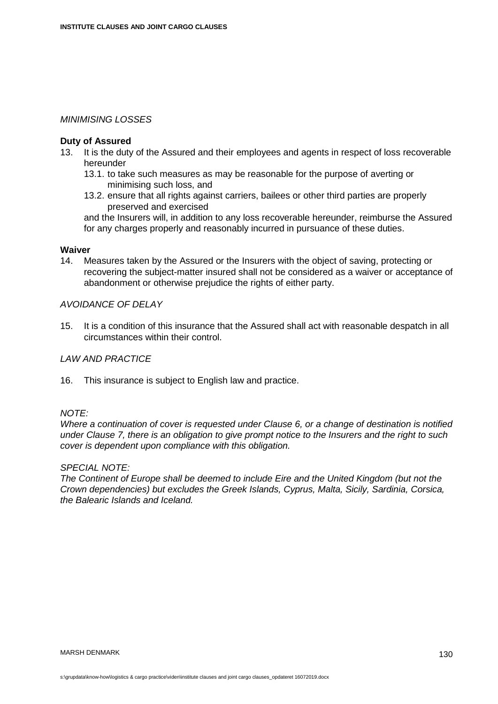# *MINIMISING LOSSES*

# **Duty of Assured**

- 13. It is the duty of the Assured and their employees and agents in respect of loss recoverable hereunder
	- 13.1. to take such measures as may be reasonable for the purpose of averting or minimising such loss, and
	- 13.2. ensure that all rights against carriers, bailees or other third parties are properly preserved and exercised

and the Insurers will, in addition to any loss recoverable hereunder, reimburse the Assured for any charges properly and reasonably incurred in pursuance of these duties.

# **Waiver**

14. Measures taken by the Assured or the Insurers with the object of saving, protecting or recovering the subject-matter insured shall not be considered as a waiver or acceptance of abandonment or otherwise prejudice the rights of either party.

# *AVOIDANCE OF DELAY*

15. It is a condition of this insurance that the Assured shall act with reasonable despatch in all circumstances within their control.

# *LAW AND PRACTICE*

16. This insurance is subject to English law and practice.

# *NOTE:*

*Where a continuation of cover is requested under Clause 6, or a change of destination is notified under Clause 7, there is an obligation to give prompt notice to the Insurers and the right to such cover is dependent upon compliance with this obligation.*

# *SPECIAL NOTE:*

*The Continent of Europe shall be deemed to include Eire and the United Kingdom (but not the Crown dependencies) but excludes the Greek Islands, Cyprus, Malta, Sicily, Sardinia, Corsica, the Balearic Islands and Iceland.*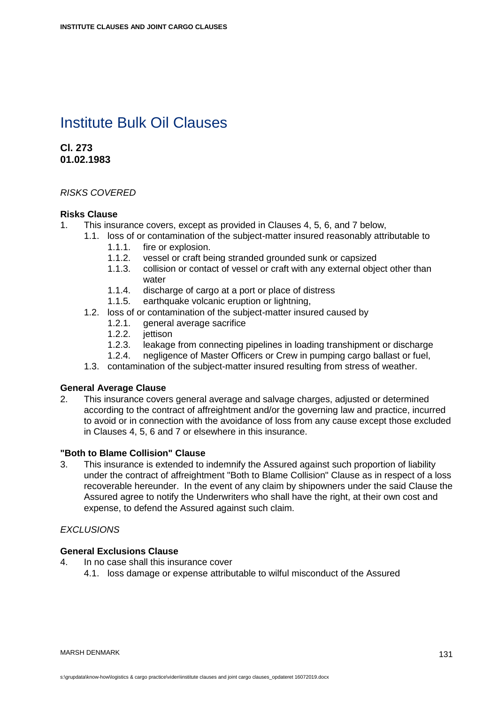# Institute Bulk Oil Clauses

**Cl. 273 01.02.1983**

# *RISKS COVERED*

# **Risks Clause**

- 1. This insurance covers, except as provided in Clauses 4, 5, 6, and 7 below,
	- 1.1. loss of or contamination of the subject-matter insured reasonably attributable to
		- 1.1.1. fire or explosion.
		- 1.1.2. vessel or craft being stranded grounded sunk or capsized
		- 1.1.3. collision or contact of vessel or craft with any external object other than water
		- 1.1.4. discharge of cargo at a port or place of distress
		- 1.1.5. earthquake volcanic eruption or lightning,
	- 1.2. loss of or contamination of the subject-matter insured caused by
		- 1.2.1. general average sacrifice
		- 1.2.2. jettison
		- 1.2.3. leakage from connecting pipelines in loading transhipment or discharge
		- 1.2.4. negligence of Master Officers or Crew in pumping cargo ballast or fuel,
	- 1.3. contamination of the subject-matter insured resulting from stress of weather.

# **General Average Clause**

2. This insurance covers general average and salvage charges, adjusted or determined according to the contract of affreightment and/or the governing law and practice, incurred to avoid or in connection with the avoidance of loss from any cause except those excluded in Clauses 4, 5, 6 and 7 or elsewhere in this insurance.

# **"Both to Blame Collision" Clause**

3. This insurance is extended to indemnify the Assured against such proportion of liability under the contract of affreightment "Both to Blame Collision" Clause as in respect of a loss recoverable hereunder. In the event of any claim by shipowners under the said Clause the Assured agree to notify the Underwriters who shall have the right, at their own cost and expense, to defend the Assured against such claim.

# *EXCLUSIONS*

# **General Exclusions Clause**

- 4. In no case shall this insurance cover
	- 4.1. loss damage or expense attributable to wilful misconduct of the Assured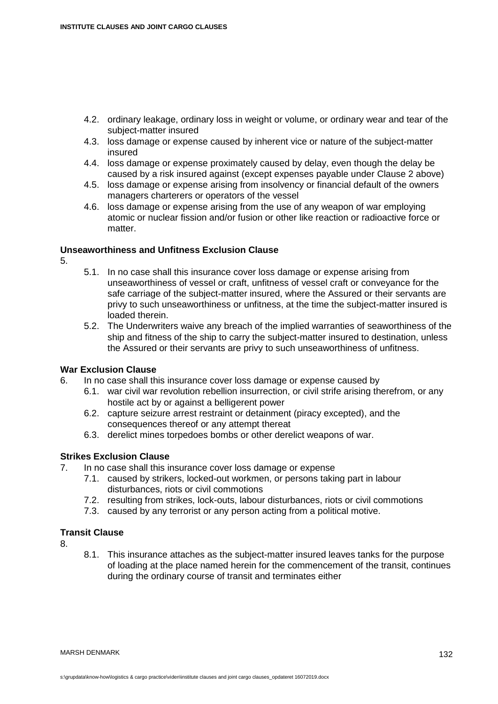- 4.2. ordinary leakage, ordinary loss in weight or volume, or ordinary wear and tear of the subject-matter insured
- 4.3. loss damage or expense caused by inherent vice or nature of the subject-matter insured
- 4.4. loss damage or expense proximately caused by delay, even though the delay be caused by a risk insured against (except expenses payable under Clause 2 above)
- 4.5. loss damage or expense arising from insolvency or financial default of the owners managers charterers or operators of the vessel
- 4.6. loss damage or expense arising from the use of any weapon of war employing atomic or nuclear fission and/or fusion or other like reaction or radioactive force or matter.

# **Unseaworthiness and Unfitness Exclusion Clause**

- 5.
- 5.1. In no case shall this insurance cover loss damage or expense arising from unseaworthiness of vessel or craft, unfitness of vessel craft or conveyance for the safe carriage of the subject-matter insured, where the Assured or their servants are privy to such unseaworthiness or unfitness, at the time the subject-matter insured is loaded therein.
- 5.2. The Underwriters waive any breach of the implied warranties of seaworthiness of the ship and fitness of the ship to carry the subject-matter insured to destination, unless the Assured or their servants are privy to such unseaworthiness of unfitness.

# **War Exclusion Clause**

- 6. In no case shall this insurance cover loss damage or expense caused by
	- 6.1. war civil war revolution rebellion insurrection, or civil strife arising therefrom, or any hostile act by or against a belligerent power
	- 6.2. capture seizure arrest restraint or detainment (piracy excepted), and the consequences thereof or any attempt thereat
	- 6.3. derelict mines torpedoes bombs or other derelict weapons of war.

# **Strikes Exclusion Clause**

- 7. In no case shall this insurance cover loss damage or expense
	- 7.1. caused by strikers, locked-out workmen, or persons taking part in labour disturbances, riots or civil commotions
	- 7.2. resulting from strikes, lock-outs, labour disturbances, riots or civil commotions
	- 7.3. caused by any terrorist or any person acting from a political motive.

# **Transit Clause**

8.

8.1. This insurance attaches as the subject-matter insured leaves tanks for the purpose of loading at the place named herein for the commencement of the transit, continues during the ordinary course of transit and terminates either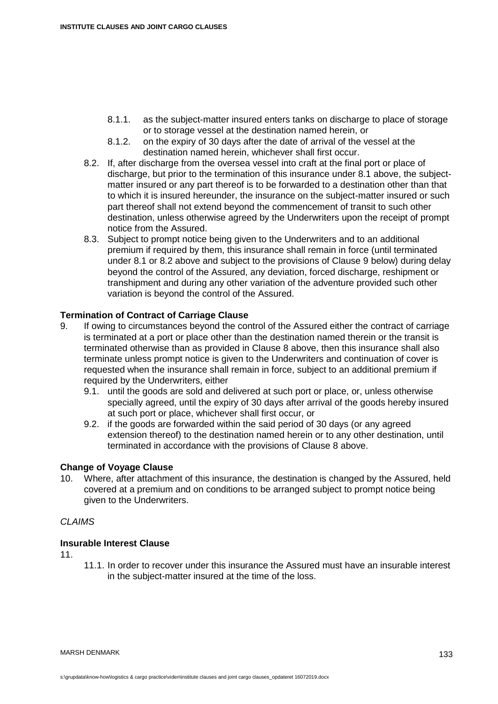- 8.1.1. as the subject-matter insured enters tanks on discharge to place of storage or to storage vessel at the destination named herein, or
- 8.1.2. on the expiry of 30 days after the date of arrival of the vessel at the destination named herein, whichever shall first occur.
- 8.2. If, after discharge from the oversea vessel into craft at the final port or place of discharge, but prior to the termination of this insurance under 8.1 above, the subjectmatter insured or any part thereof is to be forwarded to a destination other than that to which it is insured hereunder, the insurance on the subject-matter insured or such part thereof shall not extend beyond the commencement of transit to such other destination, unless otherwise agreed by the Underwriters upon the receipt of prompt notice from the Assured.
- 8.3. Subject to prompt notice being given to the Underwriters and to an additional premium if required by them, this insurance shall remain in force (until terminated under 8.1 or 8.2 above and subject to the provisions of Clause 9 below) during delay beyond the control of the Assured, any deviation, forced discharge, reshipment or transhipment and during any other variation of the adventure provided such other variation is beyond the control of the Assured.

# **Termination of Contract of Carriage Clause**

- 9. If owing to circumstances beyond the control of the Assured either the contract of carriage is terminated at a port or place other than the destination named therein or the transit is terminated otherwise than as provided in Clause 8 above, then this insurance shall also terminate unless prompt notice is given to the Underwriters and continuation of cover is requested when the insurance shall remain in force, subject to an additional premium if required by the Underwriters, either
	- 9.1. until the goods are sold and delivered at such port or place, or, unless otherwise specially agreed, until the expiry of 30 days after arrival of the goods hereby insured at such port or place, whichever shall first occur, or
	- 9.2. if the goods are forwarded within the said period of 30 days (or any agreed extension thereof) to the destination named herein or to any other destination, until terminated in accordance with the provisions of Clause 8 above.

# **Change of Voyage Clause**

10. Where, after attachment of this insurance, the destination is changed by the Assured, held covered at a premium and on conditions to be arranged subject to prompt notice being given to the Underwriters.

# *CLAIMS*

# **Insurable Interest Clause**

11.

11.1. In order to recover under this insurance the Assured must have an insurable interest in the subject-matter insured at the time of the loss.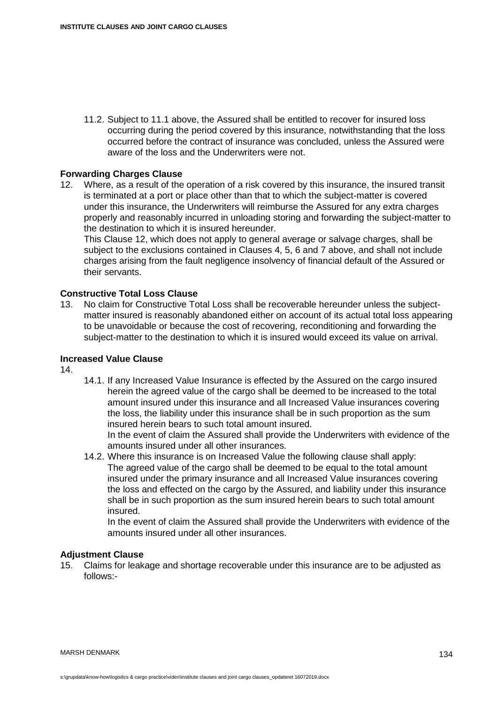11.2. Subject to 11.1 above, the Assured shall be entitled to recover for insured loss occurring during the period covered by this insurance, notwithstanding that the loss occurred before the contract of insurance was concluded, unless the Assured were aware of the loss and the Underwriters were not.

## **Forwarding Charges Clause**

12. Where, as a result of the operation of a risk covered by this insurance, the insured transit is terminated at a port or place other than that to which the subject-matter is covered under this insurance, the Underwriters will reimburse the Assured for any extra charges properly and reasonably incurred in unloading storing and forwarding the subject-matter to the destination to which it is insured hereunder.

This Clause 12, which does not apply to general average or salvage charges, shall be subject to the exclusions contained in Clauses 4, 5, 6 and 7 above, and shall not include charges arising from the fault negligence insolvency of financial default of the Assured or their servants.

# **Constructive Total Loss Clause**

13. No claim for Constructive Total Loss shall be recoverable hereunder unless the subjectmatter insured is reasonably abandoned either on account of its actual total loss appearing to be unavoidable or because the cost of recovering, reconditioning and forwarding the subject-matter to the destination to which it is insured would exceed its value on arrival.

## **Increased Value Clause**

14.

14.1. If any Increased Value Insurance is effected by the Assured on the cargo insured herein the agreed value of the cargo shall be deemed to be increased to the total amount insured under this insurance and all Increased Value insurances covering the loss, the liability under this insurance shall be in such proportion as the sum insured herein bears to such total amount insured.

In the event of claim the Assured shall provide the Underwriters with evidence of the amounts insured under all other insurances.

14.2. Where this insurance is on Increased Value the following clause shall apply: The agreed value of the cargo shall be deemed to be equal to the total amount insured under the primary insurance and all Increased Value insurances covering the loss and effected on the cargo by the Assured, and liability under this insurance shall be in such proportion as the sum insured herein bears to such total amount insured.

In the event of claim the Assured shall provide the Underwriters with evidence of the amounts insured under all other insurances.

## **Adjustment Clause**

15. Claims for leakage and shortage recoverable under this insurance are to be adjusted as follows:-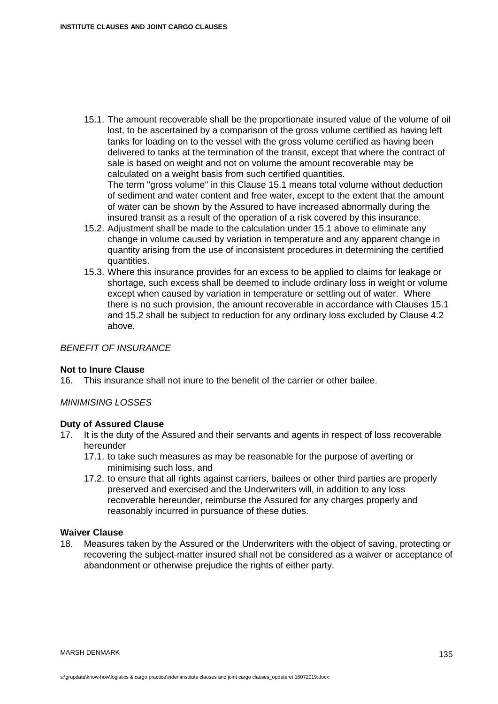- 15.1. The amount recoverable shall be the proportionate insured value of the volume of oil lost, to be ascertained by a comparison of the gross volume certified as having left tanks for loading on to the vessel with the gross volume certified as having been delivered to tanks at the termination of the transit, except that where the contract of sale is based on weight and not on volume the amount recoverable may be calculated on a weight basis from such certified quantities. The term "gross volume" in this Clause 15.1 means total volume without deduction of sediment and water content and free water, except to the extent that the amount of water can be shown by the Assured to have increased abnormally during the insured transit as a result of the operation of a risk covered by this insurance.
- 15.2. Adjustment shall be made to the calculation under 15.1 above to eliminate any change in volume caused by variation in temperature and any apparent change in quantity arising from the use of inconsistent procedures in determining the certified quantities.
- 15.3. Where this insurance provides for an excess to be applied to claims for leakage or shortage, such excess shall be deemed to include ordinary loss in weight or volume except when caused by variation in temperature or settling out of water. Where there is no such provision, the amount recoverable in accordance with Clauses 15.1 and 15.2 shall be subject to reduction for any ordinary loss excluded by Clause 4.2 above.

# *BENEFIT OF INSURANCE*

#### **Not to Inure Clause**

16. This insurance shall not inure to the benefit of the carrier or other bailee.

# *MINIMISING LOSSES*

#### **Duty of Assured Clause**

- 17. It is the duty of the Assured and their servants and agents in respect of loss recoverable hereunder
	- 17.1. to take such measures as may be reasonable for the purpose of averting or minimising such loss, and
	- 17.2. to ensure that all rights against carriers, bailees or other third parties are properly preserved and exercised and the Underwriters will, in addition to any loss recoverable hereunder, reimburse the Assured for any charges properly and reasonably incurred in pursuance of these duties.

# **Waiver Clause**

18. Measures taken by the Assured or the Underwriters with the object of saving, protecting or recovering the subject-matter insured shall not be considered as a waiver or acceptance of abandonment or otherwise prejudice the rights of either party.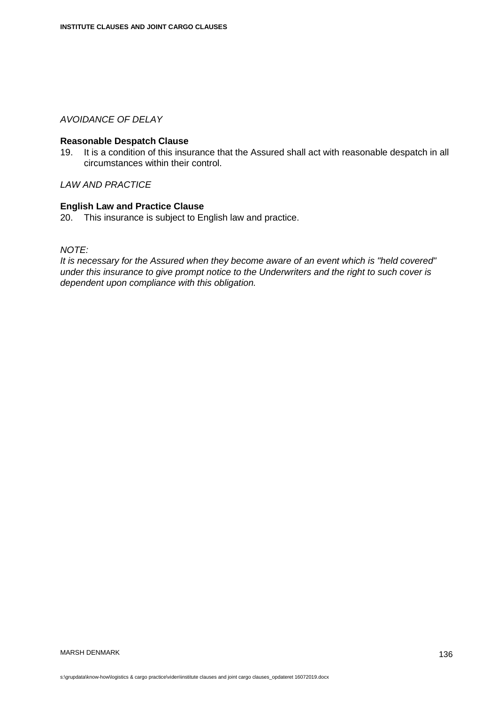# *AVOIDANCE OF DELAY*

# **Reasonable Despatch Clause**

19. It is a condition of this insurance that the Assured shall act with reasonable despatch in all circumstances within their control.

# *LAW AND PRACTICE*

# **English Law and Practice Clause**

20. This insurance is subject to English law and practice.

# *NOTE:*

*It is necessary for the Assured when they become aware of an event which is "held covered" under this insurance to give prompt notice to the Underwriters and the right to such cover is dependent upon compliance with this obligation.*